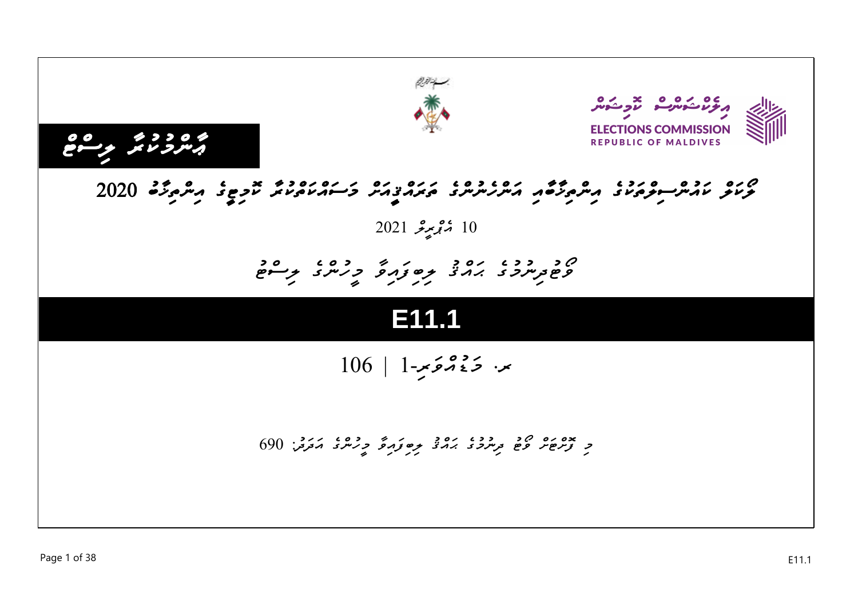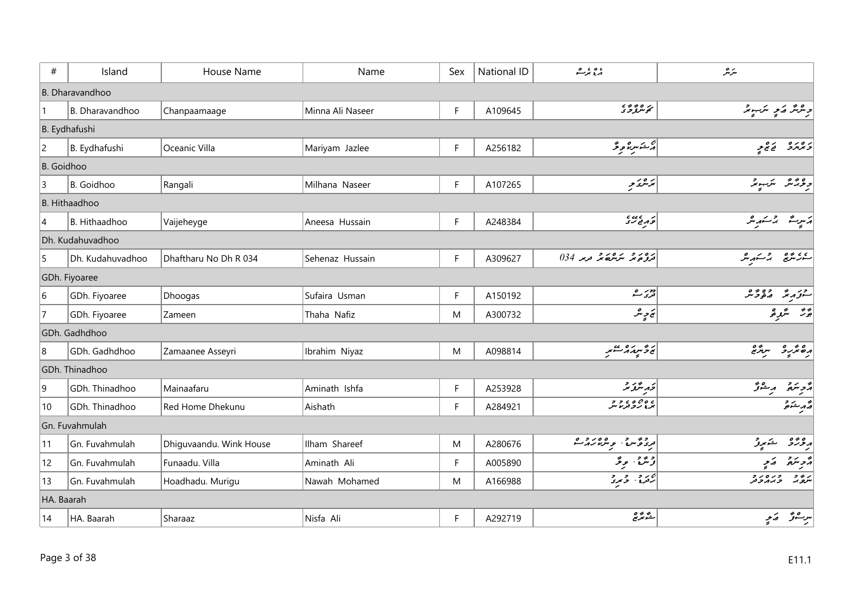| #              | Island           | House Name              | Name             | Sex         | National ID | ، ه ، ره<br>مربح نیر شه                                                                               | ىئرىتر                                           |
|----------------|------------------|-------------------------|------------------|-------------|-------------|-------------------------------------------------------------------------------------------------------|--------------------------------------------------|
|                | B. Dharavandhoo  |                         |                  |             |             |                                                                                                       |                                                  |
|                | B. Dharavandhoo  | Chanpaamaage            | Minna Ali Naseer | $\mathsf F$ | A109645     | ىر 2 مەك ئ                                                                                            | ويثريثر لأبي يترجيني                             |
|                | B. Eydhafushi    |                         |                  |             |             |                                                                                                       |                                                  |
|                | B. Eydhafushi    | Oceanic Villa           | Mariyam Jazlee   | $\mathsf F$ | A256182     | ە ئەسىر مىرى <i>مۇ بە</i>                                                                             | وبرده ويحو                                       |
| B. Goidhoo     |                  |                         |                  |             |             |                                                                                                       |                                                  |
| 3              | B. Goidhoo       | Rangali                 | Milhana Naseer   | $\mathsf F$ | A107265     | ئرىثىمۇ م                                                                                             | ویژنڈ ایک ویڈ                                    |
|                | B. Hithaadhoo    |                         |                  |             |             |                                                                                                       |                                                  |
| 4              | B. Hithaadhoo    | Vaijeheyge              | Aneesa Hussain   | F           | A248384     | ر<br>ح د ق ر د                                                                                        | أماسرت بركستها مكر                               |
|                | Dh. Kudahuvadhoo |                         |                  |             |             |                                                                                                       |                                                  |
| 5              | Dh. Kudahuvadhoo | Dhaftharu No Dh R 034   | Sehenaz Hussain  | F           | A309627     | رەر دېرىكى ترىر 034                                                                                   | عود شريع پر جام مر                               |
|                | GDh. Fiyoaree    |                         |                  |             |             |                                                                                                       |                                                  |
| 6              | GDh. Fiyoaree    | Dhoogas                 | Sufaira Usman    | F           | A150192     | ود پر ہے<br>تعریٰ ک                                                                                   |                                                  |
| $\overline{7}$ | GDh. Fiyoaree    | Zameen                  | Thaha Nafiz      | M           | A300732     | ئچ ج مگر                                                                                              | وي شمېره.<br>دي شمېره                            |
|                | GDh. Gadhdhoo    |                         |                  |             |             |                                                                                                       |                                                  |
| 8              | GDh. Gadhdhoo    | Zamaanee Asseyri        | Ibrahim Niyaz    | ${\sf M}$   | A098814     | ئ <sub>ە</sub> ئەسىدە ئەسىر                                                                           | سرمرسح<br>ەر ھەترىر <i>ج</i>                     |
|                | GDh. Thinadhoo   |                         |                  |             |             |                                                                                                       |                                                  |
| 9              | GDh. Thinadhoo   | Mainaafaru              | Aminath Ishfa    | $\mathsf F$ | A253928     | ۇر ئىز ئە                                                                                             | ة وينتجى مشوقى<br>مرح ينجى مشوقى<br>مەمشۇمى      |
| 10             | GDh. Thinadhoo   | Red Home Dhekunu        | Aishath          | F           | A284921     | ه ۵۵ ه ه و و<br>مرو ترو ترم متر                                                                       |                                                  |
|                | Gn. Fuvahmulah   |                         |                  |             |             |                                                                                                       |                                                  |
| 11             | Gn. Fuvahmulah   | Dhiguvaandu. Wink House | Ilham Shareef    | M           | A280676     | وري من الله عن الله عن الله عن الله عن الله عن الله عن الله عن الله عن الله عن الله عن الله عن الله ا | روژو خنرو                                        |
| 12             | Gn. Fuvahmulah   | Funaadu. Villa          | Aminath Ali      | F           | A005890     | زىندى پەغ                                                                                             | أزوينهم أربح                                     |
| 13             | Gn. Fuvahmulah   | Hoadhadu. Murigu        | Nawah Mohamed    | ${\sf M}$   | A166988     | ج ر ح .<br>رفر ۽  و مري                                                                               | و ر ه ر د<br><i>و ټ</i> رو تر<br>ر و د<br>سره بر |
| HA. Baarah     |                  |                         |                  |             |             |                                                                                                       |                                                  |
| 14             | HA. Baarah       | Sharaaz                 | Nisfa Ali        | F           | A292719     | ر در ده<br>شو نر م                                                                                    | سرے قدیم کے مقبر                                 |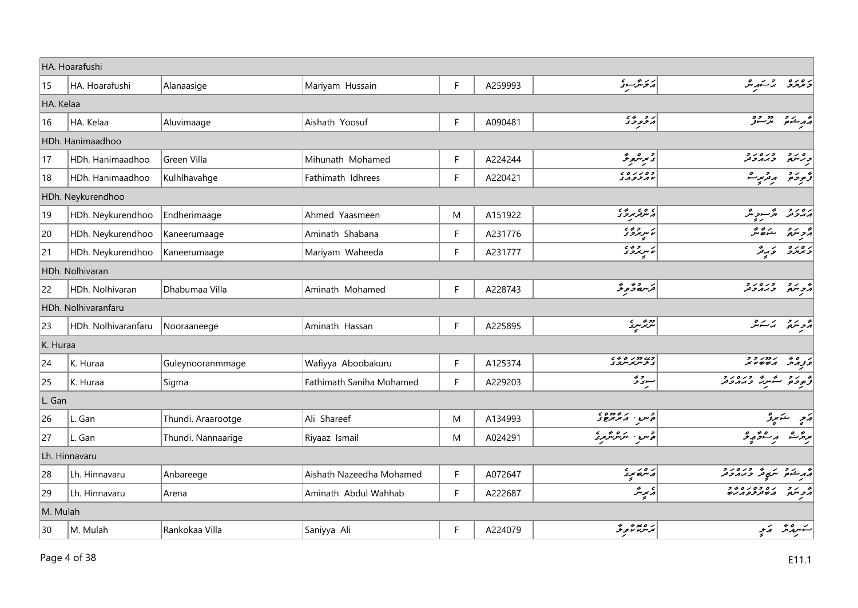|          | HA. Hoarafushi      |                    |                          |           |         |                                           |                                            |                                 |  |  |  |
|----------|---------------------|--------------------|--------------------------|-----------|---------|-------------------------------------------|--------------------------------------------|---------------------------------|--|--|--|
| 15       | HA. Hoarafushi      | Alanaasige         | Mariyam Hussain          | F         | A259993 | ىر ئە ئەرسىسى<br>مەخرىش <del>ە</del> سىسى | بر سەمەر بىر                               | ر ه بر ه<br><del>د</del> بربرگر |  |  |  |
|          | HA. Kelaa           |                    |                          |           |         |                                           |                                            |                                 |  |  |  |
| 16       | HA. Kelaa           | Aluvimaage         | Aishath Yoosuf           | F         | A090481 | پر څرمو څرنه                              | دد وه<br>در سور                            | در<br>درگار مشترهی              |  |  |  |
|          | HDh. Hanimaadhoo    |                    |                          |           |         |                                           |                                            |                                 |  |  |  |
| 17       | HDh. Hanimaadhoo    | Green Villa        | Mihunath Mohamed         | F         | A224244 | <sup>3</sup> مرىنز <sub>ى</sub> ر ئى      | و ره ر د<br>تر پر ژنر                      | ورمنبر                          |  |  |  |
| 18       | HDh. Hanimaadhoo    | Kulhlhavahge       | Fathimath Idhrees        | F         | A220421 | وه ر ر ه ،<br>ماړ نوار د                  |                                            | ڙوڌو روپرے                      |  |  |  |
|          | HDh. Neykurendhoo   |                    |                          |           |         |                                           |                                            |                                 |  |  |  |
| 19       | HDh. Neykurendhoo   | Endherimaage       | Ahmed Yaasmeen           | ${\sf M}$ | A151922 | ې ه پر پر پر په<br>مرغو پر پر پر          | ېژمسوچ مګر<br>مسرچ                         | ر ەر د                          |  |  |  |
| 20       | HDh. Neykurendhoo   | Kaneerumaage       | Aminath Shabana          | F         | A231776 | ا پر سرچري<br>ما سرچري                    | لەن ئەركى<br>سىرى ئىر                      | ۇ بە بەر<br>م                   |  |  |  |
| 21       | HDh. Neykurendhoo   | Kaneerumaage       | Mariyam Waheeda          | F         | A231777 | ر سرچري<br>موسرچري                        |                                            | رەرە رېڭر                       |  |  |  |
|          | HDh. Nolhivaran     |                    |                          |           |         |                                           |                                            |                                 |  |  |  |
| 22       | HDh. Nolhivaran     | Dhabumaa Villa     | Aminath Mohamed          | F         | A228743 | تەسھۇم ئى                                 | و ره ر د<br><i>د ب</i> رگرمر               | ر<br>مرگ سرچ                    |  |  |  |
|          | HDh. Nolhivaranfaru |                    |                          |           |         |                                           |                                            |                                 |  |  |  |
| 23       | HDh. Nolhivaranfaru | Nooraaneege        | Aminath Hassan           | F         | A225895 | دو پر په<br>سرپرسرچ                       |                                            | مەجەسى ئەسكەنلە                 |  |  |  |
| K. Huraa |                     |                    |                          |           |         |                                           |                                            |                                 |  |  |  |
| 24       | K. Huraa            | Guleynooranmmage   | Wafiyya Aboobakuru       | F         | A125374 | وړ، دور ه په ،<br>د نوسرپوسرو د           |                                            | פנהת המיני                      |  |  |  |
| 25       | K. Huraa            | Sigma              | Fathimath Saniha Mohamed | F         | A229203 | سەرىچ                                     | و دو گسره وره دو                           |                                 |  |  |  |
| L. Gan   |                     |                    |                          |           |         |                                           |                                            |                                 |  |  |  |
| 26       | L. Gan              | Thundi. Araarootge | Ali Shareef              | M         | A134993 | ام<br> موسع مترسم دوه م                   |                                            | رکو ځندو<br>د کو ځندو           |  |  |  |
| 27       | L. Gan              | Thundi. Nannaarige | Riyaaz Ismail            | M         | A024291 | اقرس <sub>ى</sub> سەھەتتىرى               | ەستۇم ۋ                                    |                                 |  |  |  |
|          | Lh. Hinnavaru       |                    |                          |           |         |                                           |                                            |                                 |  |  |  |
| 28       | Lh. Hinnavaru       | Anbareege          | Aishath Nazeedha Mohamed | F         | A072647 | ر<br>مەسھەسرى                             | د د شو تر د د د د د د                      |                                 |  |  |  |
| 29       | Lh. Hinnavaru       | Arena              | Aminath Abdul Wahhab     | F         | A222687 | ەسمەتىر                                   | ه د د ده ده ده ده.<br>دگرسي د ه ترمزو در ه |                                 |  |  |  |
| M. Mulah |                     |                    |                          |           |         |                                           |                                            |                                 |  |  |  |
| 30       | M. Mulah            | Rankokaa Villa     | Saniyya Ali              | F         | A224079 | ر ٤ پر پر<br>برس پر تو و                  |                                            | سكسروش وكمو                     |  |  |  |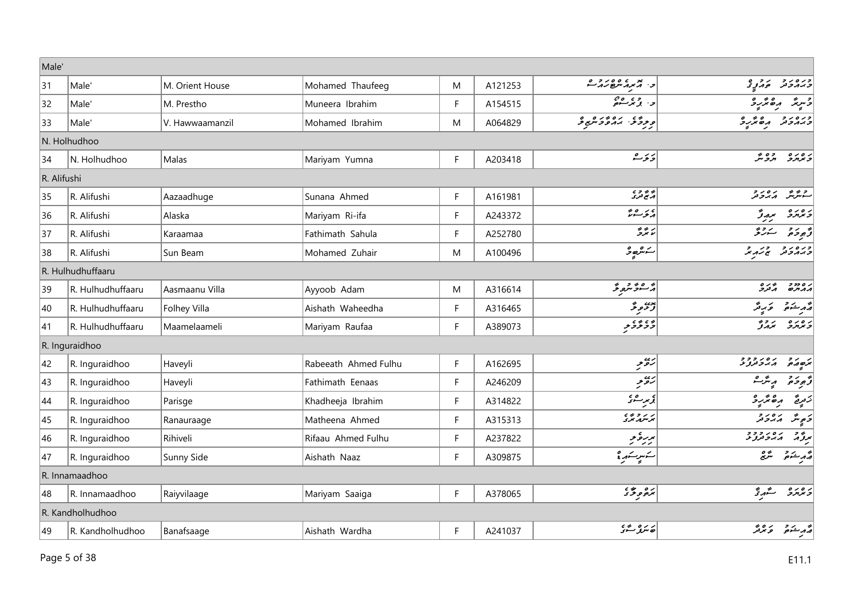| Male'       |                   |                 |                      |           |         |                                |                                                                                                                                                                                                                                  |
|-------------|-------------------|-----------------|----------------------|-----------|---------|--------------------------------|----------------------------------------------------------------------------------------------------------------------------------------------------------------------------------------------------------------------------------|
| 31          | Male'             | M. Orient House | Mohamed Thaufeeg     | ${\sf M}$ | A121253 | و. معر مورد معرض در حد         |                                                                                                                                                                                                                                  |
| 32          | Male'             | M. Prestho      | Muneera Ibrahim      | F         | A154515 | و و ي ره ه<br>و تو تترسعهو     |                                                                                                                                                                                                                                  |
| 33          | Male'             | V. Hawwaamanzil | Mohamed Ibrahim      | ${\sf M}$ | A064829 | وووكر بهرووشي                  |                                                                                                                                                                                                                                  |
|             | N. Holhudhoo      |                 |                      |           |         |                                |                                                                                                                                                                                                                                  |
| 34          | N. Holhudhoo      | Malas           | Mariyam Yumna        | F         | A203418 | ىر ئەر                         | رەرە دەپر                                                                                                                                                                                                                        |
| R. Alifushi |                   |                 |                      |           |         |                                |                                                                                                                                                                                                                                  |
| 35          | R. Alifushi       | Aazaadhuge      | Sunana Ahmed         | F         | A161981 | ږ د د د<br>پر پح توری          | ے شریش مردور                                                                                                                                                                                                                     |
| 36          | R. Alifushi       | Alaska          | Mariyam Ri-ifa       | F         | A243372 | ى ئەھەتتە<br>مەخرىسىلىق        |                                                                                                                                                                                                                                  |
| 37          | R. Alifushi       | Karaamaa        | Fathimath Sahula     | F         | A252780 | ر پوځ                          | ر د درو د بروژ<br>د د درو د بروژ د بروژ د                                                                                                                                                                                        |
| 38          | R. Alifushi       | Sun Beam        | Mohamed Zuhair       | ${\sf M}$ | A100496 | سەھەيۋ                         | כנסנכ כל ב                                                                                                                                                                                                                       |
|             | R. Hulhudhuffaaru |                 |                      |           |         |                                |                                                                                                                                                                                                                                  |
| 39          | R. Hulhudhuffaaru | Aasmaanu Villa  | Ayyoob Adam          | ${\sf M}$ | A316614 | ۇ ھۇتىر ئە                     | ג ס כב כ ב ג ס<br>ג <i>ג ת יש</i> ג ה ל הר ב                                                                                                                                                                                     |
| 40          | R. Hulhudhuffaaru | Folhey Villa    | Aishath Waheedha     | F         | A316465 | ديم و گ                        | مەرشىق ق.يىر                                                                                                                                                                                                                     |
| 41          | R. Hulhudhuffaaru | Maamelaameli    | Mariyam Raufaa       | F         | A389073 | ۇ ئۇ ئۇ ئى                     | גם גם גבש<br>כמתכ מגצ                                                                                                                                                                                                            |
|             | R. Inguraidhoo    |                 |                      |           |         |                                |                                                                                                                                                                                                                                  |
| 42          | R. Inguraidhoo    | Haveyli         | Rabeeath Ahmed Fulhu | F         | A162695 | ريى<br>رەبچ                    | 777101 7101<br>  29101 2010                                                                                                                                                                                                      |
| 43          | R. Inguraidhoo    | Haveyli         | Fathimath Eenaas     | F         | A246209 | رەيە                           |                                                                                                                                                                                                                                  |
| 44          | R. Inguraidhoo    | Parisge         | Khadheeja Ibrahim    | F         | A314822 | ې په ره <sup>ي</sup>           | و و دو مرسم در در در در این در این در این در این در این در این در این در این در این در این در این در این در ای<br>در این در این در این در این در این در این در این در این در این در این در این در این داران در این در این در این |
| 45          | R. Inguraidhoo    | Ranauraage      | Matheena Ahmed       | F         | A315313 | ر ر د » ،<br>برس پر بر د       |                                                                                                                                                                                                                                  |
| 46          | R. Inguraidhoo    | Rihiveli        | Rifaau Ahmed Fulhu   | F         | A237822 | بررء و<br>مرگ                  | بروژه<br>ر ه ر و و و<br>پر ژونونو ن                                                                                                                                                                                              |
| 47          | R. Inguraidhoo    | Sunny Side      | Aishath Naaz         | F         | A309875 | سە يېرىسە يەم<br>سە            | و د شو و ده<br>مرد شو سرچ                                                                                                                                                                                                        |
|             | R. Innamaadhoo    |                 |                      |           |         |                                |                                                                                                                                                                                                                                  |
| 48          | R. Innamaadhoo    | Raiyvilaage     | Mariyam Saaiga       | F         | A378065 | ر ه<br>بر <sub>گو</sub> مونو د | رەرە شەرىخ                                                                                                                                                                                                                       |
|             | R. Kandholhudhoo  |                 |                      |           |         |                                |                                                                                                                                                                                                                                  |
| 49          | R. Kandholhudhoo  | Banafsaage      | Aishath Wardha       | F         | A241037 | پر په وي.<br>ح <i>صرتي څ</i> ن | وگەرىشكى ھەمرىگر                                                                                                                                                                                                                 |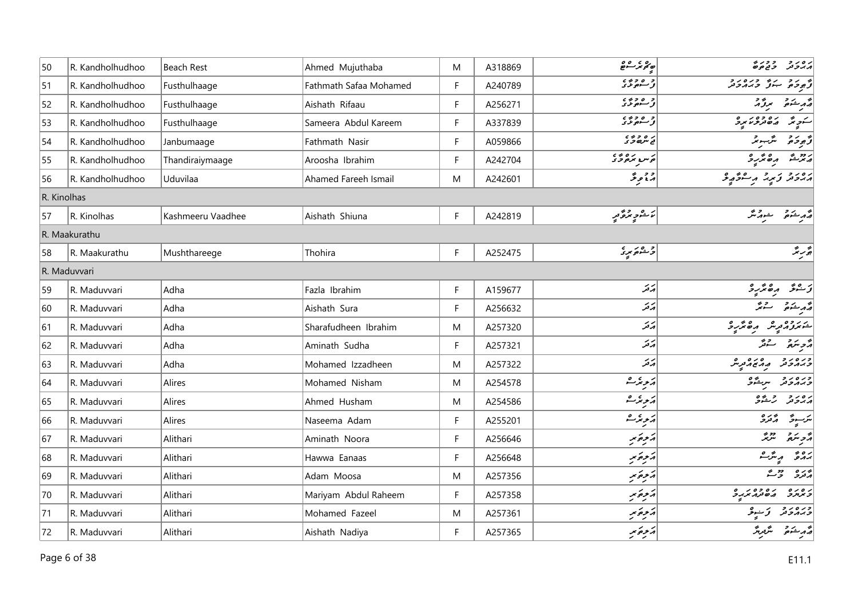| 50          | R. Kandholhudhoo | <b>Beach Rest</b> | Ahmed Mujuthaba        | M         | A318869 | پەنجى يەم ھ               | ر و د و دره<br>مدونر و نوه         |
|-------------|------------------|-------------------|------------------------|-----------|---------|---------------------------|------------------------------------|
| 51          | R. Kandholhudhoo | Fusthulhaage      | Fathmath Safaa Mohamed | F         | A240789 | د د د د د ،<br>توسعه تر د | و و د و د د و د و د و              |
| 52          | R. Kandholhudhoo | Fusthulhaage      | Aishath Rifaau         | F.        | A256271 | د د د د د ،<br>توسع د د   |                                    |
| 53          | R. Kandholhudhoo | Fusthulhaage      | Sameera Abdul Kareem   | F         | A337839 | د د د د د ،<br>توسعه تر د | ر د ده دور و                       |
| 54          | R. Kandholhudhoo | Janbumaage        | Fathmath Nasir         | F         | A059866 | ر ه د و و ،<br>د سره تر د | رقوحا متسومه                       |
| 55          | R. Kandholhudhoo | Thandiraiymaage   | Aroosha Ibrahim        | F         | A242704 | ئۆسرە ئىرە قەم            | $5 - 20 - 20 - 20 - 20$            |
| 56          | R. Kandholhudhoo | Uduvilaa          | Ahamed Fareeh Ismail   | M         | A242601 | وديوقر                    | رەرد زىر ئەسترەپر                  |
| R. Kinolhas |                  |                   |                        |           |         |                           |                                    |
| 57          | R. Kinolhas      | Kashmeeru Vaadhee | Aishath Shiuna         | F         | A242819 | مَڪْرِ بِرْءٌ مِرِ        | وكرمشكو الشور سكر                  |
|             | R. Maakurathu    |                   |                        |           |         |                           |                                    |
| 58          | R. Maakurathu    | Mushthareege      | Thohira                | F.        | A252475 | ژىشەھ <sub>ىىرى</sub>     | ۇ بەشر                             |
|             | R. Maduvvari     |                   |                        |           |         |                           |                                    |
| 59          | R. Maduvvari     | Adha              | Fazla Ibrahim          | F         | A159677 | برقر                      | زیشو رەپرىرو                       |
| 60          | R. Maduvvari     | Adha              | Aishath Sura           | F         | A256632 | برتر                      | ۇرمىسى ئىگە                        |
| 61          | R. Maduvvari     | Adha              | Sharafudheen Ibrahim   | M         | A257320 | برتر                      | شكروه ومشر وه مركز                 |
| 62          | R. Maduvvari     | Adha              | Aminath Sudha          | F         | A257321 | ىرىتر                     | و در دور در در در بر               |
| 63          | R. Maduvvari     | Adha              | Mohamed Izzadheen      | M         | A257322 | برتر                      | כנפנכ פרשתית                       |
| 64          | R. Maduvvari     | Alires            | Mohamed Nisham         | M         | A254578 | رئبر پر م                 | ورەرو س≝ۇ                          |
| 65          | R. Maduvvari     | Alires            | Ahmed Husham           | M         | A254586 | ر بر بر م                 | رەرو جىشۇ                          |
| 66          | R. Maduvvari     | Alires            | Naseema Adam           | F         | A255201 | أزوبزت                    | الترسوش المحدود<br>الترسوش المحدود |
| 67          | R. Maduvvari     | Alithari          | Aminath Noora          | F         | A256646 | وكمعرض                    | أأدم المردم المراجز                |
| 68          | R. Maduvvari     | Alithari          | Hawwa Eanaas           | F         | A256648 | وكمعرض                    | رەپ <sub>ە</sub><br>بەھرى مەشرى    |
| 69          | R. Maduvvari     | Alithari          | Adam Moosa             | ${\sf M}$ | A257356 | وكمعرضو                   | پره دو <u>ځ</u>                    |
| 70          | R. Maduvvari     | Alithari          | Mariyam Abdul Raheem   | F         | A257358 | وكمعرضو                   | ג סגם גם בסגם                      |
| 71          | R. Maduvvari     | Alithari          | Mohamed Fazeel         | M         | A257361 | وكمعرضو                   | ورەرد ۋىندۇ                        |
| 72          | R. Maduvvari     | Alithari          | Aishath Nadiya         | F         | A257365 | وكمعرضي                   | أمام شكاه المتمارير                |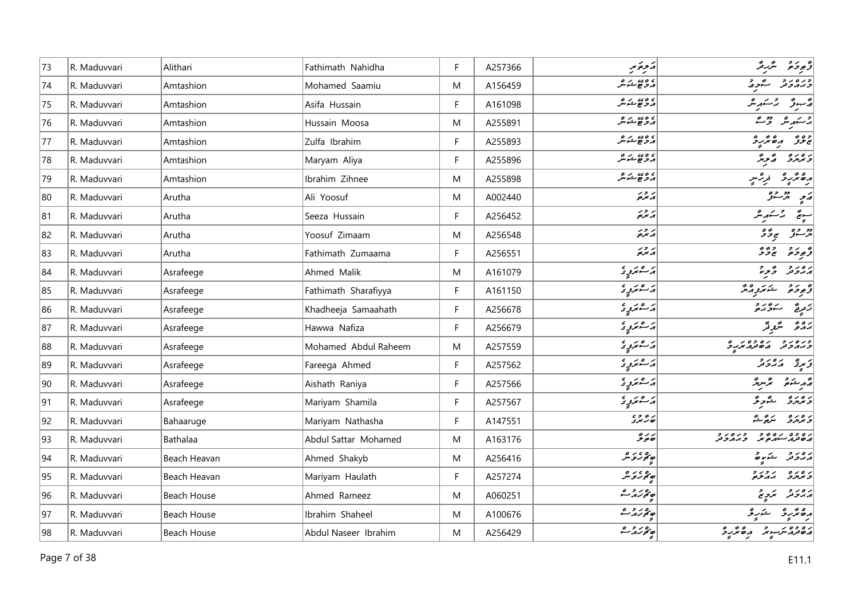| 73 | R. Maduvvari | Alithari           | Fathimath Nahidha    | F         | A257366 | وكمعرضو                               | قَە ئۇچ ئەھرىتىگە                                                                                    |
|----|--------------|--------------------|----------------------|-----------|---------|---------------------------------------|------------------------------------------------------------------------------------------------------|
| 74 | R. Maduvvari | Amtashion          | Mohamed Saamiu       | ${\sf M}$ | A156459 | <sup>ى 2</sup> ئەير ھ                 | ورەرو ئور                                                                                            |
| 75 | R. Maduvvari | Amtashion          | Asifa Hussain        | F         | A161098 | <sup>ى و</sup> عەشەكىر                | ۇجۇ ئەسىر                                                                                            |
| 76 | R. Maduvvari | Amtashion          | Hussain Moosa        | M         | A255891 | <sup>ى ە</sup> ئەشكەنگە               | برسكر مراجع وحسكم                                                                                    |
| 77 | R. Maduvvari | Amtashion          | Zulfa Ibrahim        | F         | A255893 | <sup>ى ە</sup> بى <sup>م</sup> شەھر   | ج در موسی د                                                                                          |
| 78 | R. Maduvvari | Amtashion          | Maryam Aliya         | F         | A255896 | <sup>ى ە</sup> ئەشەر ھ                | رەرە ئەر                                                                                             |
| 79 | R. Maduvvari | Amtashion          | Ibrahim Zihnee       | ${\sf M}$ | A255898 | ، ە ،،<br>مەرك شەمىر                  | وەتمەر قررىس                                                                                         |
| 80 | R. Maduvvari | Arutha             | Ali Yoosuf           | ${\sf M}$ | A002440 | بر ور                                 | $\begin{bmatrix} 0 & 2 & 2 \\ 3 & -2 & 2 \\ 3 & 3 & 2 \end{bmatrix}$                                 |
| 81 | R. Maduvvari | Arutha             | Seeza Hussain        | F         | A256452 | ەر برە                                | سويج برسكوبتر                                                                                        |
| 82 | R. Maduvvari | Arutha             | Yoosuf Zimaam        | ${\sf M}$ | A256548 | بر در                                 | دو وه<br>در سور<br>سم پر پر و<br>مح                                                                  |
| 83 | R. Maduvvari | Arutha             | Fathimath Zumaama    | F         | A256551 | بر ور                                 | و و دوو                                                                                              |
| 84 | R. Maduvvari | Asrafeege          | Ahmed Malik          | M         | A161079 | ىر شەنىزى <sub>ر</sub> ئ              | برەر د ئورژ                                                                                          |
| 85 | R. Maduvvari | Asrafeege          | Fathimath Sharafiyya | F         | A161150 | ىر شەنىرى <sub>ر</sub> ،              | توجوجة خنزومة                                                                                        |
| 86 | R. Maduvvari | Asrafeege          | Khadheeja Samaahath  | F         | A256678 | لەسشىمۇ ئە                            | ر<br>ترورچٌ<br>ر بر در د<br>سنوگرمی                                                                  |
| 87 | R. Maduvvari | Asrafeege          | Hawwa Nafiza         | F         | A256679 | ىر شەنىرى <sub>ر</sub> ،              | رەپ شموش                                                                                             |
| 88 | R. Maduvvari | Asrafeege          | Mohamed Abdul Raheem | ${\sf M}$ | A257559 | ىر شەنىرى <sub>ر</sub> ،<br>م         | כנסנכ נסכסנים<br>כממכת מסתממנים                                                                      |
| 89 | R. Maduvvari | Asrafeege          | Fareega Ahmed        | F         | A257562 | ىر شەنئەر <sub>ى</sub>                | كوسيتى مدرور                                                                                         |
| 90 | R. Maduvvari | Asrafeege          | Aishath Raniya       | F         | A257566 | ىر شەنىزى <sub>ر</sub> ،              | مەر شىم ئىس                                                                                          |
| 91 | R. Maduvvari | Asrafeege          | Mariyam Shamila      | F         | A257567 | ىز س <sup>9</sup> ىخرى <sub>ر</sub> ى | ر ه ر ه<br><del>ر</del> بر بر ژ<br>ستگرگر                                                            |
| 92 | R. Maduvvari | Bahaaruge          | Mariyam Nathasha     | F         | A147551 | ر و د ،<br>ن <i>ه ر</i> بر د          | سرچرت<br>ر ه ر ه<br><del>د</del> بربرو                                                               |
| 93 | R. Maduvvari | Bathalaa           | Abdul Sattar Mohamed | ${\sf M}$ | A163176 | ەەتر                                  | נסכם נסמכ כנסנכ<br>הסנג התמינ כגגכנ                                                                  |
| 94 | R. Maduvvari | Beach Heavan       | Ahmed Shakyb         | M         | A256416 | پەنزوتىر                              | أرور ومنتصره                                                                                         |
| 95 | R. Maduvvari | Beach Heavan       | Mariyam Haulath      | F         | A257274 | پەنزىر قىر                            | נים נים ניביק ביו המידים.<br>המידודה המידים                                                          |
| 96 | R. Maduvvari | <b>Beach House</b> | Ahmed Rameez         | ${\sf M}$ | A060251 | پەنزار م                              | أرور والمحتاج المحمدة المحمدة المتحفظة المتفاجدة المتفاجدة المتفاجدة المتفاجدة المتفاجدة المتفاجدة ا |
| 97 | R. Maduvvari | <b>Beach House</b> | Ibrahim Shaheel      | ${\sf M}$ | A100676 | ھەممەر 2                              | ە ھەترىر <sup>ە</sup>                                                                                |
| 98 | R. Maduvvari | <b>Beach House</b> | Abdul Naseer Ibrahim | ${\sf M}$ | A256429 | 27.80                                 | גם כפית בי תפית פ                                                                                    |
|    |              |                    |                      |           |         |                                       |                                                                                                      |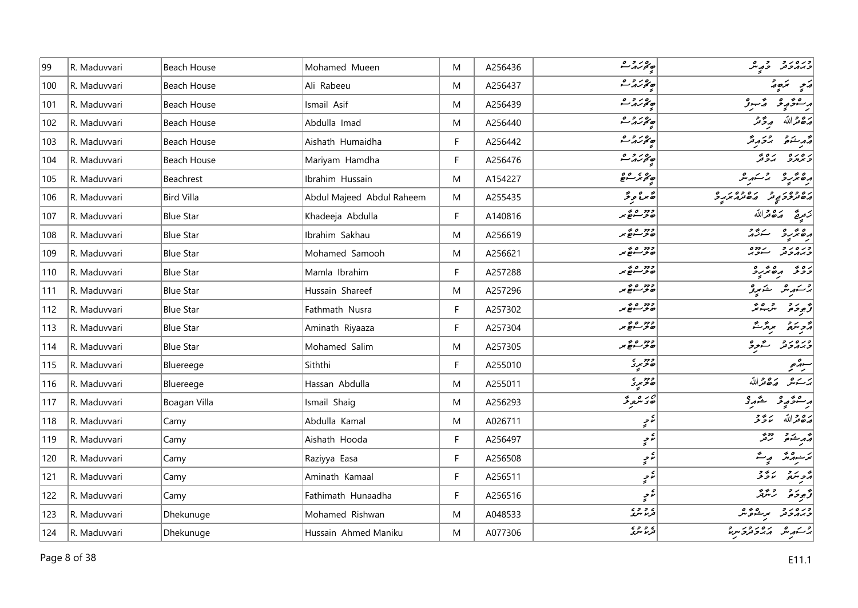| 99  | R. Maduvvari | <b>Beach House</b> | Mohamed Mueen             | M | A256436 | ھەممەر 2                                                                                                                                                                                                                                                                                                                       | ورەرو وړی                                                                       |
|-----|--------------|--------------------|---------------------------|---|---------|--------------------------------------------------------------------------------------------------------------------------------------------------------------------------------------------------------------------------------------------------------------------------------------------------------------------------------|---------------------------------------------------------------------------------|
| 100 | R. Maduvvari | <b>Beach House</b> | Ali Rabeeu                | M | A256437 | پەيز ئەر                                                                                                                                                                                                                                                                                                                       | $\begin{bmatrix} 2 & 2 & 2 & 2 \\ 2 & 2 & 2 & 2 \\ 2 & 2 & 2 & 2 \end{bmatrix}$ |
| 101 | R. Maduvvari | <b>Beach House</b> | Ismail Asif               | M | A256439 | ە ئۇ ئەمر م                                                                                                                                                                                                                                                                                                                    | وستخفي فيسو                                                                     |
| 102 | R. Maduvvari | <b>Beach House</b> | Abdulla Imad              | M | A256440 | ە ئۇ ئەمر م                                                                                                                                                                                                                                                                                                                    | ەھىراللە<br>ەر ئەتر                                                             |
| 103 | R. Maduvvari | <b>Beach House</b> | Aishath Humaidha          | F | A256442 | $\frac{1}{2}$                                                                                                                                                                                                                                                                                                                  | برىز برمتر<br>پ <sup>و</sup> پر ڪوير                                            |
| 104 | R. Maduvvari | <b>Beach House</b> | Mariyam Hamdha            | F | A256476 | ھەممەر 2                                                                                                                                                                                                                                                                                                                       | رەرە بەەر                                                                       |
| 105 | R. Maduvvari | Beachrest          | Ibrahim Hussain           | M | A154227 | $\begin{bmatrix} 0 & 0 & 0 & 0 \\ 0 & 0 & 0 & 0 \\ 0 & 0 & 0 & 0 \\ 0 & 0 & 0 & 0 \\ 0 & 0 & 0 & 0 \\ 0 & 0 & 0 & 0 \\ 0 & 0 & 0 & 0 \\ 0 & 0 & 0 & 0 \\ 0 & 0 & 0 & 0 \\ 0 & 0 & 0 & 0 \\ 0 & 0 & 0 & 0 \\ 0 & 0 & 0 & 0 \\ 0 & 0 & 0 & 0 \\ 0 & 0 & 0 & 0 & 0 \\ 0 & 0 & 0 & 0 & 0 \\ 0 & 0 & 0 & 0 & 0 \\ 0 & 0 & 0 & 0 & $ | رە ئەر ئەسىر ش                                                                  |
| 106 | R. Maduvvari | <b>Bird Villa</b>  | Abdul Majeed Abdul Raheem | M | A255435 | قاسد؟ عرقته                                                                                                                                                                                                                                                                                                                    | קס כסק כדור הסיקות הקברית.<br>הסיקיבר ביק הסיקות הקברי                          |
| 107 | R. Maduvvari | <b>Blue Star</b>   | Khadeeja Abdulla          | F | A140816 | ەددە ئەھمىر                                                                                                                                                                                                                                                                                                                    | ترميعً صَصْحَراللّه                                                             |
| 108 | R. Maduvvari | <b>Blue Star</b>   | Ibrahim Sakhau            | M | A256619 | ەدد ەپچ بر                                                                                                                                                                                                                                                                                                                     | وە ئۇرۇ سىزد                                                                    |
| 109 | R. Maduvvari | <b>Blue Star</b>   | Mohamed Samooh            | M | A256621 | د دو ه ه پ <sub>م</sub>                                                                                                                                                                                                                                                                                                        | وره رو دوده<br><i>دې</i> ډرونر سوربر                                            |
| 110 | R. Maduvvari | <b>Blue Star</b>   | Mamla Ibrahim             | F | A257288 | ەددە ئەير                                                                                                                                                                                                                                                                                                                      | دوء مقبره                                                                       |
| 111 | R. Maduvvari | <b>Blue Star</b>   | Hussain Shareef           | M | A257296 | د دوره پ <sup>ه</sup> پر                                                                                                                                                                                                                                                                                                       | چەسىر شەھىرى                                                                    |
| 112 | R. Maduvvari | <b>Blue Star</b>   | Fathmath Nusra            | F | A257302 | ەددە ئەير                                                                                                                                                                                                                                                                                                                      | و ده ده و                                                                       |
| 113 | R. Maduvvari | <b>Blue Star</b>   | Aminath Riyaaza           | F | A257304 | ەددە ئەير                                                                                                                                                                                                                                                                                                                      | أأزجر ستركع المرمركسة                                                           |
| 114 | R. Maduvvari | <b>Blue Star</b>   | Mohamed Salim             | M | A257305 | ەددە ئەير                                                                                                                                                                                                                                                                                                                      | ورەرو ئىوۋ                                                                      |
| 115 | R. Maduvvari | Bluereege          | Siththi                   | F | A255010 | د دد پر پر<br>ھنر مرد                                                                                                                                                                                                                                                                                                          | سوهرمو                                                                          |
| 116 | R. Maduvvari | Bluereege          | Hassan Abdulla            | M | A255011 | و دو د پر<br>  حام پرې                                                                                                                                                                                                                                                                                                         | برسك مكافي الله                                                                 |
| 117 | R. Maduvvari | Boagan Villa       | Ismail Shaig              | M | A256293 | 2 كىمبرۇ.<br>مەس                                                                                                                                                                                                                                                                                                               | ر شۇرچى ھەرقى                                                                   |
| 118 | R. Maduvvari | Camy               | Abdulla Kamal             | M | A026711 | ء<br>موج                                                                                                                                                                                                                                                                                                                       | رَة قرالله عَرَّقْر                                                             |
| 119 | R. Maduvvari | Camy               | Aishath Hooda             | F | A256497 | ې<br>موسي                                                                                                                                                                                                                                                                                                                      | و در دور<br>مگر شوه گرفر                                                        |
| 120 | R. Maduvvari | Camy               | Raziyya Easa              | F | A256508 | ے<br>موج                                                                                                                                                                                                                                                                                                                       | لىرىنىدە ئەستە                                                                  |
| 121 | R. Maduvvari | Camy               | Aminath Kamaal            | F | A256511 | $\begin{bmatrix} 1 & \epsilon \\ \epsilon & \epsilon \end{bmatrix}$                                                                                                                                                                                                                                                            |                                                                                 |
| 122 | R. Maduvvari | Camy               | Fathimath Hunaadha        | F | A256516 | ې<br>موج                                                                                                                                                                                                                                                                                                                       | و ده د بروگر                                                                    |
| 123 | R. Maduvvari | Dhekunuge          | Mohamed Rishwan           | M | A048533 | ړ و و ،<br>تور مسری                                                                                                                                                                                                                                                                                                            | ورەرو برىشۇش                                                                    |
| 124 | R. Maduvvari | Dhekunuge          | Hussain Ahmed Maniku      | M | A077306 | ے ج ج ے<br>توریم سری                                                                                                                                                                                                                                                                                                           | ג אית הפיצבית                                                                   |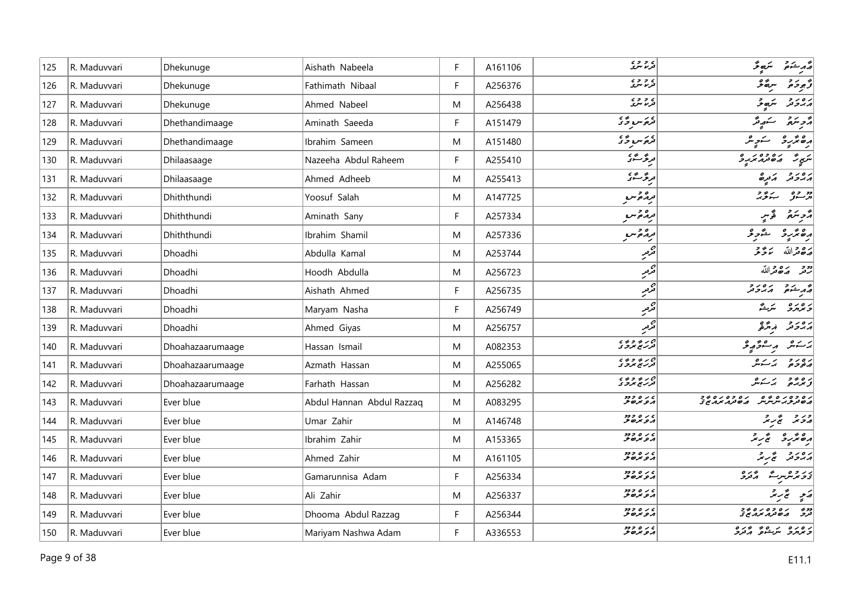| 125 | R. Maduvvari | Dhekunuge        | Aishath Nabeela           | F         | A161106 | ړ و و ،<br>تور مسری                      | سَهِ تَر<br>وگەرىشكە ئە<br>كەنبەر سىكە ئە                                    |
|-----|--------------|------------------|---------------------------|-----------|---------|------------------------------------------|------------------------------------------------------------------------------|
| 126 | R. Maduvvari | Dhekunuge        | Fathimath Nibaal          | F.        | A256376 | ړ د د ،<br>تر <i>با</i> مر               | سرڭ ئى<br>ا تو بر در<br>ا                                                    |
| 127 | R. Maduvvari | Dhekunuge        | Ahmed Nabeel              | M         | A256438 | ، و و ،<br>تور سری                       | ر ە ر د<br>م <i>رگ</i> دىر<br>سرە ئر                                         |
| 128 | R. Maduvvari | Dhethandimaage   | Aminath Saeeda            | F.        | A151479 | ے پر ہر ہے تا<br>توجہ مسرع حرک           | أأرمره<br>سەھە قر                                                            |
| 129 | R. Maduvvari | Dhethandimaage   | Ibrahim Sameen            | M         | A151480 | مُرتَد سو رَّ رَ                         | ە ھەترىر <sup>ە</sup>                                                        |
| 130 | R. Maduvvari | Dhilaasaage      | Nazeeha Abdul Raheem      | F         | A255410 | ەرگۇرىچى                                 | ىتىي تە<br>ر ه د ه د ر ه<br>پره تربر تربر و                                  |
| 131 | R. Maduvvari | Dhilaasaage      | Ahmed Adheeb              | M         | A255413 | ەر ئۇ سەمى                               | رەرو رورة                                                                    |
| 132 | R. Maduvvari | Dhiththundi      | Yoosuf Salah              | ${\sf M}$ | A147725 | مروح سو                                  | در حره<br>ىبە بۇر                                                            |
| 133 | R. Maduvvari | Dhiththundi      | Aminath Sany              | F.        | A257334 | وره و سر                                 | أرمر تركيح<br>ڪچ سر                                                          |
| 134 | R. Maduvvari | Dhiththundi      | Ibrahim Shamil            | M         | A257336 | لره د موسع                               | رەپزېر<br>ستگروگو                                                            |
| 135 | R. Maduvvari | Dhoadhi          | Abdulla Kamal             | M         | A253744 | اچھ<br>س                                 | مَصْغَراللّه<br>رءو                                                          |
| 136 | R. Maduvvari | Dhoadhi          | Hoodh Abdulla             | M         | A256723 | اچ<br>معر                                | ودو رەقراللە                                                                 |
| 137 | R. Maduvvari | Dhoadhi          | Aishath Ahmed             | F         | A256735 | اچ<br>مر                                 | بر ٥ پر و<br>م <i>ر</i> بر <del>و</del> تر<br>و مرکز در<br>مرکز مشور         |
| 138 | R. Maduvvari | Dhoadhi          | Maryam Nasha              | F         | A256749 | تحرمر                                    | رەرە بەي                                                                     |
| 139 | R. Maduvvari | Dhoadhi          | Ahmed Giyas               | M         | A256757 | ە<br>مۇمر                                | ړه د پر په                                                                   |
| 140 | R. Maduvvari | Dhoahazaarumaage | Hassan Ismail             | M         | A082353 |                                          | ىرىكى مەسىرە بولۇ                                                            |
| 141 | R. Maduvvari | Dhoahazaarumaage | Azmath Hassan             | M         | A255065 | ہ ر ر و ر د<br>ترر پخ بور ی              | رەرد برىكە                                                                   |
| 142 | R. Maduvvari | Dhoahazaarumaage | Farhath Hassan            | M         | A256282 | ہ ر یہ و یہ ،<br>توریخ بو <del>ر</del> ی | رەپەر برىكە                                                                  |
| 143 | R. Maduvvari | Ever blue        | Abdul Hannan Abdul Razzaq | M         | A083295 | ړ ره ووو<br>درې مرحانۍ                   | ر ۵ ر ۵ ر ۵ ر و ۶<br>ג ه تر ۱ ر ۲ ر م<br>ر ه و ه د ه د ه.<br>پرې تربر سرسرسر |
| 144 | R. Maduvvari | Ever blue        | Umar Zahir                | M         | A146748 | ړ ره ووو<br>درې مرحافر                   | ور و پر د                                                                    |
| 145 | R. Maduvvari | Ever blue        | Ibrahim Zahir             | M         | A153365 | ړ ره ووو<br>درې مرحاتو                   | ېر ھې تر په د<br>پچ ریز<br>پخ ریز                                            |
| 146 | R. Maduvvari | Ever blue        | Ahmed Zahir               | M         | A161105 | ړ ره ووو<br>درې مرحامل                   | دەر دېم تورىتى                                                               |
| 147 | R. Maduvvari | Ever blue        | Gamarunnisa Adam          | F         | A256334 | ړ ره ووو<br>درې مرحانۍ                   | ر ر بر ه<br>تون مر مگر سر سگر<br>پور ہ<br>مرکز ژ                             |
| 148 | R. Maduvvari | Ever blue        | Ali Zahir                 | M         | A256337 | ړ ره ووو<br>درې مرحامل                   | ويد تج سر بر                                                                 |
| 149 | R. Maduvvari | Ever blue        | Dhooma Abdul Razzag       | F.        | A256344 | ړ ره ووو<br>درې مرحاتو                   | בכל הם כם הם מב<br>בקב" הם בקו <i>ת מ</i> היב ב                              |
| 150 | R. Maduvvari | Ever blue        | Mariyam Nashwa Adam       | F         | A336553 | ړ ره ووو<br>درې مرحافر                   | ر ٥ ر ٥ مرے ۶ مرے<br>تر <i>بر برگ شوش م</i> قر                               |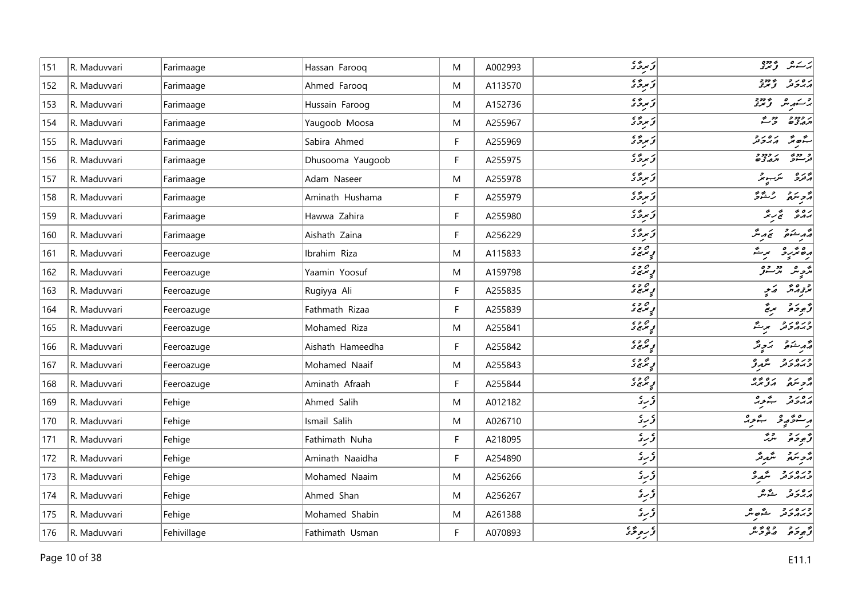| 151 | R. Maduvvari | Farimaage   | Hassan Farooq    | Μ  | A002993 | ئە ئىردىمى<br>ئ                              | برسەيىتە<br>یر وج ہ<br>تو محرکی            |
|-----|--------------|-------------|------------------|----|---------|----------------------------------------------|--------------------------------------------|
| 152 | R. Maduvvari | Farimaage   | Ahmed Faroog     | M  | A113570 | ۇ بىردى                                      | ر ہ ر د و و و و<br>م برح تر تر تر تر تر تر |
| 153 | R. Maduvvari | Farimaage   | Hussain Faroog   | M  | A152736 | ئە ئىردىمى<br>ئ                              | جر ڪهر پڻ وار وار                          |
| 154 | R. Maduvvari | Farimaage   | Yaugoob Moosa    | M  | A255967 | ۇ بىر ۋ ئ                                    | ر دود و در م                               |
| 155 | R. Maduvvari | Farimaage   | Sabira Ahmed     | F. | A255969 | ۇ ئىردى<br>ئ                                 | پرور و<br>بڈھ ٹر                           |
| 156 | R. Maduvvari | Farimaage   | Dhusooma Yaugoob | F  | A255975 | ۇىردى                                        | و دونو<br>ترسنون<br>ן כדב ב<br>חקה בים     |
| 157 | R. Maduvvari | Farimaage   | Adam Naseer      | Μ  | A255978 | ۇ ئىردىگى<br>ئىس                             | ەرە سەببەر                                 |
| 158 | R. Maduvvari | Farimaage   | Aminath Hushama  | F  | A255979 | ۇ ئىردى<br>ئ                                 |                                            |
| 159 | R. Maduvvari | Farimaage   | Hawwa Zahira     | F. | A255980 | ئە ئىردىمى<br>ئ                              | بره و سم پر                                |
| 160 | R. Maduvvari | Farimaage   | Aishath Zaina    | F. | A256229 | ۇىردى                                        | أشهر شنعتي بمجاريش                         |
| 161 | R. Maduvvari | Feeroazuge  | Ibrahim Riza     | M  | A115833 | و ۶ و ۽<br>پي تريج <sub>ک</sub>              | وەترىرو برگ                                |
| 162 | R. Maduvvari | Feeroazuge  | Yaamin Yoosuf    | Μ  | A159798 | د ۶ و ۽<br>پي تريج <sub>ک</sub>              | دد وه<br>در سور<br>ېژ <sub>چ</sub> بىر     |
| 163 | R. Maduvvari | Feeroazuge  | Rugiyya Ali      | F. | A255835 | و چې د ،<br>په پندې د                        | ترترمرمز<br>ەرىر                           |
| 164 | R. Maduvvari | Feeroazuge  | Fathmath Rizaa   | F  | A255839 | وپرېږ                                        | وٌ جو حر ح<br>سريح                         |
| 165 | R. Maduvvari | Feeroazuge  | Mohamed Riza     | Μ  | A255841 | و چو یر<br>محی <sup>متر</sup> ی <sub>ک</sub> | و ره ر د<br><i>د بر</i> د تر<br>ىرىش       |
| 166 | R. Maduvvari | Feeroazuge  | Aishath Hameedha | F. | A255842 | و چې د ،<br>نو پرېځ د                        | مەر خىم ئىچە                               |
| 167 | R. Maduvvari | Feeroazuge  | Mohamed Naaif    | M  | A255843 | وپرېږ                                        | ورەر ئەرۋ                                  |
| 168 | R. Maduvvari | Feeroazuge  | Aminath Afraah   | F. | A255844 | و چرې د<br>م <sub>و</sub> ټرې د              | أزويته روءه                                |
| 169 | R. Maduvvari | Fehige      | Ahmed Salih      | Μ  | A012182 | ې<br>توريخ                                   | رەرد ئەر                                   |
| 170 | R. Maduvvari | Fehige      | Ismail Salih     | M  | A026710 | ې<br>توري                                    | ستزور<br>لرمشۇرچ                           |
| 171 | R. Maduvvari | Fehige      | Fathimath Nuha   | F. | A218095 | ې<br>توري                                    | و و ده در                                  |
| 172 | R. Maduvvari | Fehige      | Aminath Naaidha  | F  | A254890 | ې<br>توريخ                                   | أأدبتكم التمرقر                            |
| 173 | R. Maduvvari | Fehige      | Mohamed Naaim    | M  | A256266 | ې<br>توريخ                                   | و ره ر د<br><i>د بر</i> د تر<br>سمەر       |
| 174 | R. Maduvvari | Fehige      | Ahmed Shan       | M  | A256267 | ې<br>توريخ                                   | رەر ئەش                                    |
| 175 | R. Maduvvari | Fehige      | Mohamed Shabin   | Μ  | A261388 | ې ر <sub>ې</sub><br>تر ر                     | و ر ه ر و<br>تر پر ټر تر<br>شەھ س          |
| 176 | R. Maduvvari | Fehivillage | Fathimath Usman  | F. | A070893 | ې <sub>مرحو</sub> مځۍ<br>نرمړ                | قرم ده ده ده ک                             |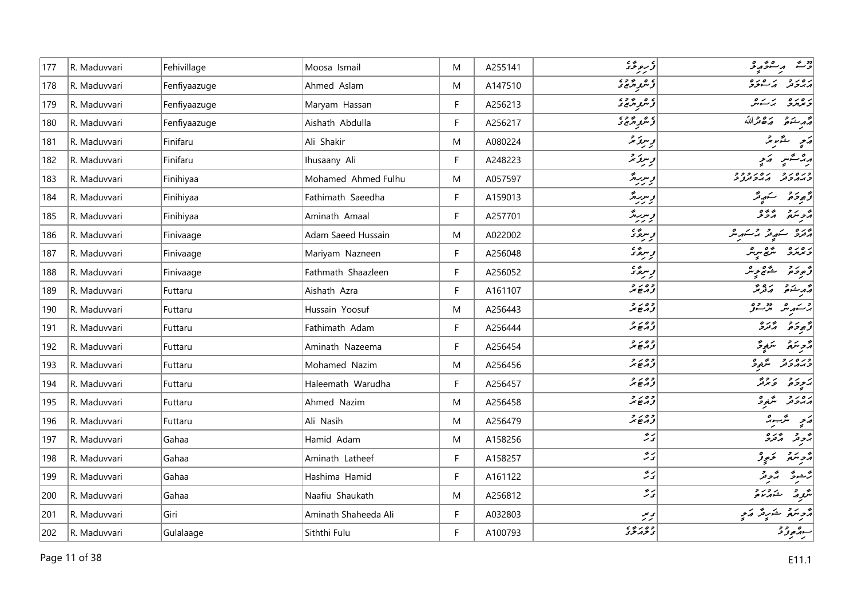| 177 | R. Maduvvari | Fehivillage  | Moosa Ismail         | M  | A255141 | ى<br>تۈرۈپچە                            | اروم پر موځو پو                   |
|-----|--------------|--------------|----------------------|----|---------|-----------------------------------------|-----------------------------------|
| 178 | R. Maduvvari | Fenfiyaazuge | Ahmed Aslam          | M  | A147510 | ، هېږ پر ده<br>نو شو پر پر <sub>ک</sub> | ړه رو پر ۱۹۷۵                     |
| 179 | R. Maduvvari | Fenfiyaazuge | Maryam Hassan        | F  | A256213 | ې هرو پر دې<br>د شرو پر پر              | رەرە يەسەر                        |
| 180 | R. Maduvvari | Fenfiyaazuge | Aishath Abdulla      | F  | A256217 | ئۇ شرىر تەرى<br>  ئۇ شرىر تىرى          | أشهر مشوم ومحصر الله              |
| 181 | R. Maduvvari | Finifaru     | Ali Shakir           | M  | A080224 | ارسدنه<br><u>س</u>                      | أەسمج مقسم يىتى                   |
| 182 | R. Maduvvari | Finifaru     | Ihusaany Ali         | F  | A248223 | وسوتر                                   | برر محسر الأمر                    |
| 183 | R. Maduvvari | Finihiyaa    | Mohamed Ahmed Fulhu  | M  | A057597 | او سربر پژ<br><u>سبب</u>                |                                   |
| 184 | R. Maduvvari | Finihiyaa    | Fathimath Saeedha    | F  | A159013 | و سربر پژ<br>مرس                        | توجوختم سكم يتمر                  |
| 185 | R. Maduvvari | Finihiyaa    | Aminath Amaal        | F  | A257701 | و سربر پژ<br>سر                         | أزويتهم أردمى                     |
| 186 | R. Maduvvari | Finivaage    | Adam Saeed Hussain   | M  | A022002 | او مدینچ<br>من                          | أوره كورة بمكتر ش                 |
| 187 | R. Maduvvari | Finivaage    | Mariyam Nazneen      | F. | A256048 | وسرچء                                   | رەرە شىرسى                        |
| 188 | R. Maduvvari | Finivaage    | Fathmath Shaazleen   | F  | A256052 | و سرچ <sup>ء</sup><br>بر                | أقرم وحرقته ويشر وينكر            |
| 189 | R. Maduvvari | Futtaru      | Aishath Azra         | F  | A161107 | د ه د د<br>ز د ج بر                     | و ديده ده و                       |
| 190 | R. Maduvvari | Futtaru      | Hussain Yoosuf       | M  | A256443 | د ه د د<br>ز د چ بر                     | جر سور بھر دو وہ<br>پر سور میں مر |
| 191 | R. Maduvvari | Futtaru      | Fathimath Adam       | F  | A256444 | و ه ء چ<br>تو پر جگ                     | توجو حماده                        |
| 192 | R. Maduvvari | Futtaru      | Aminath Nazeema      | F. | A256454 | د ه د د<br>ز د ج بر                     | أأروبتكم تتفجي                    |
| 193 | R. Maduvvari | Futtaru      | Mohamed Nazim        | M  | A256456 | دەر د<br>زەغىر                          | ورەر د شخىر 2                     |
| 194 | R. Maduvvari | Futtaru      | Haleemath Warudha    | F. | A256457 | تر پر بچ تئر                            | يروزه وترور                       |
| 195 | R. Maduvvari | Futtaru      | Ahmed Nazim          | M  | A256458 | و ه ء چ<br>تو پر جگ                     | رەرد شھرى                         |
| 196 | R. Maduvvari | Futtaru      | Ali Nasih            | M  | A256479 | دەر د<br>زەغىر                          | ر<br>موسیقی مترجون                |
| 197 | R. Maduvvari | Gahaa        | Hamid Adam           | M  | A158256 | ىزچ                                     | بر در دره<br>بروتر مترد           |
| 198 | R. Maduvvari | Gahaa        | Aminath Latheef      | F  | A158257 | ىرچ                                     | أأداره أوالمحجو                   |
| 199 | R. Maduvvari | Gahaa        | Hashima Hamid        | F  | A161122 | ىزچ                                     | ر<br>محسور محمد                   |
| 200 | R. Maduvvari | Gahaa        | Naafiu Shaukath      | M  | A256812 | ىرچ                                     | شمور <sup>ة</sup> شەدرىيە         |
| 201 | R. Maduvvari | Giri         | Aminath Shaheeda Ali | F  | A032803 | ىرىمر                                   | وحاجم المستور والمتعمر وأستحرج    |
| 202 | R. Maduvvari | Gulalaage    | Siththi Fulu         | F  | A100793 | و ه بر پر پر<br>پر بحري                 | سوره ووعه                         |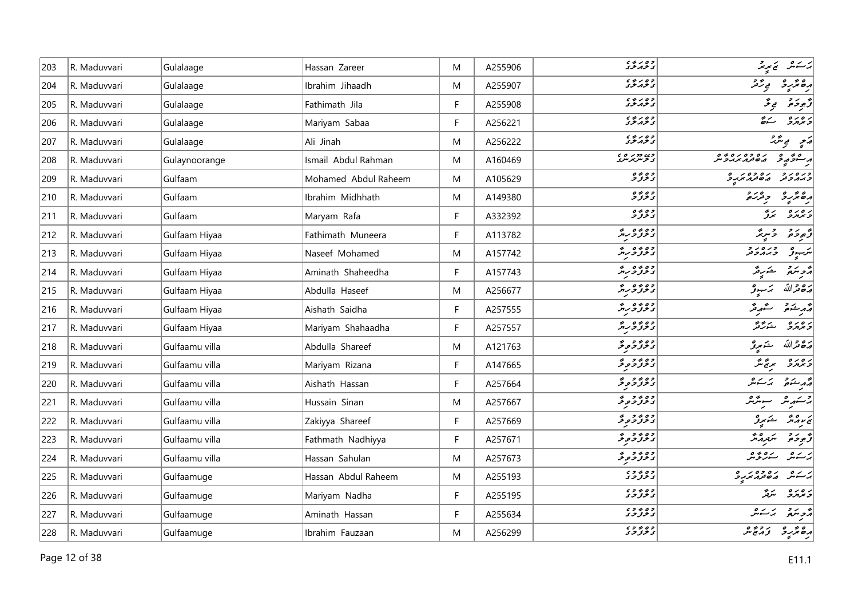| 203 | R. Maduvvari | Gulalaage      | Hassan Zareer        | ${\sf M}$ | A255906 | د ه د پر پر<br>د نوپرنو د               | برسەش<br>ئے بیر پٹر<br>پ                        |
|-----|--------------|----------------|----------------------|-----------|---------|-----------------------------------------|-------------------------------------------------|
| 204 | R. Maduvvari | Gulalaage      | Ibrahim Jihaadh      | ${\sf M}$ | A255907 | د ه د پر پر<br>د نوپرنو د               | ە ھەترىرى<br>برھ ترىرى<br>مح گر قر              |
| 205 | R. Maduvvari | Gulalaage      | Fathimath Jila       | F         | A255908 | و ه بر پر پر<br><b>بر بحر</b> بر        | و مرد<br>ترجو حرم<br>محرقحر                     |
| 206 | R. Maduvvari | Gulalaage      | Mariyam Sabaa        | F         | A256221 | و ه ر پر پر<br>پر نوکر                  | ر ه ر ه<br><del>و</del> بربرو<br>ىدە            |
| 207 | R. Maduvvari | Gulalaage      | Ali Jinah            | ${\sf M}$ | A256222 | و ه بر پر پر<br>پر بحري                 | ړې وېژن <sup>ژ</sup>                            |
| 208 | R. Maduvvari | Gulaynoorange  | Ismail Abdul Rahman  | M         | A160469 | وړ، دور ه ،<br>د نومبربوسر              | وسنتورو<br>ر ه و ه ر ه د ه<br>پره تر بر پر تر س |
| 209 | R. Maduvvari | Gulfaam        | Mohamed Abdul Raheem | ${\sf M}$ | A105629 | و ه و و<br>د ترگر                       |                                                 |
| 210 | R. Maduvvari | Gulfaam        | Ibrahim Midhhath     | ${\sf M}$ | A149380 | وه ۶ ه<br>کامونو                        | ى تەرىج<br>دە ئەرچ                              |
| 211 | R. Maduvvari | Gulfaam        | Maryam Rafa          | F         | A332392 | وه وه<br>د ترگر څر                      | ر ه ر ه<br><del>و</del> بربرو<br>ىرتى           |
| 212 | R. Maduvvari | Gulfaam Hiyaa  | Fathimath Muneera    | F         | A113782 | دە دەر.<br>ئاخرىق <i>ج</i> اب           | و مر د<br>تر مور می<br>ۇ سەپىر                  |
| 213 | R. Maduvvari | Gulfaam Hiyaa  | Naseef Mohamed       | M         | A157742 | وه وه ه درگر<br>د نوتو تر برگر          | و ر ه ر و<br><i>و پر</i> و تر<br>ىئرىب ۋ        |
| 214 | R. Maduvvari | Gulfaam Hiyaa  | Aminath Shaheedha    | F         | A157743 | وه وه ه رنگه<br>د <del>و</del> ر و رنگه | أرمر<br>شەرقە                                   |
| 215 | R. Maduvvari | Gulfaam Hiyaa  | Abdulla Haseef       | ${\sf M}$ | A256677 | وه وه ه رنگه<br>د نوتو تر برگ           | ەھىراللە<br>ىر سېدىۋ                            |
| 216 | R. Maduvvari | Gulfaam Hiyaa  | Aishath Saidha       | F         | A257555 | وه و و د پر                             | ستهرش<br>پ <sup>و</sup> مرشومو<br>مرم           |
| 217 | R. Maduvvari | Gulfaam Hiyaa  | Mariyam Shahaadha    | F         | A257557 | وه و و د پر                             | ر ه ر ه<br>د بربرو<br>شەرىخىر                   |
| 218 | R. Maduvvari | Gulfaamu villa | Abdulla Shareef      | M         | A121763 | د ووژ <sub>څرم</sub> و گ                | بَرْحُ قَرْاللَّهِ<br>شەمرۇ                     |
| 219 | R. Maduvvari | Gulfaamu villa | Mariyam Rizana       | F         | A147665 | د ووژ <sub>څرم</sub> و تر               | ىرىخ ئىر<br>ويربرو                              |
| 220 | R. Maduvvari | Gulfaamu villa | Aishath Hassan       | F         | A257664 | وە دورى<br>ئىمىقى <i>ھ</i> ەھ           | گەرشۇق بەسكىر                                   |
| 221 | R. Maduvvari | Gulfaamu villa | Hussain Sinan        | M         | A257667 | وه و و و گر                             | جر سەر بىر<br>سەمئرىئر                          |
| 222 | R. Maduvvari | Gulfaamu villa | Zakiyya Shareef      | F         | A257669 | دەپ دې گ                                | ىز مەر<br>ئ<br>ے موثر<br>سندسی                  |
| 223 | R. Maduvvari | Gulfaamu villa | Fathmath Nadhiyya    | F         | A257671 | <sup>و و</sup> وگ <sup>و</sup> و گ      | ۋۈدۈ سەرمەر                                     |
| 224 | R. Maduvvari | Gulfaamu villa | Hassan Sahulan       | ${\sf M}$ | A257673 | د ووژ <i>څ</i> و څ                      | ىزىكىش بەر ئەبۇلىر                              |
| 225 | R. Maduvvari | Gulfaamuge     | Hassan Abdul Raheem  | ${\sf M}$ | A255193 | د ه و د د ،<br>د ترتر تر د              | ر ه و ه ر ه<br>پره تر پر تر ر<br>برسەيىتە       |
| 226 | R. Maduvvari | Gulfaamuge     | Mariyam Nadha        | F         | A255195 | د ه و د د<br>د ترتر د د                 | رەرە بەر                                        |
| 227 | R. Maduvvari | Gulfaamuge     | Aminath Hassan       | F         | A255634 | د ه و د د ،<br>د نروگرد د               | برسەچر<br>ړ څه سره                              |
| 228 | R. Maduvvari | Gulfaamuge     | Ibrahim Fauzaan      | ${\sf M}$ | A256299 | د ه و و د<br>د ترتو تر د                | رەپۇر زېرى                                      |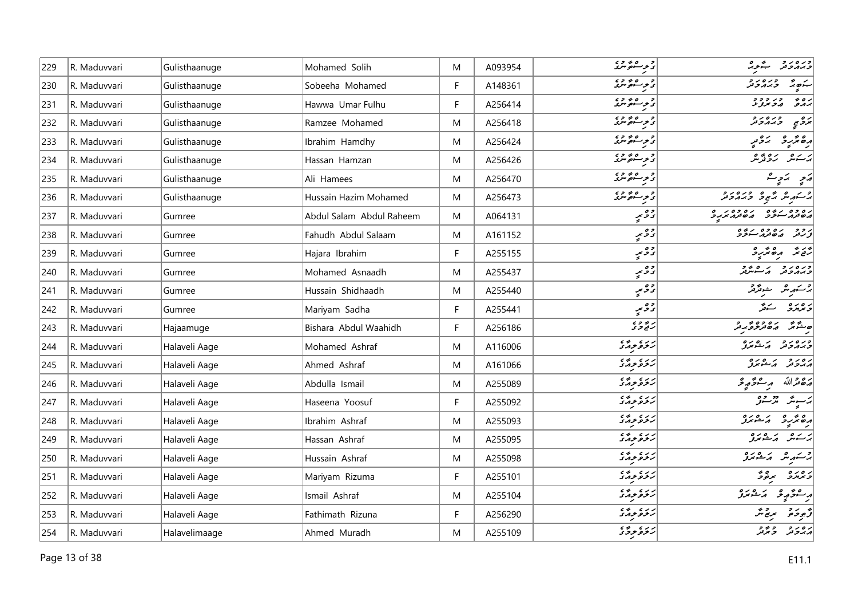| 229 | R. Maduvvari | Gulisthaanuge | Mohamed Solih            | M  | A093954 | د په روړې<br>  د پرېشو شرد                 | ورەرو بەدە                                                                                                                                                                                                             |
|-----|--------------|---------------|--------------------------|----|---------|--------------------------------------------|------------------------------------------------------------------------------------------------------------------------------------------------------------------------------------------------------------------------|
| 230 | R. Maduvvari | Gulisthaanuge | Sobeeha Mohamed          | F  | A148361 | د په ده وره<br>د <del>و</del> ر شمې سرو    | و ر ه ر و<br><i>و ټ</i> رو تر<br>إينوه                                                                                                                                                                                 |
| 231 | R. Maduvvari | Gulisthaanuge | Hawwa Umar Fulhu         | F  | A256414 | د په همه ده <del>په</del>                  | ره در درود<br>بردگر مرکزد                                                                                                                                                                                              |
| 232 | R. Maduvvari | Gulisthaanuge | Ramzee Mohamed           | M  | A256418 | د پرېشموري<br>  د پرېشموري                 | و ره ر د<br>تر پر تر تر<br>تروىچ                                                                                                                                                                                       |
| 233 | R. Maduvvari | Gulisthaanuge | Ibrahim Hamdhy           | M  | A256424 | د په ره و و د و د<br>  د په سوه مرد        | رەپرى <sub>ر</sub> و برو <sub>ىر</sub>                                                                                                                                                                                 |
| 234 | R. Maduvvari | Gulisthaanuge | Hassan Hamzan            | M  | A256426 | د په موسیق<br>  د پېړۍ هم مر <sub>کب</sub> | ئەستەش ئەۋ ئۇيتر                                                                                                                                                                                                       |
| 235 | R. Maduvvari | Gulisthaanuge | Ali Hamees               | M  | A256470 | د په موسوء<br>  د په موسود                 | ړې په په                                                                                                                                                                                                               |
| 236 | R. Maduvvari | Gulisthaanuge | Hussain Hazim Mohamed    | M  | A256473 | د و ه ه د د ،                              | ج کے مربع رکھنے و جاتا ہے جاتا ہے جاتا ہے جاتا ہے جاتا ہے کہ اس کا اس کا ان کے اس کا اس کا اس کا اس کا اس کا ا                                                                                                         |
| 237 | R. Maduvvari | Gumree        | Abdul Salam Abdul Raheem | M  | A064131 | أدومي                                      | גם כם גםם גם כם גם<br>גם <i>ע</i> ג <del>יינ</del> כ גם <i>נגיג</i> ב                                                                                                                                                  |
| 238 | R. Maduvvari | Gumree        | Fahudh Abdul Salaam      | M  | A161152 | ده مړ                                      | ر د د ده ده روه<br>زرند پره در سور                                                                                                                                                                                     |
| 239 | R. Maduvvari | Gumree        | Hajara Ibrahim           | F. | A255155 | ده مړ                                      | محدثه مقترح                                                                                                                                                                                                            |
| 240 | R. Maduvvari | Gumree        | Mohamed Asnaadh          | M  | A255437 | ده مړ                                      | ورەرو پەك بۇ                                                                                                                                                                                                           |
| 241 | R. Maduvvari | Gumree        | Hussain Shidhaadh        | M  | A255440 | وه<br>  د د س                              | بر کے مریکر اسٹوئرنس                                                                                                                                                                                                   |
| 242 | R. Maduvvari | Gumree        | Mariyam Sadha            | F  | A255441 | وه مړ                                      | رەرە بەر                                                                                                                                                                                                               |
| 243 | R. Maduvvari | Hajaamuge     | Bishara Abdul Waahidh    | F  | A256186 | ر ۶ و ٤<br>رق و د                          | ەشگە دەبەر دەر<br>ھەشكە مەھىر <i>وۋى</i> دىر                                                                                                                                                                           |
| 244 | R. Maduvvari | Halaveli Aage | Mohamed Ashraf           | M  | A116006 | ر ر ، و ، ،                                | ورەرو كەشىرو                                                                                                                                                                                                           |
| 245 | R. Maduvvari | Halaveli Aage | Ahmed Ashraf             | M  | A161066 | ر ز ء په په                                | رەرد كەشىر                                                                                                                                                                                                             |
| 246 | R. Maduvvari | Halaveli Aage | Abdulla Ismail           | M  | A255089 | ر ز ء په په                                | رەقماللە مەشقۇم ب                                                                                                                                                                                                      |
| 247 | R. Maduvvari | Halaveli Aage | Haseena Yoosuf           | F. | A255092 | ر زه د و و                                 | ائەسىدىش قرىسىدى<br>سىسىدىسى قرىسىدى                                                                                                                                                                                   |
| 248 | R. Maduvvari | Halaveli Aage | Ibrahim Ashraf           | M  | A255093 | ر ر ،                                      | رە ئەر ئەشىر                                                                                                                                                                                                           |
| 249 | R. Maduvvari | Halaveli Aage | Hassan Ashraf            | M  | A255095 | ر زه د ژه                                  | برسك من المستعمر                                                                                                                                                                                                       |
| 250 | R. Maduvvari | Halaveli Aage | Hussain Ashraf           | M  | A255098 | ر د ه د و و                                | برسكر مركز مركز                                                                                                                                                                                                        |
| 251 | R. Maduvvari | Halaveli Aage | Mariyam Rizuma           | F  | A255101 | ر د ه د و و                                | ر قارة من عدد المحمد المحمد المحمد المحمد المحمد المحمد المحمد المحمد المحمد المحمد المحمد المحمد ال<br>المحمد المحمد المحمد المحمد المحمد المحمد المحمد المحمد المحمد المحمد المحمد المحمد المحمد المحمد المحمد المحم |
| 252 | R. Maduvvari | Halaveli Aage | Ismail Ashraf            | M  | A255104 | ر ز ء و پر ء                               | وكالحمير وكالمنافذ                                                                                                                                                                                                     |
| 253 | R. Maduvvari | Halaveli Aage | Fathimath Rizuna         | F. | A256290 | ر ر ،                                      | ا تو پر چه د<br>ىرىخ مىگە                                                                                                                                                                                              |
| 254 | R. Maduvvari | Halavelimaage | Ahmed Muradh             | M  | A255109 | ر د ه د و د کا                             | ره رو و و و د<br>م.پروتر و برتر                                                                                                                                                                                        |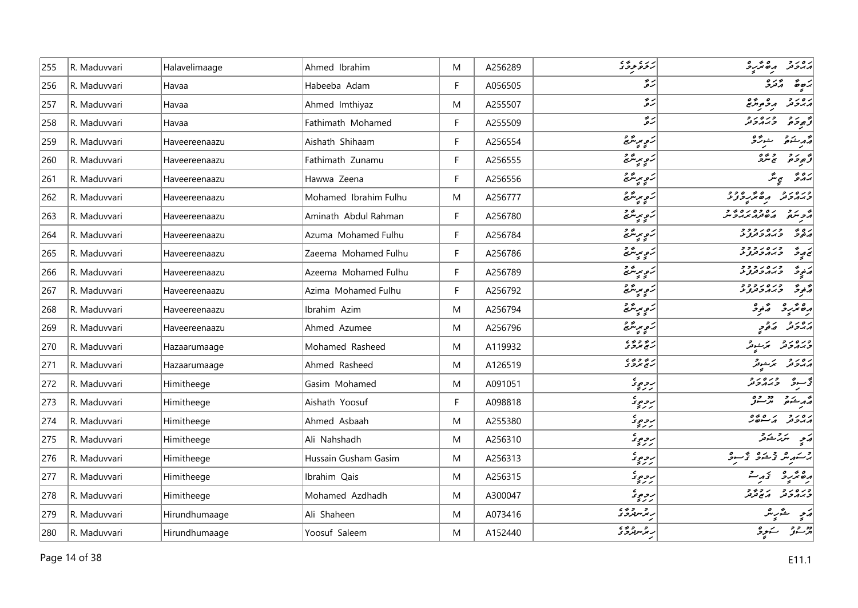| 255 | R. Maduvvari  | Halavelimaage | Ahmed Ibrahim         | Μ  | A256289 | رَ دَءَ وِ دُ ء                         | رورو مەھرىرى                                                   |
|-----|---------------|---------------|-----------------------|----|---------|-----------------------------------------|----------------------------------------------------------------|
| 256 | R. Maduvvari  | Havaa         | Habeeba Adam          | F  | A056505 | رپچ                                     | <br>  مەھ<br>پور ہ<br>مرمرو                                    |
| 257 | R. Maduvvari  | Havaa         | Ahmed Imthiyaz        | M  | A255507 | رپچ                                     | הכבנה הכתחה                                                    |
| 258 | R. Maduvvari  | Havaa         | Fathimath Mohamed     | F  | A255509 | رپچ                                     | و ر ه ر د<br>تربر تر تر<br>ۇ بور بو                            |
| 259 | R. Maduvvari  | Haveereenaazu | Aishath Shihaam       | F  | A256554 | ئە <sub>ھە</sub> بىر يۇچ                | و د شور د ده و د د کار<br>د کار سنور د کار د کار د کار د کار د |
| 260 | R. Maduvvari  | Haveereenaazu | Fathimath Zunamu      | F  | A256555 | ئە <sub>ھە</sub> بىر ئىرچ               | ح شرح<br>س<br>ا تو بر در<br>ا                                  |
| 261 | IR. Maduvvari | Haveereenaazu | Hawwa Zeena           | F. | A256556 | ئە <sub>ھە</sub> بىر مەڭتى<br>ئەس       | برە ئەستىر                                                     |
| 262 | R. Maduvvari  | Haveereenaazu | Mohamed Ibrahim Fulhu | M  | A256777 | ر <sub>ک</sub> و برېگنج                 | ورەرو مەھرىرورو                                                |
| 263 | R. Maduvvari  | Haveereenaazu | Aminath Abdul Rahman  | F. | A256780 | ئەھ بىر يېزىنچ                          | י גב גם בסגם זהב<br>גביתם גם <i>נגדי</i> גבית                  |
| 264 | R. Maduvvari  | Haveereenaazu | Azuma Mohamed Fulhu   | F  | A256784 | ئە <sub>ھە</sub> بىر ئىرچ               | ره د دره رددد<br>من د سرد تروند                                |
| 265 | R. Maduvvari  | Haveereenaazu | Zaeema Mohamed Fulhu  | F. | A256786 | ئە <sub>ھە</sub> بىر م <sup>ىرى</sup> ج | و ر ٥ ر و و و<br>تر بر بر تر تر تر<br>ىجەچ                     |
| 266 | R. Maduvvari  | Haveereenaazu | Azeema Mohamed Fulhu  | F  | A256789 | ارَهِ بِرِيُّنِجَ                       | پر نوچ<br>مرنج<br>و ره ر و و و<br>تر پر تر تر تو تر            |
| 267 | R. Maduvvari  | Haveereenaazu | Azima Mohamed Fulhu   | F  | A256792 | لئوبرىثرى                               | ەئمى ئە<br>و ر ه ر و و و<br>تر پر تر تر تو تر                  |
| 268 | R. Maduvvari  | Haveereenaazu | Ibrahim Azim          | M  | A256794 | ئە <sub>ھ</sub> بىر م <sup>ەج</sup>     | وە ئەر ئەنو                                                    |
| 269 | R. Maduvvari  | Haveereenaazu | Ahmed Azumee          | M  | A256796 | رَهٍ بِرِيثَرِيحَ                       | أرور والمنافع                                                  |
| 270 | R. Maduvvari  | Hazaarumaage  | Mohamed Rasheed       | M  | A119932 | ر ۶ و ۶ ء<br>رسخ مور ی                  | ورەرو برشوتر                                                   |
| 271 | R. Maduvvari  | Hazaarumaage  | Ahmed Rasheed         | M  | A126519 | ر پر و پر ی<br>تر پنج بوری              | أرور و مرشوقر                                                  |
| 272 | R. Maduvvari  | Himitheege    | Gasim Mohamed         | M  | A091051 | ر و هو د<br>بر د پو                     | و دره دره<br>اق <sup>سو</sup> درمدد                            |
| 273 | R. Maduvvari  | Himitheege    | Aishath Yoosuf        | F  | A098818 | ر و هو د<br>بر ر                        | ه در در دوره<br>امکار شده افراد                                |
| 274 | R. Maduvvari  | Himitheege    | Ahmed Asbaah          | Μ  | A255380 | ر و مو د<br>ر ر و                       | رەرد رەپرە                                                     |
| 275 | R. Maduvvari  | Himitheege    | Ali Nahshadh          | Μ  | A256310 | ر حرمو ځ<br>پر ترنيځ                    | أەكىم ئىرگە شەقر                                               |
| 276 | R. Maduvvari  | Himitheege    | Hussain Gusham Gasim  | M  | A256313 | ر و هو د<br>بر ريخ                      | چە سەر سى تۇ ھەت تۇسىر تە                                      |
| 277 | R. Maduvvari  | Himitheege    | Ibrahim Qais          | M  | A256315 | ر و هو د<br>بر ر                        | مەھتىرو تىمى                                                   |
| 278 | R. Maduvvari  | Himitheege    | Mohamed Azdhadh       | M  | A300047 | ر و هو د<br>بر ر                        | ورەرو روپ <sub>ە</sub> و<br><i>دىد</i> رونر مەن                |
| 279 | R. Maduvvari  | Hirundhumaage | Ali Shaheen           | M  | A073416 | ر پر سرچرۍ                              | أركمت والمتفريش                                                |
| 280 | R. Maduvvari  | Hirundhumaage | Yoosuf Saleem         | M  | A152440 | ر پژسرپژگری                             | دو دو سندو                                                     |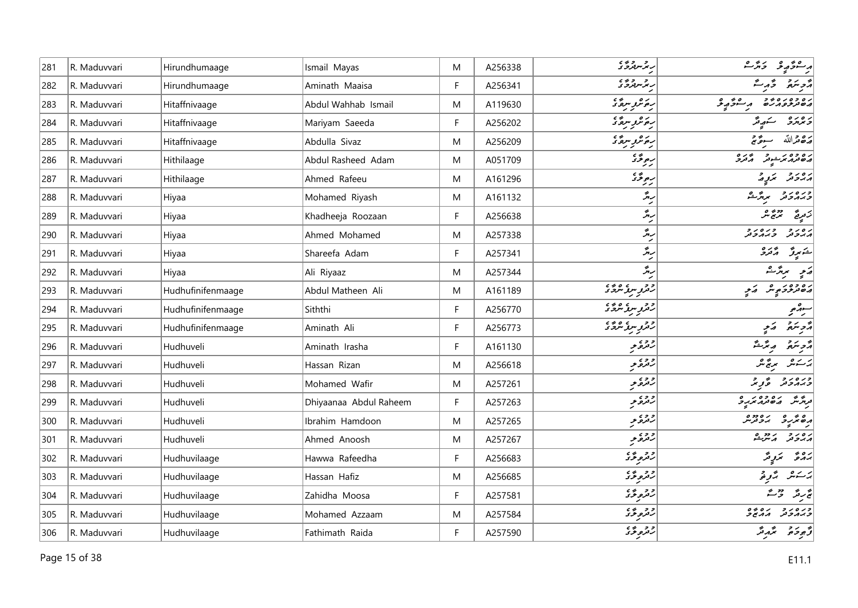| 281 | R. Maduvvari | Hirundhumaage     | Ismail Mayas           | M  | A256338 | ر پر سرپر دی                           | بر شۇرچە ئەرگ                                   |
|-----|--------------|-------------------|------------------------|----|---------|----------------------------------------|-------------------------------------------------|
| 282 | R. Maduvvari | Hirundhumaage     | Aminath Maaisa         | F. | A256341 | ر پر سرپر دی                           | أأدبنهم والملط                                  |
| 283 | R. Maduvvari | Hitaffnivaage     | Abdul Wahhab Ismail    | M  | A119630 | پەنزىر سرچە ئە                         |                                                 |
| 284 | R. Maduvvari | Hitaffnivaage     | Mariyam Saeeda         | F  | A256202 | پەئىروسۇ ئ                             | و ورو سکھیے                                     |
| 285 | R. Maduvvari | Hitaffnivaage     | Abdulla Sivaz          | M  | A256209 | رە ئۇر بىرە ئە                         | رەقراللە سوڭرىم                                 |
| 286 | R. Maduvvari | Hithilaage        | Abdul Rasheed Adam     | M  | A051709 | رەپچە<br>ترم                           | גם כם ג'ייביה הינים<br>ה'סינה בנייביה היניב     |
| 287 | R. Maduvvari | Hithilaage        | Ahmed Rafeeu           | M  | A161296 | رە ۋى<br>بەر                           | د د د د پر د                                    |
| 288 | R. Maduvvari | Hiyaa             | Mohamed Riyash         | M  | A161132 | رېژ                                    | ورەرو بورگ                                      |
| 289 | R. Maduvvari | Hiyaa             | Khadheeja Roozaan      | F  | A256638 | ريز                                    | زَمِرِيحُ مُرْجٌ مَرْ                           |
| 290 | R. Maduvvari | Hiyaa             | Ahmed Mohamed          | M  | A257338 | رېژ                                    | ג סג פג סגב<br>גגבע בגגבע                       |
| 291 | R. Maduvvari | Hiyaa             | Shareefa Adam          | F. | A257341 | رپڙ                                    | پر ہ<br>مرکزو<br>  شەمورتى                      |
| 292 | R. Maduvvari | Hiyaa             | Ali Riyaaz             | M  | A257344 | رېژ                                    | ړې برېژگ                                        |
| 293 | R. Maduvvari | Hudhufinifenmaage | Abdul Matheen Ali      | M  | A161189 | <sup>32</sup> ىرو بىرۇ بىر <i>گە</i> ئ | ره وه د د د ک                                   |
| 294 | R. Maduvvari | Hudhufinifenmaage | Siththi                | F  | A256770 | د و <sub>و سر</sub> و مرد و            | سوهرمو                                          |
| 295 | R. Maduvvari | Hudhufinifenmaage | Aminath Ali            | F  | A256773 | <sup>3</sup> قرو سرو مرگز د            |                                                 |
| 296 | R. Maduvvari | Hudhuveli         | Aminath Irasha         | F  | A161130 | و و ،<br>رسره م                        | أأدمنغ ويمث                                     |
| 297 | R. Maduvvari | Hudhuveli         | Hassan Rizan           | M  | A256618 | و و ۽<br>رقوم م                        | برسكش برځ مر                                    |
| 298 | R. Maduvvari | Hudhuveli         | Mohamed Wafir          | M  | A257261 | ژنوء پر                                | ورەر د ئور                                      |
| 299 | R. Maduvvari | Hudhuveli         | Dhiyaanaa Abdul Raheem | F  | A257263 | و و ،<br>رنده م                        | ره وه ره و<br>م <b>ه توم</b> تربر و<br>ىر بۇ بۇ |
| 300 | R. Maduvvari | Hudhuveli         | Ibrahim Hamdoon        | M  | A257265 | و و ه<br>  رسره م                      | ر ه دو ه<br>بر <del>و</del> تر س                |
| 301 | R. Maduvvari | Hudhuveli         | Ahmed Anoosh           | M  | A257267 | روء پر                                 | رەرو رومۇ                                       |
| 302 | R. Maduvvari | Hudhuvilaage      | Hawwa Rafeedha         | F  | A256683 | د د په په<br>رتر <sub>ج م</sub> ور     | رە ئەرتە                                        |
| 303 | R. Maduvvari | Hudhuvilaage      | Hassan Hafiz           | M  | A256685 | د د پر په<br>رتر <sub>ي څر</sub>       | ئەسەھرىمىتى ئەرىخو                              |
| 304 | R. Maduvvari | Hudhuvilaage      | Zahidha Moosa          | F  | A257581 | و و په په<br>رتر <sub>ي</sub> وگړ      | پچ ریژ و دی <u>ش</u>                            |
| 305 | R. Maduvvari | Hudhuvilaage      | Mohamed Azzaam         | M  | A257584 | د د په په<br>  رتر <sub>ن</sub> و ژبه  | כנסנכ נסשם<br>כגמבת המשב                        |
| 306 | R. Maduvvari | Hudhuvilaage      | Fathimath Raida        | F  | A257590 | 3 قرە <sub>م</sub> ۇرى                 | توجدة متمدمتر                                   |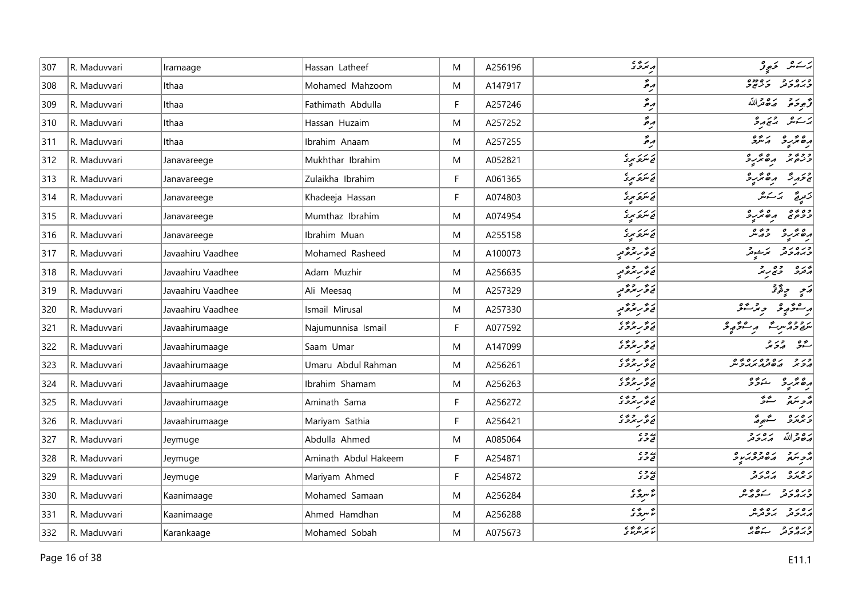| 307 | R. Maduvvari | Iramaage          | Hassan Latheef       | M  | A256196 | ر بو »<br>د بود د                           | برسەيىر<br>ځږوگر                                      |
|-----|--------------|-------------------|----------------------|----|---------|---------------------------------------------|-------------------------------------------------------|
| 308 | R. Maduvvari | Ithaa             | Mohamed Mahzoom      | M  | A147917 | ويح                                         | و ر ه ر و<br>د بر پر <del>و</del> تر<br>ىر ە دوە      |
| 309 | R. Maduvvari | Ithaa             | Fathimath Abdulla    | F. | A257246 | وپڻي                                        | وكحصرالله<br>ۇ بوز ئ                                  |
| 310 | R. Maduvvari | Ithaa             | Hassan Huzaim        | M  | A257252 | دءً                                         | برسەمىر<br>برنج مرحى                                  |
| 311 | R. Maduvvari | Ithaa             | Ibrahim Anaam        | M  | A257255 | ويحج                                        | ەر بىرە<br>ە ھەترىر <sup>ە</sup>                      |
| 312 | R. Maduvvari | Janavareege       | Mukhthar Ibrahim     | M  | A052821 | ىر مىرىگە مېرىگە                            | د د پر د<br>د زهر مر<br>ەھ ئرىرى                      |
| 313 | R. Maduvvari | Janavareege       | Zulaikha Ibrahim     | F. | A061365 | ئے سَرَ تَد سرِ تَح                         | ەھ ئررې<br>چ ئۇ <sub>م</sub> رتَّ                     |
| 314 | R. Maduvvari | Janavareege       | Khadeeja Hassan      | F  | A074803 | ر رر<br>فع سرچ مور                          | رَ ورِجَّ<br>برسەچر                                   |
| 315 | R. Maduvvari | Janavareege       | Mumthaz Ibrahim      | M  | A074954 | ئے سَرَ تَد سرِ تَح                         | و ه و ه<br>تر تر پخ<br>ەھ ترىر ۋ                      |
| 316 | R. Maduvvari | Janavareege       | Ibrahim Muan         | M  | A255158 | ىر مىرىگە مېرىگە                            | حەم بىر<br>ە ھەترىرى<br>برھەترىرى                     |
| 317 | R. Maduvvari | Javaahiru Vaadhee | Mohamed Rasheed      | M  | A100073 | بر څر بر څو مړ                              | و ر ه ر د<br>تر پر ژ تر<br>بخرشدقر                    |
| 318 | R. Maduvvari | Javaahiru Vaadhee | Adam Muzhir          | M  | A256635 | ر و گر برگ <sup>و</sup> ندِ                 | و ه ر بر<br>حري ر بر<br>په ره<br>در تر ژ              |
| 319 | R. Maduvvari | Javaahiru Vaadhee | Ali Meesag           | M  | A257329 | بر څر بر څو مړ                              | پَه پِه چُونْو                                        |
| 320 | R. Maduvvari | Javaahiru Vaadhee | Ismail Mirusal       | M  | A257330 | بر څر برڅور                                 | برعۇم ۋ<br>ى تر ئىمىتى                                |
| 321 | R. Maduvvari | Javaahirumaage    | Najumunnisa Ismail   | F. | A077592 | ر پر پر پر پر<br>مح کل مرکز <sub>ک</sub>    | ر و و ه<br>مربع و د<br>ەرسىۋەيج                       |
| 322 | R. Maduvvari | Javaahirumaage    | Saam Umar            | M  | A147099 | ر و بر و و ،<br>نح قر برتر د                | سرو<br>ەرىر                                           |
| 323 | R. Maduvvari | Javaahirumaage    | Umaru Abdul Rahman   | M  | A256261 | ر پر پر پر پر<br>نے تو پر پر پر پ           | ر ه و ه د ه د ه<br>پره تربر تر بر<br>و ر و<br>در س    |
| 324 | R. Maduvvari | Javaahirumaage    | Ibrahim Shamam       | M  | A256263 | رو رو و ء                                   | ە ھەترىر <sup>ە</sup><br>شۇچۇ                         |
| 325 | R. Maduvvari | Javaahirumaage    | Aminath Sama         | F. | A256272 | ر بر و د ء<br>نے قرىر <del>ق</del> رى       | أرمرهم<br>ستریخ                                       |
| 326 | R. Maduvvari | Javaahirumaage    | Mariyam Sathia       | F  | A256421 | پر څر پر چري<br>  پنج مر پر چر <sub>چ</sub> | ر ہ ر ہ<br>و بربرو                                    |
| 327 | R. Maduvvari | Jeymuge           | Abdulla Ahmed        | M  | A085064 | ړ، و ،<br>قع تر ک                           | بر ه بر و<br>م <i>ر</i> گرفتر<br>برە دالله            |
| 328 | R. Maduvvari | Jeymuge           | Aminath Abdul Hakeem | F. | A254871 | ړے و ن<br>قع <del>ت</del> ر ت               | ره وه ر <sub>و</sub> ه<br>پره تر ژبر بر ژ<br>أرمز شرد |
| 329 | R. Maduvvari | Jeymuge           | Mariyam Ahmed        | F  | A254872 | ړ، و ع<br>قع تر ک                           | ر ہ بر ہ<br>ت <i>ر</i> برگر<br>پرور و                 |
| 330 | R. Maduvvari | Kaanimaage        | Mohamed Samaan       | M  | A256284 | ر<br>تأسر پرځ                               | يەدە ئەر<br>و ر ه ر و<br>و پر پر تر                   |
| 331 | R. Maduvvari | Kaanimaage        | Ahmed Hamdhan        | M  | A256288 | ش سرچري<br>ما سرچري                         | ەر ئەر                                                |
| 332 | R. Maduvvari | Karankaage        | Mohamed Sobah        | M  | A075673 | ر ر ه و ،<br>ما بر مرد د                    | و ر ه ر د<br><i>و بر</i> پر تر<br>بەھ بر              |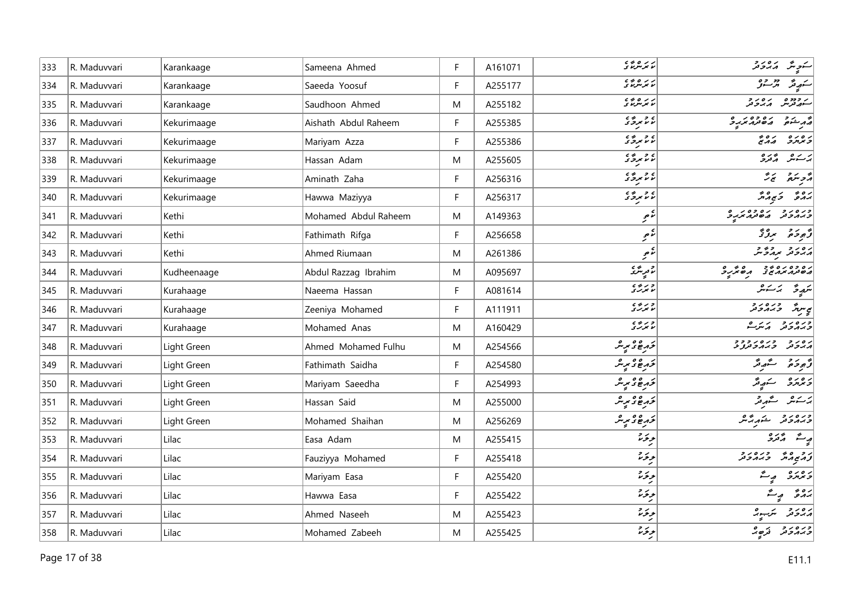| 333 | R. Maduvvari | Karankaage  | Sameena Ahmed        | F         | A161071 | ر ره ۶۵<br>ما بر مرد د    | سَوِيدٌ مَدَوَّتْر                                                                                                                                                                                                               |
|-----|--------------|-------------|----------------------|-----------|---------|---------------------------|----------------------------------------------------------------------------------------------------------------------------------------------------------------------------------------------------------------------------------|
| 334 | R. Maduvvari | Karankaage  | Saeeda Yoosuf        | F         | A255177 | ر رەپە ي<br>ئابىر بىرىزى  | سەپەتتە جۇمسىقۇ                                                                                                                                                                                                                  |
| 335 | R. Maduvvari | Karankaage  | Saudhoon Ahmed       | ${\sf M}$ | A255182 | ر ر ه و »<br>با بر مربو د | ر ودوه ده دو.<br>سکهه توس از برابر تو                                                                                                                                                                                            |
| 336 | R. Maduvvari | Kekurimaage | Aishath Abdul Raheem | F         | A255385 | ې د پرې<br>مام مرد د      | ג ם כם גם<br>גם בנג הגב<br>پ <sup>م</sup> مرشومی<br>مرم                                                                                                                                                                          |
| 337 | R. Maduvvari | Kekurimaage | Mariyam Azza         | F         | A255386 | ه د په په<br>مومرد د      | ر ه و.<br>درم<br>ر ه ر ه<br><del>د</del> بربرگر                                                                                                                                                                                  |
| 338 | R. Maduvvari | Kekurimaage | Hassan Adam          | M         | A255605 | ه د په په<br>مام مرد د    | برسەيىتە<br>پور ہ<br>مرمرو                                                                                                                                                                                                       |
| 339 | R. Maduvvari | Kekurimaage | Aminath Zaha         | F         | A256316 | ) ، ، برد ،<br>  ما مرد ، | أأدم الملح أنائر                                                                                                                                                                                                                 |
| 340 | R. Maduvvari | Kekurimaage | Hawwa Maziyya        | F         | A256317 | ه د په وه<br>ما ما مورځ د | גם באתית                                                                                                                                                                                                                         |
| 341 | R. Maduvvari | Kethi       | Mohamed Abdul Raheem | M         | A149363 | ء<br>موھ                  | כנסנכ נסכסנס<br>כממכת מסתממני                                                                                                                                                                                                    |
| 342 | R. Maduvvari | Kethi       | Fathimath Rifga      | F         | A256658 | تنمعج                     | قُهْ وَحَقَّ مَرَوْتٌى                                                                                                                                                                                                           |
| 343 | R. Maduvvari | Kethi       | Ahmed Riumaan        | M         | A261386 | اءِ<br>اعو                | أرەر دىر دەر                                                                                                                                                                                                                     |
| 344 | R. Maduvvari | Kudheenaage | Abdul Razzag Ibrahim | M         | A095697 | د و پرځ<br>موسر           | נס כס נס מבנים מיטיים מיטיים מיטיים מיטיים בריים מיטיים בריים בריים בריים בריים בריים בריים מיטיים בריים בריים<br>מיטיים מיטיים מיטיים מיטיים מיטיים בריים בריים בריים בריים בריים בריים בריים בריים בריים בריים בריים בריים ברי |
| 345 | R. Maduvvari | Kurahaage   | Naeema Hassan        | F         | A081614 | د ر و ،<br>ما برگ         | سَمِيرَ - يَاسَسْ                                                                                                                                                                                                                |
| 346 | R. Maduvvari | Kurahaage   | Zeeniya Mohamed      | F         | A111911 | ۶ پر پر پر<br>ما تیمرگری  | ي سرگر حيد در در                                                                                                                                                                                                                 |
| 347 | R. Maduvvari | Kurahaage   | Mohamed Anas         | ${\sf M}$ | A160429 | د ره ،<br>ما برگ          | ورەرو پەرك                                                                                                                                                                                                                       |
| 348 | R. Maduvvari | Light Green | Ahmed Mohamed Fulhu  | M         | A254566 | خرم عوج سيسر              | ره رحاحات در در در در<br>مربر در در در در در در                                                                                                                                                                                  |
| 349 | R. Maduvvari | Light Green | Fathimath Saidha     | F         | A254580 | ځه هڅو پر پر              | ژوځو څړنژ                                                                                                                                                                                                                        |
| 350 | R. Maduvvari | Light Green | Mariyam Saeedha      | F         | A254993 | خەرقۇم يېرىگە             | ر ه ر ه<br><del>و</del> بربرو                                                                                                                                                                                                    |
| 351 | R. Maduvvari | Light Green | Hassan Said          | M         | A255000 | خەرقۇم يېتىر              | ىز سەنل <sup>ى</sup> ر<br>ستەر تىر                                                                                                                                                                                               |
| 352 | R. Maduvvari | Light Green | Mohamed Shaihan      | ${\sf M}$ | A256269 | خەرقۇم يېتىر              | ورەرو شەربۇش                                                                                                                                                                                                                     |
| 353 | R. Maduvvari | Lilac       | Easa Adam            | M         | A255415 | وؤر                       | ر شهر محمده<br>مح                                                                                                                                                                                                                |
| 354 | R. Maduvvari | Lilac       | Fauziyya Mohamed     | F         | A255418 | وڈر                       | צגי בי בגביב                                                                                                                                                                                                                     |
| 355 | R. Maduvvari | Lilac       | Mariyam Easa         | F         | A255420 | وؤر                       | دەرە پەت                                                                                                                                                                                                                         |
| 356 | R. Maduvvari | Lilac       | Hawwa Easa           | F         | A255422 | وذر                       | برە ئەستە                                                                                                                                                                                                                        |
| 357 | R. Maduvvari | Lilac       | Ahmed Naseeh         | ${\sf M}$ | A255423 | جرخره                     | رەر ترىپە                                                                                                                                                                                                                        |
| 358 | R. Maduvvari | Lilac       | Mohamed Zabeeh       | ${\sf M}$ | A255425 | وؤر                       | ورەر دېرە                                                                                                                                                                                                                        |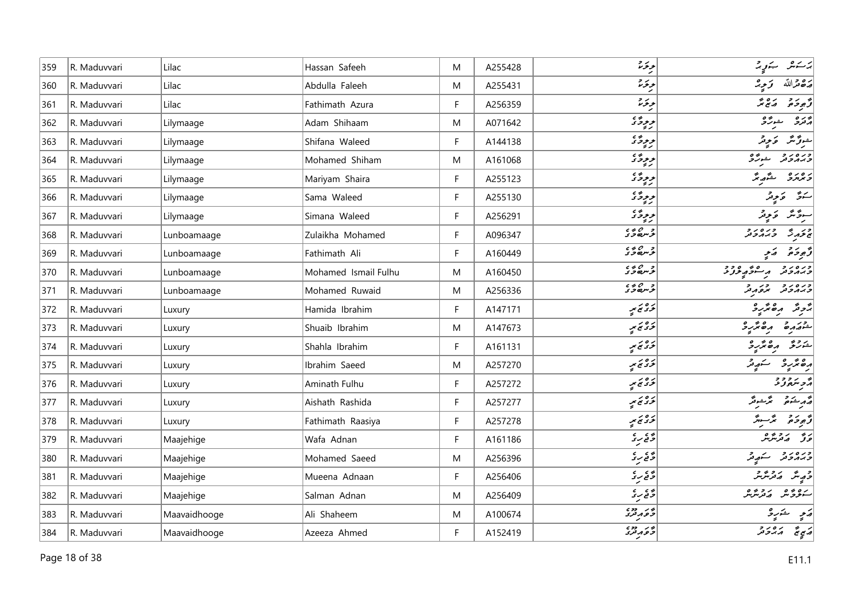| 359 | R. Maduvvari | Lilac        | Hassan Safeeh        | M  | A255428 | وڈر                          | پرستمبر سکوپر                                                                                                                                                                                                                    |
|-----|--------------|--------------|----------------------|----|---------|------------------------------|----------------------------------------------------------------------------------------------------------------------------------------------------------------------------------------------------------------------------------|
| 360 | R. Maduvvari | Lilac        | Abdulla Faleeh       | M  | A255431 | وڈر                          | پره ترالله ترمویژ                                                                                                                                                                                                                |
| 361 | R. Maduvvari | Lilac        | Fathimath Azura      | F  | A256359 | مرتزر                        | قهودة رەپ                                                                                                                                                                                                                        |
| 362 | R. Maduvvari | Lilymaage    | Adam Shihaam         | M  | A071642 | ووڈ ء<br>ر                   | په ره<br>د ترو<br>حشور محر<br>مر                                                                                                                                                                                                 |
| 363 | R. Maduvvari | Lilymaage    | Shifana Waleed       | F  | A144138 | ووڈ ء<br>ر                   | ے تر <i>نگر کی تو</i> یٹر<br>مر                                                                                                                                                                                                  |
| 364 | R. Maduvvari | Lilymaage    | Mohamed Shiham       | M  | A161068 | ووژء                         | ورەرو ئىدۇۋ                                                                                                                                                                                                                      |
| 365 | R. Maduvvari | Lilymaage    | Mariyam Shaira       | F  | A255123 | و و دی<br>ری                 | دەرە شەر                                                                                                                                                                                                                         |
| 366 | R. Maduvvari | Lilymaage    | Sama Waleed          | F  | A255130 | ووژء                         | سَرَةٌ وَمِعِدْ                                                                                                                                                                                                                  |
| 367 | R. Maduvvari | Lilymaage    | Simana Waleed        | F  | A256291 | ووڈء                         | سوڤەر ئوچىر                                                                                                                                                                                                                      |
| 368 | R. Maduvvari | Lunboamaage  | Zulaikha Mohamed     | F  | A096347 | $55$ ar $3$                  | و ره ر و<br>تر پر ژنر<br> ح ځه بر جح                                                                                                                                                                                             |
| 369 | R. Maduvvari | Lunboamaage  | Fathimath Ali        | F. | A160449 | و په ۵۶<br>نومړ <b>ه</b> د ک | وً و دَم دَم پ                                                                                                                                                                                                                   |
| 370 | R. Maduvvari | Lunboamaage  | Mohamed Ismail Fulhu | M  | A160450 | و په ۵۶۵<br>مرس کاري         | ورەرو بەسىۋە ۋو                                                                                                                                                                                                                  |
| 371 | R. Maduvvari | Lunboamaage  | Mohamed Ruwaid       | M  | A256336 | 55803                        | כנסנכ כנב<br>כגמכת הפמת                                                                                                                                                                                                          |
| 372 | R. Maduvvari | Luxury       | Hamida Ibrahim       | F  | A147171 | ره ر<br>مور نئ مړ            | بحرقر مرەبجرىرد                                                                                                                                                                                                                  |
| 373 | R. Maduvvari | Luxury       | Shuaib Ibrahim       | M  | A147673 | ره ر<br>مرد نئ مړ            | مشمره ره در د                                                                                                                                                                                                                    |
| 374 | R. Maduvvari | Luxury       | Shahla Ibrahim       | F  | A161131 | ر ه ر<br>مور بخ مړ           | $rac{1}{2}$                                                                                                                                                                                                                      |
| 375 | R. Maduvvari | Luxury       | Ibrahim Saeed        | M  | A257270 | تره تر مر<br>مور مج مر       | ە ھەترىرى<br>س<br>ستهيقر                                                                                                                                                                                                         |
| 376 | R. Maduvvari | Luxury       | Aminath Fulhu        | F  | A257272 | تره ترمير                    | ۇ بە ئىبرو دې <sub>ر</sub>                                                                                                                                                                                                       |
| 377 | R. Maduvvari | Luxury       | Aishath Rashida      | F. | A257277 | پره پر<br>  پرې نمې          | د د کشور می انداز کرده در کلیدار در کلیدار در کلیدار در کلیدار در کلیدار در کلیدار در کلیدار در کلیدار در کلید<br>منابع استفاده در کلیدار در کلیدار در کلیدار در کلیدار در کلیدار در کلیدار در کلیدار در کلیدار در کلیدار در کلی |
| 378 | R. Maduvvari | Luxury       | Fathimath Raasiya    | F  | A257278 | اره<br>الخری نمی             | و موجود موسيقر                                                                                                                                                                                                                   |
| 379 | R. Maduvvari | Maajehige    | Wafa Adnan           | F  | A161186 | ل دي.<br>  قري سر د          | ىر ئەرمەر ئىر                                                                                                                                                                                                                    |
| 380 | R. Maduvvari | Maajehige    | Mohamed Saeed        | M  | A256396 | ی ء<br>5 فع سر د             | ورەرو سەر                                                                                                                                                                                                                        |
| 381 | R. Maduvvari | Maajehige    | Mueena Adnaan        | F  | A256406 | ه و د د کار<br>د کار ک       | دەپەش ھەمەسىر                                                                                                                                                                                                                    |
| 382 | R. Maduvvari | Maajehige    | Salman Adnan         | M  | A256409 | ە ئەرى<br>ج                  | شۇۋىر مەرش                                                                                                                                                                                                                       |
| 383 | R. Maduvvari | Maavaidhooge | Ali Shaheem          | M  | A100674 | و ر دو .<br>  ژ تو پر تر د   | أركمني المشركة                                                                                                                                                                                                                   |
| 384 | R. Maduvvari | Maavaidhooge | Azeeza Ahmed         | F  | A152419 | و د دوه<br>د کارورد          | ג׳ זָ זְהוֹ                                                                                                                                                                                                                      |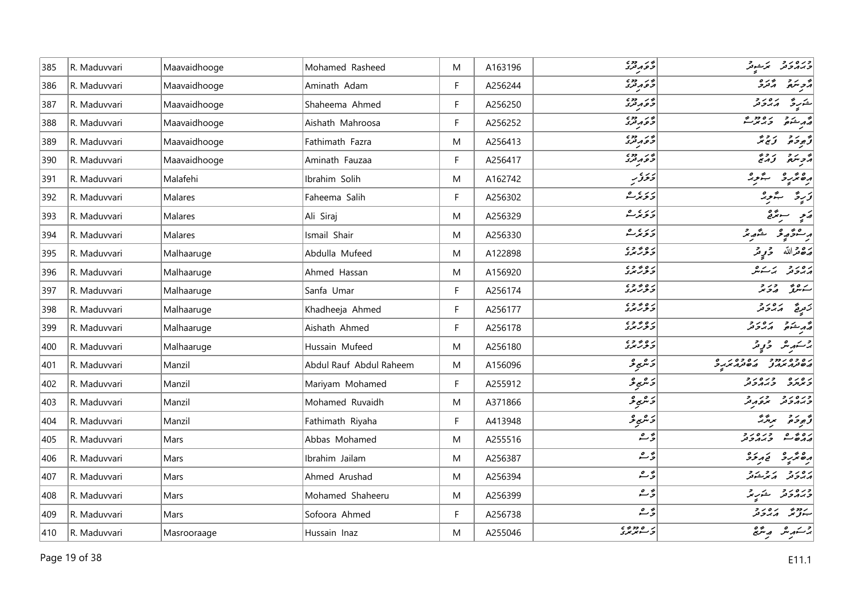| 385 | R. Maduvvari | Maavaidhooge | Mohamed Rasheed         | M  | A163196 | و د ده.<br>  ژوَم ترد                     | ورەرو كرشوتر                                     |
|-----|--------------|--------------|-------------------------|----|---------|-------------------------------------------|--------------------------------------------------|
| 386 | R. Maduvvari | Maavaidhooge | Aminath Adam            | F. | A256244 | ې د ده ده<br>د کرمرند                     | أثرم تتمرج أيرده                                 |
| 387 | R. Maduvvari | Maavaidhooge | Shaheema Ahmed          | F  | A256250 | ه د ده.<br>د و د در                       | لمذروح أورود                                     |
| 388 | R. Maduvvari | Maavaidhooge | Aishath Mahroosa        | F. | A256252 | ې د ده ده<br>د کرم                        | و مشتمر ده ده د                                  |
| 389 | R. Maduvvari | Maavaidhooge | Fathimath Fazra         | Μ  | A256413 | ه د دد .<br>د و د در                      | وٌمِوحَمٌ وَنحمٌ                                 |
| 390 | R. Maduvvari | Maavaidhooge | Aminath Fauzaa          | F  | A256417 | ه ر دو ،<br>ژ ۱۶ تر د                     | ړ ده پروه                                        |
| 391 | R. Maduvvari | Malafehi     | Ibrahim Solih           | M  | A162742 | ئە ئەقرىر                                 | ەھترىرى سۇر                                      |
| 392 | R. Maduvvari | Malares      | Faheema Salih           | F  | A256302 | ىر ئەچەر                                  | بڈىر ہ                                           |
| 393 | R. Maduvvari | Malares      | Ali Siraj               | M  | A256329 | ىر ئەير ھ                                 |                                                  |
| 394 | R. Maduvvari | Malares      | Ismail Shair            | M  | A256330 | ىر ئەيزىشە                                | رەۋر ئۇر                                         |
| 395 | R. Maduvvari | Malhaaruge   | Abdulla Mufeed          | M  | A122898 | ر ه و و ،<br><del>و و</del> ر بو <u>و</u> | رە دالله دوبد                                    |
| 396 | R. Maduvvari | Malhaaruge   | Ahmed Hassan            | Μ  | A156920 | ر ه و و ،<br>تر بحر پر <sub>ک</sub>       | رەرد برىك                                        |
| 397 | R. Maduvvari | Malhaaruge   | Sanfa Umar              | F  | A256174 | ر ه و و ،<br><del>و و</del> ر بود         | سەس ھەمر                                         |
| 398 | R. Maduvvari | Malhaaruge   | Khadheeja Ahmed         | F  | A256177 | ر ه و و ،<br><del>و و</del> ر بو <u>و</u> | زَمِرِجَ 1.25 مَر                                |
| 399 | R. Maduvvari | Malhaaruge   | Aishath Ahmed           | F  | A256178 | ر ه و و ،<br><del>و و</del> ر بو <u>و</u> | وكرمشتمو وكالمرد                                 |
| 400 | R. Maduvvari | Malhaaruge   | Hussain Mufeed          | M  | A256180 | ر ه و و ،<br><del>و و</del> ر بر <u>د</u> | جاسكورهن الحاويجر                                |
| 401 | R. Maduvvari | Manzil       | Abdul Rauf Abdul Raheem | M  | A156096 | 5 يرىپو تۇ                                | נס כם נדכב נס כם נגם<br>גם בנג ינג צגם בנג ינג כ |
| 402 | R. Maduvvari | Manzil       | Mariyam Mohamed         | F  | A255912 | ۇ ئىرى پى                                 | נסנס כנסנב<br>ב <i>אתב בג</i> תכת                |
| 403 | R. Maduvvari | Manzil       | Mohamed Ruvaidh         | M  | A371866 | ئەنگە بۇ                                  | כנסנכ כנב                                        |
| 404 | R. Maduvvari | Manzil       | Fathimath Riyaha        | F  | A413948 | ئەنئىبى پى                                | توجدة برازة                                      |
| 405 | R. Maduvvari | Mars         | Abbas Mohamed           | Μ  | A255516 | ۇ شە                                      | رەپ دىرەرد                                       |
| 406 | R. Maduvvari | Mars         | Ibrahim Jailam          | M  | A256387 | ۇ شە                                      | أرە ئۆر ئىم ئىم                                  |
| 407 | R. Maduvvari | Mars         | Ahmed Arushad           | M  | A256394 | ۇ ب                                       | رەرو رورو                                        |
| 408 | R. Maduvvari | Mars         | Mohamed Shaheeru        | M  | A256399 | ژ شه                                      | ورەر دىر                                         |
| 409 | R. Maduvvari | Mars         | Sofoora Ahmed           | F. | A256738 | ژ شه                                      | بەدە رەرد                                        |
| 410 | R. Maduvvari | Masrooraage  | Hussain Inaz            | M  | A255046 | ر ۱۵ دوره د<br><del>د</del> سومربوری      | برسكورش ويترجح                                   |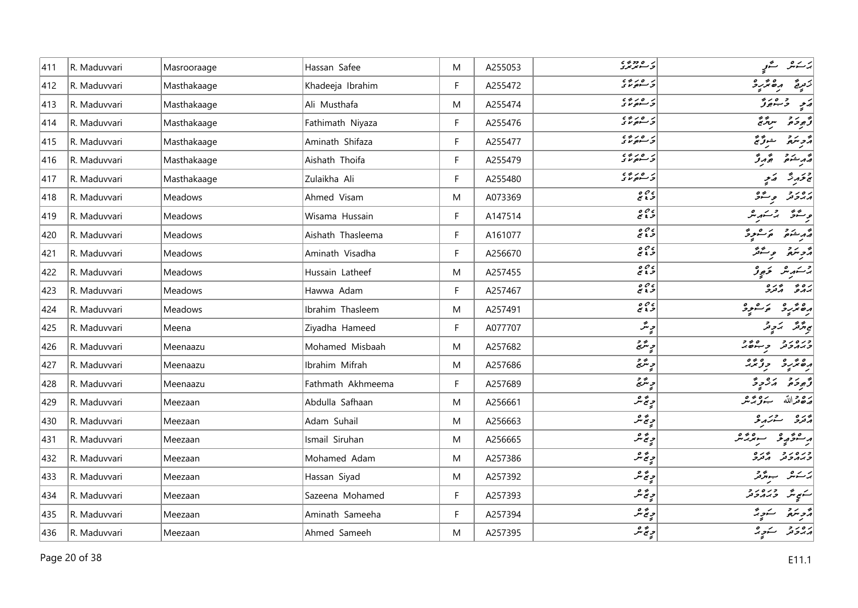| 411 | R. Maduvvari | Masrooraage | Hassan Safee      | M         | A255053 | ر ۱۵ دو پر د<br>تر سومونوی                                                       | برسەمىر<br>ر همتني                   |
|-----|--------------|-------------|-------------------|-----------|---------|----------------------------------------------------------------------------------|--------------------------------------|
| 412 | R. Maduvvari | Masthakaage | Khadeeja Ibrahim  | F         | A255472 | ر ەر دې<br>5 سىمى ئى                                                             | ئرتورنج<br>م<br>برە ئۆرۈ             |
| 413 | R. Maduvvari | Masthakaage | Ali Musthafa      | M         | A255474 | ر ۱۵ رو و<br>تر سوم د                                                            | د ۱۵۷۵.<br>د سروژ<br>لهجيجة          |
| 414 | R. Maduvvari | Masthakaage | Fathimath Niyaza  | F         | A255476 | ر ەر دې<br>5 سىمى تاي                                                            | و <sub>مو</sub> ر د<br>سرترنج        |
| 415 | R. Maduvvari | Masthakaage | Aminath Shifaza   | F         | A255477 | ر ۱۵۷۵.<br><del>د</del> سومان                                                    | شەۋىج<br>أرمز                        |
| 416 | R. Maduvvari | Masthakaage | Aishath Thoifa    | F         | A255479 | ر ەر دى<br>5 سىمى ئى                                                             | مەرشىق بۇرۇ                          |
| 417 | R. Maduvvari | Masthakaage | Zulaikha Ali      | F         | A255480 | ر ەر دى<br>5 سىمى ئى                                                             | ة بحرير مجمع أيضا المحمد المحر       |
| 418 | R. Maduvvari | Meadows     | Ahmed Visam       | M         | A073369 | $rac{0}{c}$                                                                      | رەرو پەر                             |
| 419 | R. Maduvvari | Meadows     | Wisama Hussain    | F         | A147514 | 282                                                                              | وستقت برستهرش                        |
| 420 | R. Maduvvari | Meadows     | Aishath Thasleema | F         | A161077 | 282                                                                              | ومرشوم وكسوخ                         |
| 421 | R. Maduvvari | Meadows     | Aminath Visadha   | F         | A256670 | 282                                                                              | وحريتهم وسكتر                        |
| 422 | R. Maduvvari | Meadows     | Hussain Latheef   | M         | A257455 | $\overset{o}{\phantom{o}}\,\overset{o}{\phantom{c}}\,\overset{o}{\phantom{c}}\,$ | جسكريثر كالجوفر                      |
| 423 | R. Maduvvari | Meadows     | Hawwa Adam        | F         | A257467 | 282                                                                              | رەپ پەرە                             |
| 424 | R. Maduvvari | Meadows     | Ibrahim Thasleem  | ${\sf M}$ | A257491 | 282                                                                              | رەنزىر ئىر يور                       |
| 425 | R. Maduvvari | Meena       | Ziyadha Hameed    | F         | A077707 | لحيثته                                                                           | ې پر تر بر <sub>و</sub> تر           |
| 426 | R. Maduvvari | Meenaazu    | Mohamed Misbaah   | M         | A257682 | حرٍ مُرَّج                                                                       |                                      |
| 427 | R. Maduvvari | Meenaazu    | Ibrahim Mifrah    | M         | A257686 | جريثر                                                                            | جە ۋىزچە<br>ەر ھەتئە يە <sup>9</sup> |
| 428 | R. Maduvvari | Meenaazu    | Fathmath Akhmeema | F         | A257689 | جريثر                                                                            | توجوحه مادحوة                        |
| 429 | R. Maduvvari | Meezaan     | Abdulla Safhaan   | M         | A256661 | حەپچ يىگە                                                                        | برە تراللە<br>ىبەد بۇ بۇ بىر         |
| 430 | R. Maduvvari | Meezaan     | Adam Suhail       | M         | A256663 | حەپچ مىگە                                                                        | پره <i>جز</i> رو                     |
| 431 | R. Maduvvari | Meezaan     | Ismail Siruhan    | M         | A256665 | جەنچىر                                                                           | ر عۇرپۇ سوپرىس                       |
| 432 | R. Maduvvari | Meezaan     | Mohamed Adam      | M         | A257386 | ىرىچە ئىر                                                                        | وره رو په ره<br><i>وبر</i> روز       |
| 433 | R. Maduvvari | Meezaan     | Hassan Siyad      | M         | A257392 | حەپچ مىگە                                                                        | برسكس سورقر                          |
| 434 | R. Maduvvari | Meezaan     | Sazeena Mohamed   | F         | A257393 | <br>دېڅ مګر                                                                      | سَمَىٍ شَرِ 25,070                   |
| 435 | R. Maduvvari | Meezaan     | Aminath Sameeha   | F         | A257394 | <br>دېڅ مګر                                                                      | ۇ جە ئىدە<br>سەرپە                   |
| 436 | R. Maduvvari | Meezaan     | Ahmed Sameeh      | M         | A257395 | حەپچ مىگە                                                                        | ده د ده سکوچه                        |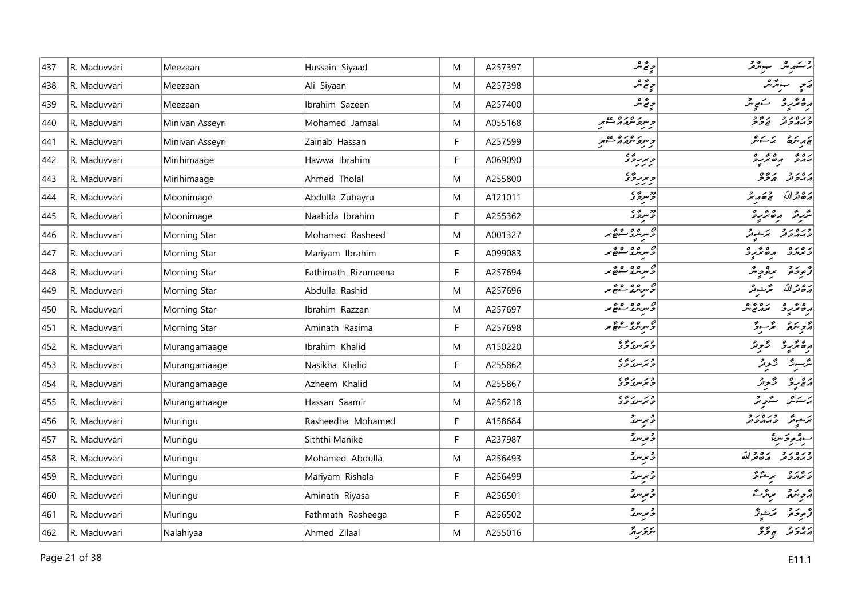| 437 | R. Maduvvari | Meezaan             | Hussain Siyaad      | M  | A257397 | ىر ئەڭگە<br>ئۆ                      | 2 سەر شەھرىقى<br>مەسكەر بىر                                           |
|-----|--------------|---------------------|---------------------|----|---------|-------------------------------------|-----------------------------------------------------------------------|
| 438 | R. Maduvvari | Meezaan             | Ali Siyaan          | M  | A257398 | جە ئەڭر                             | ړې به پره<br>د پ                                                      |
| 439 | R. Maduvvari | Meezaan             | Ibrahim Sazeen      | M  | A257400 | حەيچ يىگە                           | رە ئەر ئىس ئىس ئى                                                     |
| 440 | R. Maduvvari | Minivan Asseyri     | Mohamed Jamaal      | M  | A055168 | جەسىھ سىدە مىسىم                    | وره رو دوو<br>د <i>پرون</i> ر نوځ                                     |
| 441 | R. Maduvvari | Minivan Asseyri     | Zainab Hassan       | F. | A257599 | احەسى شەھرەت<br>سىر ئەسىمە          | تمریح<br>برسەمىر                                                      |
| 442 | R. Maduvvari | Mirihimaage         | Hawwa Ibrahim       | F  | A069090 | د برر دمی<br>ربر ر                  | رە پە<br>براگە<br>مەھمىرى                                             |
| 443 | R. Maduvvari | Mirihimaage         | Ahmed Tholal        | M  | A255800 | و برر دی<br>ر ر ر                   | رەرد پەۋە                                                             |
| 444 | R. Maduvvari | Moonimage           | Abdulla Zubayru     | M  | A121011 | יי<br>המקבצ                         | بر25 اللّه<br>ح ئەمەمە<br>سى                                          |
| 445 | R. Maduvvari | Moonimage           | Naahida Ibrahim     | F  | A255362 | دو په په<br>تر سرچ ک                | تررتر مەترىرد                                                         |
| 446 | R. Maduvvari | Morning Star        | Mohamed Rasheed     | M  | A001327 | ە مەرەق مەھ<br>ئىس مەرىخ            | و رە ر د<br>تر پر تر تر<br>بمرشدقر                                    |
| 447 | R. Maduvvari | Morning Star        | Mariyam Ibrahim     | F. | A099083 | ە بىر بىرى مەھ <sup>ى</sup> ر       | ە ھەترىر ۋ<br>ر ه ر ه<br><del>ر</del> بربرگ                           |
| 448 | R. Maduvvari | Morning Star        | Fathimath Rizumeena | F. | A257694 | م<br>د سربندنو مش <sub>ا</sub> غ بر | وٌجوحَعُو<br>ىر ۋې پىڭر                                               |
| 449 | R. Maduvvari | Morning Star        | Abdulla Rashid      | M  | A257696 | ە مەرقىق كەنتى<br>كەنترىلىك كەنتى   | بر25 اللّه<br>گرشەنر                                                  |
| 450 | R. Maduvvari | <b>Morning Star</b> | Ibrahim Razzan      | M  | A257697 | م<br>دىرىدى س <sub>ى</sub> قىم      | ىرە ئە ھ<br>ە ھەترىر <sup>ە</sup>                                     |
| 451 | R. Maduvvari | Morning Star        | Aminath Rasima      | F. | A257698 | <i>ۇ بىر بىرى مى</i> ھىمە           | ړګر سرچ<br>ىر ئەسىرىتى                                                |
| 452 | R. Maduvvari | Murangamaage        | Ibrahim Khalid      | M  | A150220 | و ر<br>تر تر سر کر د                | ە ھەترىرى<br>بر ھەترىرى<br>رَّحْ وَتَر                                |
| 453 | R. Maduvvari | Murangamaage        | Nasikha Khalid      | F. | A255862 | و ر<br>د ټرسرنۍ د                   | ىترىسى <sup>تى</sup> ر<br>رٌ وتر                                      |
| 454 | R. Maduvvari | Murangamaage        | Azheem Khalid       | M  | A255867 | و ر<br>د ټرسر د د د                 | $\frac{1}{2}$ $\frac{1}{2}$ $\frac{1}{2}$ $\frac{1}{2}$<br>رٌّ وِتْرُ |
| 455 | R. Maduvvari | Murangamaage        | Hassan Saamir       | M  | A256218 | و ر<br>د ټرسرنۍ د                   | ىزىكەش سەئىرىر                                                        |
| 456 | R. Maduvvari | Muringu             | Rasheedha Mohamed   | F  | A158684 | وتمرسر                              | ىرىسىر ئەرەر د                                                        |
| 457 | R. Maduvvari | Muringu             | Siththi Manike      | F  | A237987 | وحمرسر                              | سەھ بۇ ئەرتكى<br>س                                                    |
| 458 | R. Maduvvari | Muringu             | Mohamed Abdulla     | M  | A256493 | ومرسر                               | ورەرد<br>صقصرالله                                                     |
| 459 | R. Maduvvari | Muringu             | Mariyam Rishala     | F  | A256499 | ۇ بىرس <u>ە</u>                     | وبروو برڪو                                                            |
| 460 | R. Maduvvari | Muringu             | Aminath Riyasa      | F. | A256501 | وتمرسر                              | أزويتم برازعه                                                         |
| 461 | R. Maduvvari | Muringu             | Fathmath Rasheega   | F  | A256502 | وتمرسو                              | نځ ج حر و<br>تر ج حر حر<br>بخرشوشح                                    |
| 462 | R. Maduvvari | Nalahiyaa           | Ahmed Zilaal        | M  | A255016 | يتزبخر بثر                          | رەرو بېۋى                                                             |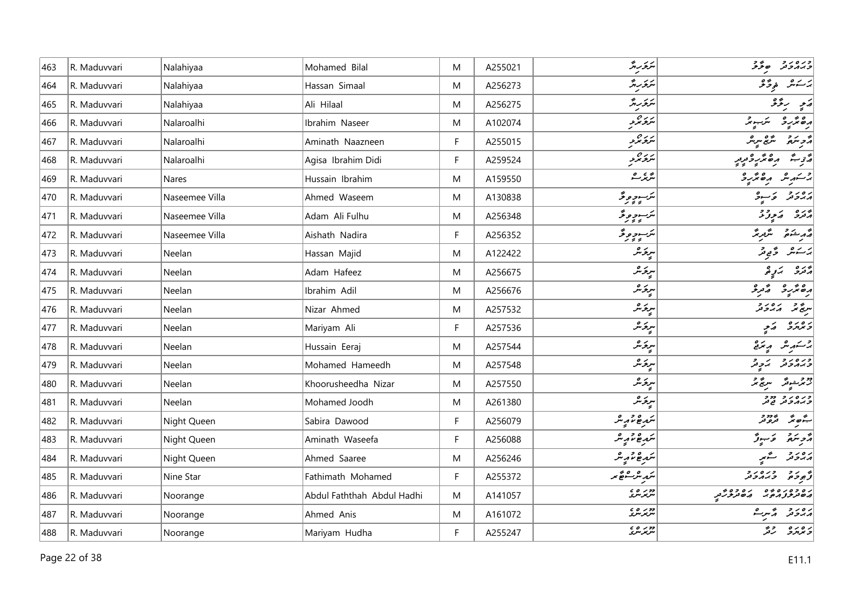| 463 | R. Maduvvari | Nalahiyaa      | Mohamed Bilal              | M           | A255021 | يترىخر بتر                   | ورەرو ھۆتى                                                                                                                                                                                                                       |
|-----|--------------|----------------|----------------------------|-------------|---------|------------------------------|----------------------------------------------------------------------------------------------------------------------------------------------------------------------------------------------------------------------------------|
| 464 | R. Maduvvari | Nalahiyaa      | Hassan Simaal              | M           | A256273 | يئر بخر برگز                 | برسكش فوقرقر                                                                                                                                                                                                                     |
| 465 | R. Maduvvari | Nalahiyaa      | Ali Hilaal                 | M           | A256275 | يئر پخرېد پېژ                | ە بەردى                                                                                                                                                                                                                          |
| 466 | R. Maduvvari | Nalaroalhi     | Ibrahim Naseer             | M           | A102074 | بزرج                         |                                                                                                                                                                                                                                  |
| 467 | R. Maduvvari | Nalaroalhi     | Aminath Naazneen           | F.          | A255015 | بربر صحيحه                   |                                                                                                                                                                                                                                  |
| 468 | R. Maduvvari | Nalaroalhi     | Agisa Ibrahim Didi         | F           | A259524 | يرىر ھەر                     | د ديگر موسي <i>ل دورو</i>                                                                                                                                                                                                        |
| 469 | R. Maduvvari | Nares          | Hussain Ibrahim            | M           | A159550 | ىئرىزىشە                     |                                                                                                                                                                                                                                  |
| 470 | R. Maduvvari | Naseemee Villa | Ahmed Waseem               | M           | A130838 | ىئەسىرە بۇ<br>مەمۇرىيە       | رەر د كەسوگە                                                                                                                                                                                                                     |
| 471 | R. Maduvvari | Naseemee Villa | Adam Ali Fulhu             | M           | A256348 | ىئەسىرە بۇ<br>ئىسىم ئىسىمىيە | پر ده کرورو<br>مرکزی کرورو                                                                                                                                                                                                       |
| 472 | R. Maduvvari | Naseemee Villa | Aishath Nadira             | $\mathsf F$ | A256352 | ىئرسوچە بۇ                   | مەرشىق ئىرىگە                                                                                                                                                                                                                    |
| 473 | R. Maduvvari | Neelan         | Hassan Majid               | M           | A122422 | ايږيزيګر                     | يَرْسَشْ وَّحْمِرْ                                                                                                                                                                                                               |
| 474 | R. Maduvvari | Neelan         | Adam Hafeez                | M           | A256675 | سرىر مىر                     | أردو بروه                                                                                                                                                                                                                        |
| 475 | R. Maduvvari | Neelan         | Ibrahim Adil               | M           | A256676 | سرىزىگر                      | رەترىر ئىرو                                                                                                                                                                                                                      |
| 476 | R. Maduvvari | Neelan         | Nizar Ahmed                | M           | A257532 | سرىر مىر                     | $\frac{1}{2}$ $\frac{1}{2}$ $\frac{2}{2}$ $\frac{2}{2}$ $\frac{1}{2}$ $\frac{1}{2}$                                                                                                                                              |
| 477 | R. Maduvvari | Neelan         | Mariyam Ali                | F           | A257536 | سرىخىشر                      | د وره دي                                                                                                                                                                                                                         |
| 478 | R. Maduvvari | Neelan         | Hussain Eeraj              | M           | A257544 | سرىخىشر                      | برسكر شريدة                                                                                                                                                                                                                      |
| 479 | R. Maduvvari | Neelan         | Mohamed Hameedh            | M           | A257548 | اسرپریٹر                     | وره رو برود                                                                                                                                                                                                                      |
| 480 | R. Maduvvari | Neelan         | Khoorusheedha Nizar        | M           | A257550 | سرىخىشر                      | انزىر مىيەتتە بىرىنجىتى<br>ب                                                                                                                                                                                                     |
| 481 | R. Maduvvari | Neelan         | Mohamed Joodh              | M           | A261380 | اسربختر                      | و ره ر و دو و<br>تر پر پر تو تر                                                                                                                                                                                                  |
| 482 | R. Maduvvari | Night Queen    | Sabira Dawood              | F.          | A256079 | سَمبرڠ ت <sub>م</sub> مبر شر | شی شهر دور در در در در این کشور در این کشور در این کشور در این کشور در این کشور در این کشور در این کشور در این<br>گران کشور در این کشور در این کشور در این کشور در این کشور در این کشور در این کشور در این کشور در این کشور در د |
| 483 | R. Maduvvari | Night Queen    | Aminath Waseefa            | F.          | A256088 | سَمبرڠ ت <sub>م</sub> مبر شر | أأروبتهم وكالمبوش                                                                                                                                                                                                                |
| 484 | R. Maduvvari | Night Queen    | Ahmed Saaree               | M           | A256246 | بئدء ثمريثر                  | رەرد شېر                                                                                                                                                                                                                         |
| 485 | R. Maduvvari | Nine Star      | Fathimath Mohamed          | F           | A255372 | ايىمە بىر شەھ<br>—           | و ده دره در                                                                                                                                                                                                                      |
| 486 | R. Maduvvari | Noorange       | Abdul Faththah Abdul Hadhi | M           | A141057 | دد بر ه ،<br>مربر مربر       | ره ده ره ده ده ده ده.<br>پرهنربو زير پرهنربورتير                                                                                                                                                                                 |
| 487 | R. Maduvvari | Noorange       | Ahmed Anis                 | M           | A161072 | دد بر ه ،<br>سرپرسر          | رەرو ئەرب                                                                                                                                                                                                                        |
| 488 | R. Maduvvari | Noorange       | Mariyam Hudha              | F           | A255247 | يربره ۽                      | رەرە دېر                                                                                                                                                                                                                         |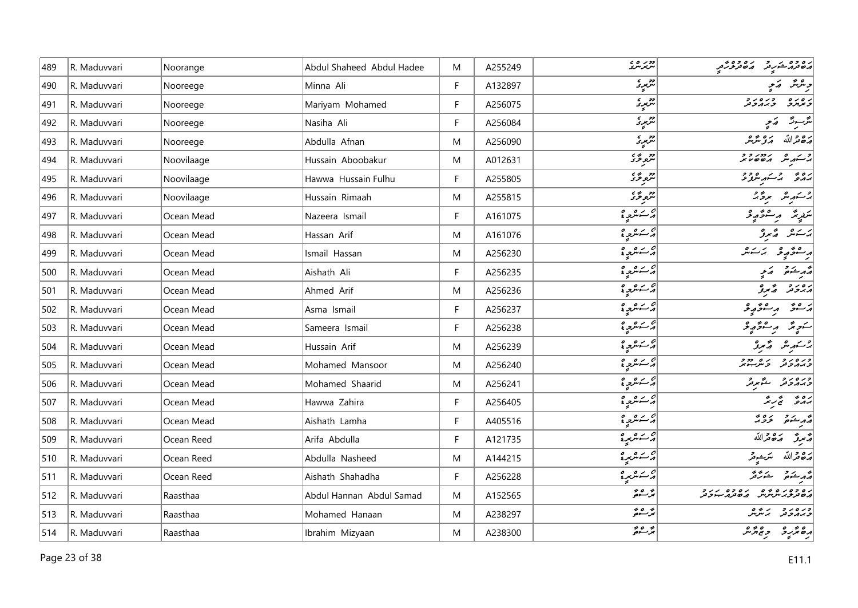| 489 | R. Maduvvari | Noorange   | Abdul Shaheed Abdul Hadee | M  | A255249 | دد بر ه پر<br>سرپرسری         | ره وه شرید می مرور در د                                                                                                                                                                                                                                                                                                                                                                                                                                                                                                                                                    |
|-----|--------------|------------|---------------------------|----|---------|-------------------------------|----------------------------------------------------------------------------------------------------------------------------------------------------------------------------------------------------------------------------------------------------------------------------------------------------------------------------------------------------------------------------------------------------------------------------------------------------------------------------------------------------------------------------------------------------------------------------|
| 490 | R. Maduvvari | Nooreege   | Minna Ali                 | F. | A132897 | دو<br>مترسمه ئه               | حريثر الأمي                                                                                                                                                                                                                                                                                                                                                                                                                                                                                                                                                                |
| 491 | R. Maduvvari | Nooreege   | Mariyam Mohamed           | F. | A256075 | دد<br>مترسری                  | - دره رو<br>- <i>د</i> بر د در                                                                                                                                                                                                                                                                                                                                                                                                                                                                                                                                             |
| 492 | R. Maduvvari | Nooreege   | Nasiha Ali                | F  | A256084 | دد<br>مترسمي <sup>ی</sup>     | لترسوق الأمر                                                                                                                                                                                                                                                                                                                                                                                                                                                                                                                                                               |
| 493 | R. Maduvvari | Nooreege   | Abdulla Afnan             | M  | A256090 | دد<br>مترسمير                 | رە قەللە مۇشرىر                                                                                                                                                                                                                                                                                                                                                                                                                                                                                                                                                            |
| 494 | R. Maduvvari | Noovilaage | Hussain Aboobakur         | M  | A012631 | دد<br>متر <sub>جو</sub> بحری  |                                                                                                                                                                                                                                                                                                                                                                                                                                                                                                                                                                            |
| 495 | R. Maduvvari | Noovilaage | Hawwa Hussain Fulhu       | F  | A255805 | دو محر<br>سره محر             | ره د مخسکه مود د                                                                                                                                                                                                                                                                                                                                                                                                                                                                                                                                                           |
| 496 | R. Maduvvari | Noovilaage | Hussain Rimaah            | M  | A255815 | دو پرې<br>سره څرنه            |                                                                                                                                                                                                                                                                                                                                                                                                                                                                                                                                                                            |
| 497 | R. Maduvvari | Ocean Mead | Nazeera Ismail            | F. | A161075 | لتجسير ويعج                   | جر سکور شرح پروژنی<br>ایر سکور شرح پروژنی<br>سکفپرنگ اور سکور پوش                                                                                                                                                                                                                                                                                                                                                                                                                                                                                                          |
| 498 | R. Maduvvari | Ocean Mead | Hassan Arif               | M  | A161076 | ى<br>مەسەبىرى <sub>چە</sub> ؟ | برسك مجعرة                                                                                                                                                                                                                                                                                                                                                                                                                                                                                                                                                                 |
| 499 | R. Maduvvari | Ocean Mead | Ismail Hassan             | M  | A256230 | م ئەمر <sub>ىچە</sub> ؟       | ر جۇرپۇ بارىكە                                                                                                                                                                                                                                                                                                                                                                                                                                                                                                                                                             |
| 500 | R. Maduvvari | Ocean Mead | Aishath Ali               | F  | A256235 | لأستشرج                       | $\begin{array}{cc} \overline{\phantom{0}} & \overline{\phantom{0}} & \overline{\phantom{0}} & \overline{\phantom{0}} & \overline{\phantom{0}} & \overline{\phantom{0}} & \overline{\phantom{0}} & \overline{\phantom{0}} & \overline{\phantom{0}} & \overline{\phantom{0}} & \overline{\phantom{0}} & \overline{\phantom{0}} & \overline{\phantom{0}} & \overline{\phantom{0}} & \overline{\phantom{0}} & \overline{\phantom{0}} & \overline{\phantom{0}} & \overline{\phantom{0}} & \overline{\phantom{0}} & \overline{\phantom{0}} & \overline{\phantom{0}} & \overline$ |
| 501 | R. Maduvvari | Ocean Mead | Ahmed Arif                | M  | A256236 | ر<br>مەسىرىيە                 | برەر دېرو                                                                                                                                                                                                                                                                                                                                                                                                                                                                                                                                                                  |
| 502 | R. Maduvvari | Ocean Mead | Asma Ismail               | F  | A256237 | لرمسكر وهي                    | ړ هغه په هغه پو                                                                                                                                                                                                                                                                                                                                                                                                                                                                                                                                                            |
| 503 | R. Maduvvari | Ocean Mead | Sameera Ismail            | F  | A256238 | ومستقرحهم                     | سَوِيدٌ پر سقرٌ پوهِ                                                                                                                                                                                                                                                                                                                                                                                                                                                                                                                                                       |
| 504 | R. Maduvvari | Ocean Mead | Hussain Arif              | M  | A256239 | ارسە يى <sub>رى</sub> يە      | برسكور محموقه                                                                                                                                                                                                                                                                                                                                                                                                                                                                                                                                                              |
| 505 | R. Maduvvari | Ocean Mead | Mohamed Mansoor           | M  | A256240 | ا مرسم شر <sub>حی</sub> کا    | ورەرو رەپچە<br><i>جەم</i> ەدىر كەش-                                                                                                                                                                                                                                                                                                                                                                                                                                                                                                                                        |
| 506 | R. Maduvvari | Ocean Mead | Mohamed Shaarid           | M  | A256241 | ر<br>مرسك <i>ر مر</i> حي      | ورەرو شەرقە                                                                                                                                                                                                                                                                                                                                                                                                                                                                                                                                                                |
| 507 | R. Maduvvari | Ocean Mead | Hawwa Zahira              | F  | A256405 | وسنعتبة                       | برە ئەرىئە                                                                                                                                                                                                                                                                                                                                                                                                                                                                                                                                                                 |
| 508 | R. Maduvvari | Ocean Mead | Aishath Lamha             | F. | A405516 | ى ئەسەھ <sub>رى</sub> ؟       | ومشكا وده                                                                                                                                                                                                                                                                                                                                                                                                                                                                                                                                                                  |
| 509 | R. Maduvvari | Ocean Reed | Arifa Abdulla             | F. | A121735 | لأسكره بدء                    | أصحرته وكاله تعادلته                                                                                                                                                                                                                                                                                                                                                                                                                                                                                                                                                       |
| 510 | R. Maduvvari | Ocean Reed | Abdulla Nasheed           | M  | A144215 | ە ئەنگەرى<br>م                | رەقراللە سەيدىق                                                                                                                                                                                                                                                                                                                                                                                                                                                                                                                                                            |
| 511 | R. Maduvvari | Ocean Reed | Aishath Shahadha          | F  | A256228 | لرمسكر معرو                   | د.<br>دگر شومی شو <i>ر</i> فر                                                                                                                                                                                                                                                                                                                                                                                                                                                                                                                                              |
| 512 | R. Maduvvari | Raasthaa   | Abdul Hannan Abdul Samad  | M  | A152565 | پۇ رەپۇ                       | ره وه ره ده مدر در د<br>پره تروبر سرس کره تر در سور تر                                                                                                                                                                                                                                                                                                                                                                                                                                                                                                                     |
| 513 | R. Maduvvari | Raasthaa   | Mohamed Hanaan            | M  | A238297 | پُر مەم<br>مر                 | ورەرو پەش                                                                                                                                                                                                                                                                                                                                                                                                                                                                                                                                                                  |
| 514 | R. Maduvvari | Raasthaa   | Ibrahim Mizyaan           | M  | A238300 | پر ٥ پر<br>مرسوم              | رە ئرىرو بى ئرىر                                                                                                                                                                                                                                                                                                                                                                                                                                                                                                                                                           |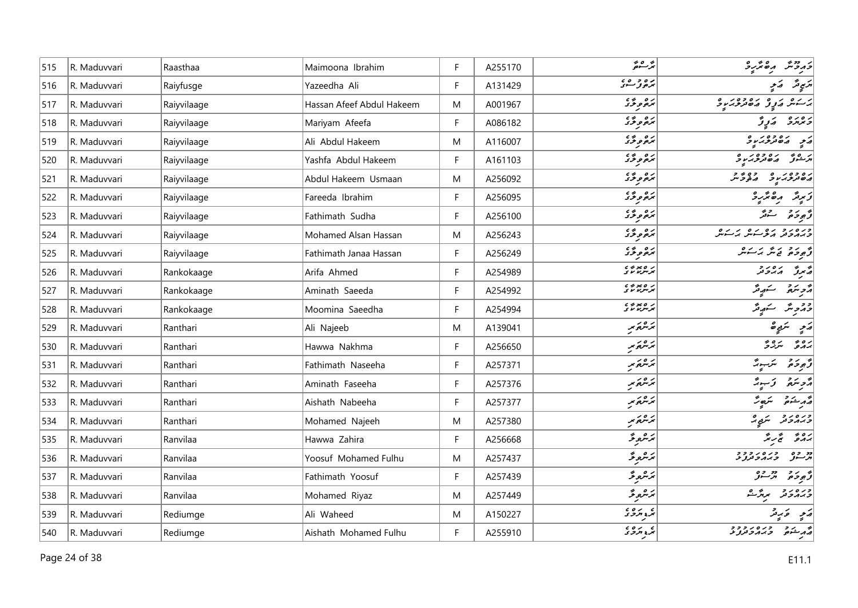| 515 | R. Maduvvari | Raasthaa    | Maimoona Ibrahim          | F         | A255170 | پۇ رەپ<br>ئىرىسوە                       | 5,50, 57,5                                          |
|-----|--------------|-------------|---------------------------|-----------|---------|-----------------------------------------|-----------------------------------------------------|
| 516 | R. Maduvvari | Raiyfusge   | Yazeedha Ali              | F         | A131429 | بره د ه ،<br>بروز سر                    | أأربي فأراد أركبت أأراض                             |
| 517 | R. Maduvvari | Raiyvilaage | Hassan Afeef Abdul Hakeem | M         | A001967 | بره و ځه                                | يُرَ دَرَوْ مُعْتَرَ مِنْ دَيْرٍ                    |
| 518 | R. Maduvvari | Raiyvilaage | Mariyam Afeefa            | F         | A086182 | ره<br>مر <sub>گ</sub> وعو څر            | و وره درو                                           |
| 519 | R. Maduvvari | Raiyvilaage | Ali Abdul Hakeem          | M         | A116007 | بره و پژی                               |                                                     |
| 520 | R. Maduvvari | Raiyvilaage | Yashfa Abdul Hakeem       | F         | A161103 | ره<br>مر <sub>گ</sub> وعو څر            | بروه رەدەررە                                        |
| 521 | R. Maduvvari | Raiyvilaage | Abdul Hakeem Usmaan       | ${\sf M}$ | A256092 | ره وي<br>تر <sub>گ</sub> وتون           | גפנפג <sub>ו</sub> פ נפינ<br>גפנגאיני גברית         |
| 522 | R. Maduvvari | Raiyvilaage | Fareeda Ibrahim           | F         | A256095 | ره<br>بر <sub>هو</sub> و ژ <sub>ک</sub> | ۇ بوتر مەھمرىر                                      |
| 523 | R. Maduvvari | Raiyvilaage | Fathimath Sudha           | F         | A256100 | ىرە ھەتىمى                              | و د د و د                                           |
| 524 | R. Maduvvari | Raiyvilaage | Mohamed Alsan Hassan      | ${\sf M}$ | A256243 | ره<br>مر <sub>حو</sub> موگری            | ورەرو رە رە رە رىك                                  |
| 525 | R. Maduvvari | Raiyvilaage | Fathimath Janaa Hassan    | F         | A256249 | ىرە ھەتىي                               | ژُودَه نے تر ټر کر                                  |
| 526 | R. Maduvvari | Rankokaage  | Arifa Ahmed               | F         | A254989 | ر ٥ × ٥ ي<br>برمربر تر ي                | ومروم مددور<br>مسروم                                |
| 527 | R. Maduvvari | Rankokaage  | Aminath Saeeda            | F         | A254992 | ر ەيدىر<br>بىرس ئىر                     | أأدمته أسكم المتكر                                  |
| 528 | R. Maduvvari | Rankokaage  | Moomina Saeedha           | F         | A254994 | ر ەيدىر<br>بىرس ما ي                    | ودونڈ ڪھوٹر                                         |
| 529 | R. Maduvvari | Ranthari    | Ali Najeeb                | ${\sf M}$ | A139041 | بجرىتز كالمجرس                          |                                                     |
| 530 | R. Maduvvari | Ranthari    | Hawwa Nakhma              | F         | A256650 | برەيرىر                                 | برەپچ<br>سرەپچ                                      |
| 531 | R. Maduvvari | Ranthari    | Fathimath Naseeha         | F         | A257371 | برەرىر                                  | أقرموخرمي الترسور                                   |
| 532 | R. Maduvvari | Ranthari    | Aminath Faseeha           | F         | A257376 | بئر يتزكيم سر                           | ومحر المستركب وكالمستر                              |
| 533 | R. Maduvvari | Ranthari    | Aishath Nabeeha           | F         | A257377 | برمريمبر                                | سكرچەڭ<br>پ <sup>و</sup> مرشومو<br>مرم              |
| 534 | R. Maduvvari | Ranthari    | Mohamed Najeeh            | M         | A257380 | ابرتقهر                                 | و ره ر و<br>تر پر ژ تر                              |
| 535 | R. Maduvvari | Ranvilaa    | Hawwa Zahira              | F         | A256668 | ىرىثرە قر                               | برە ئەرىتە                                          |
| 536 | R. Maduvvari | Ranvilaa    | Yoosuf Mohamed Fulhu      | M         | A257437 | ترىثرىز قر                              | و ر ه ر و و و<br>تر پر ژ تونو نو<br>در وه<br>در سرو |
| 537 | R. Maduvvari | Ranvilaa    | Fathimath Yoosuf          | F         | A257439 | ترىثرىز قر                              | انج بر د دور ده<br>ارتبوخ <sub>ان</sub> ج افرانسوني |
| 538 | R. Maduvvari | Ranvilaa    | Mohamed Riyaz             | ${\sf M}$ | A257449 | برمرمرځ                                 | כממכנג תוציים                                       |
| 539 | R. Maduvvari | Rediumge    | Ali Waheed                | M         | A150227 | ې بەرە ،<br>ئىرو بىر تەر                | أرشح أترامد                                         |
| 540 | R. Maduvvari | Rediumge    | Aishath Mohamed Fulhu     | F         | A255910 | ړ ده د<br>مربورۍ                        | ه در وره رووو<br>په دشتني وبروترونو                 |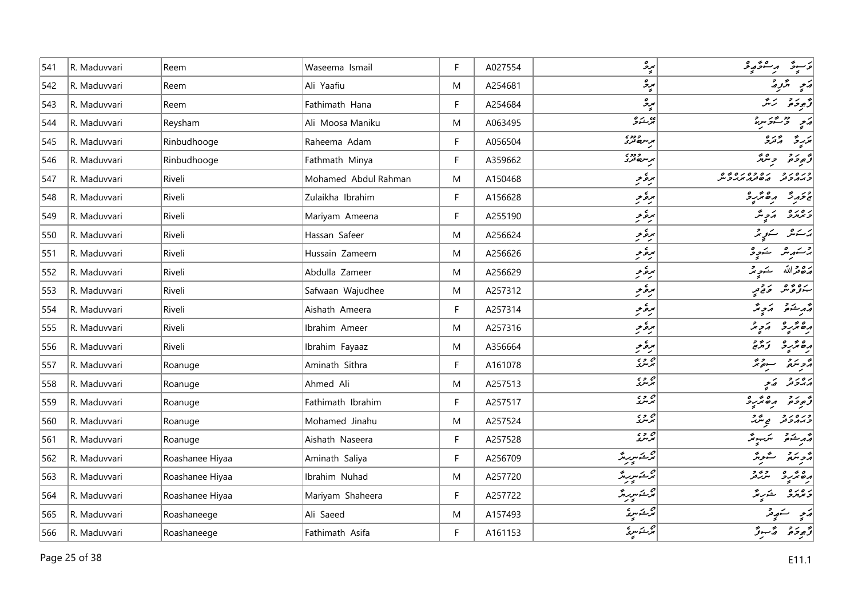| 541 | R. Maduvvari | Reem            | Waseema Ismail       | F         | A027554 | ىبرىر                    | رەۋەپچ<br>ىز بەيىتى<br>ئىسىم                                                                                                                                                                                                     |
|-----|--------------|-----------------|----------------------|-----------|---------|--------------------------|----------------------------------------------------------------------------------------------------------------------------------------------------------------------------------------------------------------------------------|
| 542 | R. Maduvvari | Reem            | Ali Yaafiu           | M         | A254681 | ىبەر                     | ړې پروژ                                                                                                                                                                                                                          |
| 543 | R. Maduvvari | Reem            | Fathimath Hana       | F         | A254684 | ىبەر                     | توجوجي<br>ىرىتر                                                                                                                                                                                                                  |
| 544 | R. Maduvvari | Reysham         | Ali Moosa Maniku     | M         | A063495 | يحرشوح                   | גוב קייבור היולי ביותר ביותר ביותר ביותר ביותר ביותר ביותר ביותר ביותר ביותר ביותר ביותר ביותר ביותר ביותר ביו<br>הודעות ביותר ביותר ביותר ביותר ביותר ביותר ביותר ביותר ביותר ביותר ביותר ביותר ביותר ביותר ביותר ביותר ביותר ב |
| 545 | R. Maduvvari | Rinbudhooge     | Raheema Adam         | F         | A056504 | و وو د<br>مرس پرور       | بمبرڈ<br>پور ہ<br>مرمر                                                                                                                                                                                                           |
| 546 | R. Maduvvari | Rinbudhooge     | Fathmath Minya       | F         | A359662 | و دو د<br>مرس ه تر د     | وٌوِدَهُ دِسْرٌ                                                                                                                                                                                                                  |
| 547 | R. Maduvvari | Riveli          | Mohamed Abdul Rahman | ${\sf M}$ | A150468 | ىردى<br>س                | ر ٥ ر ٥ ر ٥ ر ٥<br>۵ ره تر ۸ بر بر ش<br>و ر ه ر و<br>و پر پر <del>و</del> تر                                                                                                                                                     |
| 548 | R. Maduvvari | Riveli          | Zulaikha Ibrahim     | F         | A156628 | برۂع                     | $\frac{2}{3}$                                                                                                                                                                                                                    |
| 549 | R. Maduvvari | Riveli          | Mariyam Ameena       | F         | A255190 | ىرەً م                   | ر ه ره<br>د بربرد<br>ړ د پتر                                                                                                                                                                                                     |
| 550 | R. Maduvvari | Riveli          | Hassan Safeer        | M         | A256624 | برة و                    | ئەسەھە<br>سەرپە                                                                                                                                                                                                                  |
| 551 | R. Maduvvari | Riveli          | Hussain Zameem       | M         | A256626 | ىرەً م                   | چەسىر سىر ئىكرو                                                                                                                                                                                                                  |
| 552 | R. Maduvvari | Riveli          | Abdulla Zameer       | M         | A256629 | برءٌ م                   | ەھىراللە<br>ڪو پڙ                                                                                                                                                                                                                |
| 553 | R. Maduvvari | Riveli          | Safwaan Wajudhee     | ${\sf M}$ | A257312 | برءمر                    | بەدە ئەدەر                                                                                                                                                                                                                       |
| 554 | R. Maduvvari | Riveli          | Aishath Ameera       | F         | A257314 | برة و                    | أقمر شكوته أترجم                                                                                                                                                                                                                 |
| 555 | R. Maduvvari | Riveli          | Ibrahim Ameer        | M         | A257316 | برة و                    | رەنزىر ئېچىز                                                                                                                                                                                                                     |
| 556 | R. Maduvvari | Riveli          | Ibrahim Fayaaz       | M         | A356664 | ىرەً م                   | ە ھەترىرى<br>س<br>تر شر د<br>تو پنرم                                                                                                                                                                                             |
| 557 | R. Maduvvari | Roanuge         | Aminath Sithra       | F         | A161078 | پرېږي                    | أثرجه تنهجر<br>$\begin{array}{c} \overline{\mathcal{L}}\mathcal{L} \\ \mathcal{L}\mathcal{L} \end{array}$                                                                                                                        |
| 558 | R. Maduvvari | Roanuge         | Ahmed Ali            | M         | A257513 | ە د ،<br>ئىرسرى          | ره رو په په                                                                                                                                                                                                                      |
| 559 | R. Maduvvari | Roanuge         | Fathimath Ibrahim    | F         | A257517 | ە د ،<br>ئىرسرى          | ە ھەترىرى<br>ۇ بوز ئ                                                                                                                                                                                                             |
| 560 | R. Maduvvari | Roanuge         | Mohamed Jinahu       | M         | A257524 | ە د ،<br>ئىرسرى          | و ره ر د<br><i>و پر</i> پر تر<br>ہے مترکر                                                                                                                                                                                        |
| 561 | R. Maduvvari | Roanuge         | Aishath Naseera      | F         | A257528 | ە د ،<br>ئىرسرى          | پ <sup>و</sup> مرشومو<br>ىئرسېدىتر                                                                                                                                                                                               |
| 562 | R. Maduvvari | Roashanee Hiyaa | Aminath Saliya       | F         | A256709 | ە<br>ئىرىشە سورىدىگە     | ستحورش<br>أرمز                                                                                                                                                                                                                   |
| 563 | R. Maduvvari | Roashanee Hiyaa | Ibrahim Nuhad        | ${\sf M}$ | A257720 | ە<br>ئىرىشە بىرىرىدىگە   | ە ھەترىرى<br>بر ھەترىرى<br>و پر و<br>سربر تعر                                                                                                                                                                                    |
| 564 | R. Maduvvari | Roashanee Hiyaa | Mariyam Shaheera     | F         | A257722 | ە<br>ئىرىشە بىرىر بىر    | ر ه ر ه<br>د بربرد<br>ىشكە پەتتى<br>ئ                                                                                                                                                                                            |
| 565 | R. Maduvvari | Roashaneege     | Ali Saeed            | M         | A157493 | ر<br>ترڪس <sub>ي</sub> ر | د کمبر در در در در این کشتی به تاریخ<br>در ساله در این کشتی به تاریخ به تاریخ به تاریخ به تاریخ به تاریخ باشده باشده باشد باشد باشد باشد باشد باشد با                                                                            |
| 566 | R. Maduvvari | Roashaneege     | Fathimath Asifa      | F         | A161153 | ترڪسري<br>ترڪس           | ژوده شبرژ                                                                                                                                                                                                                        |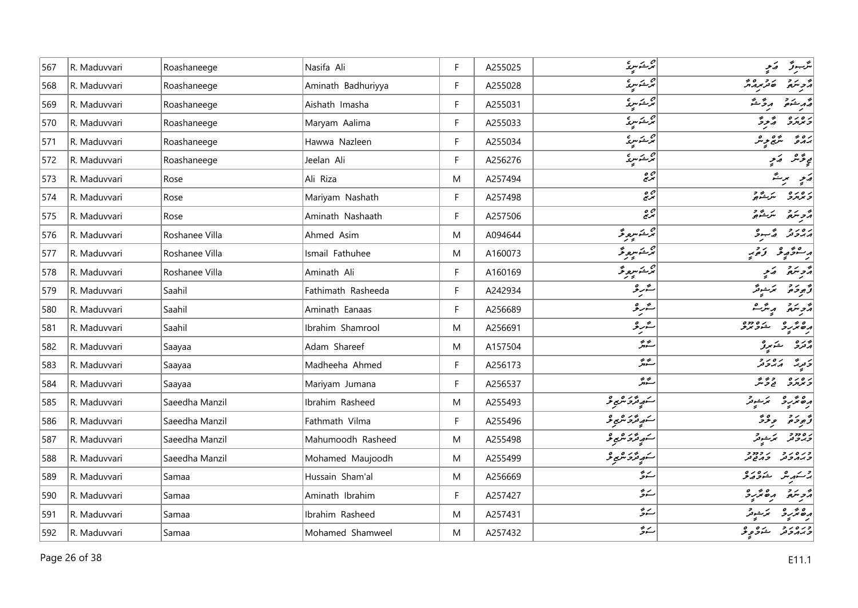| 567 | R. Maduvvari | Roashaneege    | Nasifa Ali         | F         | A255025 | ترىشەسرىگە                        | ىگرىبىدۇ<br>م<br>ەتىر                                      |
|-----|--------------|----------------|--------------------|-----------|---------|-----------------------------------|------------------------------------------------------------|
| 568 | R. Maduvvari | Roashaneege    | Aminath Badhuriyya | F.        | A255028 | ترىشە يېرىكە                      | ر د مره د<br>ت <i>خ</i> تر <i>پر د</i> ر<br>أأرمره         |
| 569 | R. Maduvvari | Roashaneege    | Aishath Imasha     | F.        | A255031 | ئۇيغۇس <sub>ۇ</sub> كە            | ەرىخ ئىشە<br>و مر شو د<br>مرم شو ه                         |
| 570 | R. Maduvvari | Roashaneege    | Maryam Aalima      | F         | A255033 | ئۇيغۇسوپۇ                         | ر ہ ر ہ<br><del>ر</del> بربرو<br>رٌورٌ                     |
| 571 | R. Maduvvari | Roashaneege    | Hawwa Nazleen      | F         | A255034 | ە<br>ئىرىشەسرىيە                  | برەپچ<br>يژه پر پر                                         |
| 572 | R. Maduvvari | Roashaneege    | Jeelan Ali         | F         | A256276 | ە<br>ئىرىشەس <sub>ىرى</sub> گە    | ي <sub>ې</sub> ئ <sup>ې</sup> ر م                          |
| 573 | R. Maduvvari | Rose           | Ali Riza           | M         | A257494 | $\overline{\mathcal{E}}$          | ړې برگ                                                     |
| 574 | R. Maduvvari | Rose           | Mariyam Nashath    | F         | A257498 | جرمج                              | ر ه ر ه<br><del>و</del> بوبرو<br>سريشتر ۾                  |
| 575 | R. Maduvvari | Rose           | Aminath Nashaath   | F         | A257506 | $\overline{\mathcal{E}}$          | ړ ځې په د<br>سرشتم تر                                      |
| 576 | R. Maduvvari | Roshanee Villa | Ahmed Asim         | M         | A094644 | ترىئەسرە قر                       | ر ە ر د<br>رژب و                                           |
| 577 | R. Maduvvari | Roshanee Villa | Ismail Fathuhee    | M         | A160073 | ئىرىئە <sub>سرى<i>بە</i> ئە</sub> | رىشۇرچۇ                                                    |
| 578 | R. Maduvvari | Roshanee Villa | Aminath Ali        | F         | A160169 | م<br>ترڪسو <i>پور</i> گر          | أرمرهم                                                     |
| 579 | R. Maduvvari | Saahil         | Fathimath Rasheeda | F         | A242934 | سەر بۇ                            | و مرد<br>ترجو حر<br>ىرىشەنگر                               |
| 580 | R. Maduvvari | Saahil         | Aminath Eanaas     | F         | A256689 | سەرپۇ                             | رېترت<br>أأدمره                                            |
| 581 | R. Maduvvari | Saahil         | Ibrahim Shamrool   | ${\sf M}$ | A256691 | سەر بۇ                            | ە ھەترىرى<br>برھەترىرى<br>ر ده دوه<br>شو <del>د</del> مونو |
| 582 | R. Maduvvari | Saayaa         | Adam Shareef       | M         | A157504 | سەدىر                             | په ره<br>د ترو<br>ڪ موثر<br>پ                              |
| 583 | R. Maduvvari | Saayaa         | Madheeha Ahmed     | F         | A256173 | ستەدىر                            | ىز م <sub>ىي</sub> گە<br>پروژو                             |
| 584 | R. Maduvvari | Saayaa         | Mariyam Jumana     | F         | A256537 | سەدىر                             | ر ه ر ه<br><del>ر</del> بربرگ<br>و پر پر<br>مع قر سگر      |
| 585 | R. Maduvvari | Saeedha Manzil | Ibrahim Rasheed    | M         | A255493 | سەر ئەڭرىكىمى ئى                  | ەرھەترىر <sup>ى</sup><br>بحرشدقر                           |
| 586 | R. Maduvvari | Saeedha Manzil | Fathmath Vilma     | F         | A255496 | سەر ئەر ئەر ئىسى ئى               | و مرد<br>ترجوح<br>ء وُرَّ                                  |
| 587 | R. Maduvvari | Saeedha Manzil | Mahumoodh Rasheed  | M         | A255498 | سەر ئەڭرىكى بىر ئى                | ر ه دد د<br>تربر تر تر<br>ىمەشەتر                          |
| 588 | R. Maduvvari | Saeedha Manzil | Mohamed Maujoodh   | M         | A255499 | سەر ئەرىبە ئىرى <i>مى</i> ئى      | ر و دو و<br>تر در بی تر<br>و ره ر د<br><i>و پر</i> پر تر   |
| 589 | R. Maduvvari | Samaa          | Hussain Sham'al    | M         | A256669 | سەنچ                              | شەھ بەر بى<br>جر س <sub>ک</sub> ر میں<br>م                 |
| 590 | R. Maduvvari | Samaa          | Aminath Ibrahim    | F         | A257427 | سەۋ                               | و په کړه<br>په کلمه<br>رە ئۆر ۋ                            |
| 591 | R. Maduvvari | Samaa          | Ibrahim Rasheed    | M         | A257431 | سەۋ                               | دەنزېږ                                                     |
| 592 | R. Maduvvari | Samaa          | Mohamed Shamweel   | M         | A257432 | سەۋ                               | و ره ر و<br>تر پر ژ تر<br>شەۋەپ بۇ                         |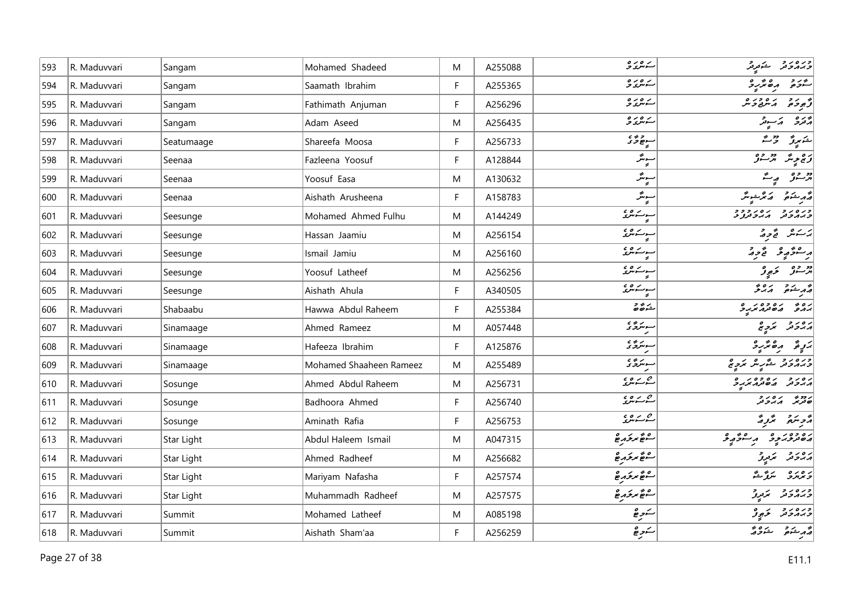| 593 | R. Maduvvari | Sangam            | Mohamed Shadeed         | M         | A255088 | يە ھەر ھ            | ورەرو شەيرو                                                          |
|-----|--------------|-------------------|-------------------------|-----------|---------|---------------------|----------------------------------------------------------------------|
| 594 | R. Maduvvari | Sangam            | Saamath Ibrahim         | F         | A255365 | یه هره              | در ده ده در د                                                        |
| 595 | R. Maduvvari | Sangam            | Fathimath Anjuman       | F         | A256296 | يە ھەر ھ            | أزجروه بره وره                                                       |
| 596 | R. Maduvvari | Sangam            | Adam Aseed              | M         | A256435 | يە ھەر ھ            | وره کړېدن <sub>د</sub>                                               |
| 597 | R. Maduvvari | Seatumaage        | Shareefa Moosa          | F         | A256733 | ر و د ی<br>پره څ    | أخويرو المحمد                                                        |
| 598 | R. Maduvvari | Seenaa            | Fazleena Yoosuf         | F         | A128844 | سەپىگر              | زچ په شهر جوړ حو                                                     |
| 599 | R. Maduvvari | Seenaa            | Yoosuf Easa             | ${\sf M}$ | A130632 | ىپەتتر              | در ده په په مخ                                                       |
| 600 | R. Maduvvari | Seenaa            | Aishath Arusheena       | F         | A158783 | سەپىگر              | قەرشىق قەترىشونىگە                                                   |
| 601 | R. Maduvvari | Seesunge          | Mohamed Ahmed Fulhu     | M         | A144249 | ليوسكونني           | כנסנכ נסנככב<br><i>כמ</i> תכ <mark>ט ה</mark> מכ <mark>ט</mark> נט   |
| 602 | R. Maduvvari | Seesunge          | Hassan Jaamiu           | M         | A256154 | بسوسته يتمد         | يركسكر المجاحاة                                                      |
| 603 | R. Maduvvari | Seesunge          | Ismail Jamiu            | M         | A256160 | اب مەنىۋىيە<br>پە   | وكالحمي فتحارم                                                       |
| 604 | R. Maduvvari | Seesunge          | Yoosuf Latheef          | M         | A256256 | اب مەنگەنگە<br>پە   | دو ده نه ده ده ده در دارد.<br>افراد در نورو در در دارد کنید و در کار |
| 605 | R. Maduvvari | Seesunge          | Aishath Ahula           | F         | A340505 | لسوسته يتمد         | وكرشن ودرونج                                                         |
| 606 | R. Maduvvari | Shabaabu          | Hawwa Abdul Raheem      | F         | A255384 | شەھ ھ               | גם גם כסגם<br>גרפ השינה בג                                           |
| 607 | R. Maduvvari | Sinamaage         | Ahmed Rameez            | ${\sf M}$ | A057448 | سەپىرى ئ            | رەرو بروغ                                                            |
| 608 | R. Maduvvari | Sinamaage         | Hafeeza Ibrahim         | F         | A125876 | اسەپىرى<br>پە       | برَوِيمُ مِصْرَبِرْدِ                                                |
| 609 | R. Maduvvari | Sinamaage         | Mohamed Shaaheen Rameez | M         | A255489 | سوپىرى              | ورەرو ئۇرىر تروپى                                                    |
| 610 | R. Maduvvari | Sosunge           | Ahmed Abdul Raheem      | M         | A256731 | <u>م</u> مەكەندى    | גפני גפינגים                                                         |
| 611 | R. Maduvvari | Sosunge           | Badhoora Ahmed          | F         | A256740 | <u>م</u> مەكەندى    | ני מיני נייר<br>סנקית הניכנק                                         |
| 612 | R. Maduvvari | Sosunge           | Aminath Rafia           | F         | A256753 | <u>مى ئەيدى</u>     | ړو سرو ځروړ                                                          |
| 613 | R. Maduvvari | Star Light        | Abdul Haleem Ismail     | M         | A047315 | <u>شوءَ برځ ره</u>  | קפנקיקים <sub>מ</sub> שיכן ב                                         |
| 614 | R. Maduvvari | Star Light        | Ahmed Radheef           | M         | A256682 | <u>شوءَ برځ برغ</u> | پرور پرتوژ                                                           |
| 615 | R. Maduvvari | <b>Star Light</b> | Mariyam Nafasha         | F         | A257574 | <u>شوءَ برځ بره</u> | ر ہ ر ہ<br><del>ر</del> بربر ژ<br>سَرَقَرْ مُسَّر                    |
| 616 | R. Maduvvari | Star Light        | Muhammadh Radheef       | ${\sf M}$ | A257575 | <u>شوءَ برمَروء</u> | ورەر دىر دېر                                                         |
| 617 | R. Maduvvari | Summit            | Mohamed Latheef         | M         | A085198 | سكرة                | ورەر دېږ                                                             |
| 618 | R. Maduvvari | Summit            | Aishath Sham'aa         | F         | A256259 | سكرج                | د از ده دره د                                                        |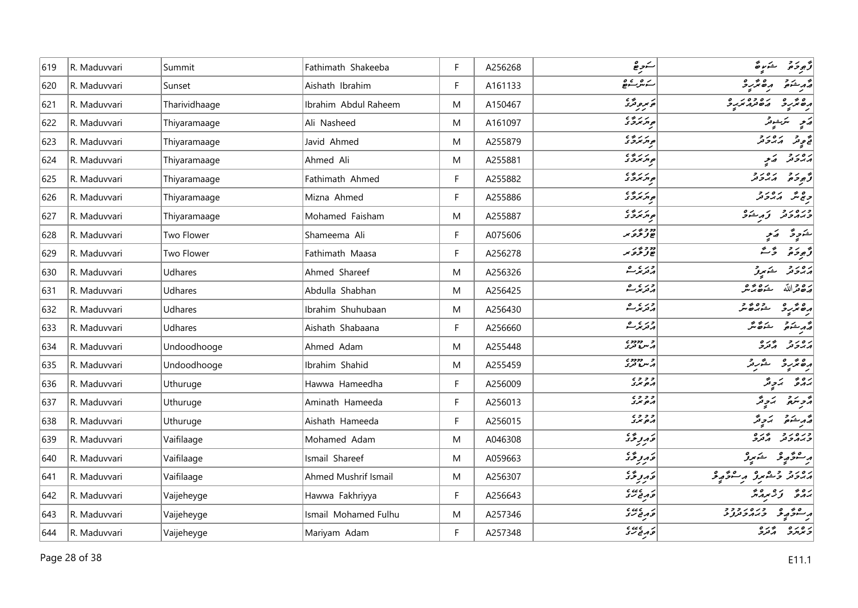| 619 | R. Maduvvari | Summit        | Fathimath Shakeeba   | F         | A256268 | سكرج                                | و دو شهرهٔ<br>زوده شهرهٔ                    |
|-----|--------------|---------------|----------------------|-----------|---------|-------------------------------------|---------------------------------------------|
| 620 | R. Maduvvari | Sunset        | Aishath Ibrahim      | F         | A161133 | ر<br>سەنگەر شەھ                     |                                             |
| 621 | R. Maduvvari | Tharividhaage | Ibrahim Abdul Raheem | ${\sf M}$ | A150467 | <br> توسر عرو قرى                   |                                             |
| 622 | R. Maduvvari | Thiyaramaage  | Ali Nasheed          | M         | A161097 | ىر بر ئ <sup>ە</sup> ئ              | كامي الكرشوقر<br>ماموا                      |
| 623 | R. Maduvvari | Thiyaramaage  | Javid Ahmed          | ${\sf M}$ | A255879 | مرکز دی                             |                                             |
| 624 | R. Maduvvari | Thiyaramaage  | Ahmed Ali            | M         | A255881 | ر ر د د ،<br>موهر پرد د             | برەرد كەي                                   |
| 625 | R. Maduvvari | Thiyaramaage  | Fathimath Ahmed      | F         | A255882 | ىر بر ئ <sup>ى</sup> ي              | توجدة برورد                                 |
| 626 | R. Maduvvari | Thiyaramaage  | Mizna Ahmed          | F         | A255886 | ן גישי<br>קי <i>ת ה</i> בצ          | و چې شه پر مرد ور                           |
| 627 | R. Maduvvari | Thiyaramaage  | Mohamed Faisham      | ${\sf M}$ | A255887 | مر بر پر پر                         | ورەرو تەرشى                                 |
| 628 | R. Maduvvari | Two Flower    | Shameema Ali         | F         | A075606 | دد و بر ر<br>ج تو څره بر            | المشروح أكدمي                               |
| 629 | R. Maduvvari | Two Flower    | Fathimath Maasa      | F         | A256278 | دد و بر ر<br>ج تو څره بر            | وٌ و دو سي ش                                |
| 630 | R. Maduvvari | Udhares       | Ahmed Shareef        | M         | A256326 | د بر پر <u>م</u>                    | رەر ئىيرۇ<br>مەدەر ئىيرۇ                    |
| 631 | R. Maduvvari | Udhares       | Abdulla Shabhan      | M         | A256425 | ە ئەرىئە ھ                          | رە قراللە خەھ ئىر                           |
| 632 | R. Maduvvari | Udhares       | Ibrahim Shuhubaan    | ${\sf M}$ | A256430 | ج پر پ <sub>ر</sub> ص               | شەرە ئەر<br>ەر ھەتمەر 2<br>ر                |
| 633 | R. Maduvvari | Udhares       | Aishath Shabaana     | F         | A256660 | د ر ، م<br>مرمرسه                   |                                             |
| 634 | R. Maduvvari | Undoodhooge   | Ahmed Adam           | ${\sf M}$ | A255448 | و سردوو تا<br>هر سرع توری           | ג ס ג פ ב פ קיים<br>הגב <i>ה</i> המב        |
| 635 | R. Maduvvari | Undoodhooge   | Ibrahim Shahid       | M         | A255459 | و سردود و<br>پر سرد تور             | رە ئەر ئىسىمىت                              |
| 636 | R. Maduvvari | Uthuruge      | Hawwa Hameedha       | F         | A256009 | د د د پ<br>پره مرد                  | رەي بەدىئى                                  |
| 637 | R. Maduvvari | Uthuruge      | Aminath Hameeda      | F         | A256013 | د د د د<br>مرح برد                  | ړٌ پر سَرَهٌ کَ پَر پَرٌ                    |
| 638 | R. Maduvvari | Uthuruge      | Aishath Hameeda      | F         | A256015 | د د د ،<br>پره پرې                  | أمار منكوم الكردم                           |
| 639 | R. Maduvvari | Vaifilaage    | Mohamed Adam         | ${\sf M}$ | A046308 | ئەمرىر ئۇي<br>                      | ورەر د درە<br><i>دىد</i> ردىر رىرد          |
| 640 | R. Maduvvari | Vaifilaage    | Ismail Shareef       | ${\sf M}$ | A059663 | ر<br>د مربو څه د                    | ر شۇرچى خەيرۇ                               |
| 641 | R. Maduvvari | Vaifilaage    | Ahmed Mushrif Ismail | ${\sf M}$ | A256307 | د مروځ د<br>  د مروځ د              |                                             |
| 642 | R. Maduvvari | Vaijeheyge    | Hawwa Fakhriyya      | F         | A256643 | ر مده دره<br>د مربع ر <sub>ند</sub> |                                             |
| 643 | R. Maduvvari | Vaijeheyge    | Ismail Mohamed Fulhu | M         | A257346 | <br>  تو مربع رئ                    | ر صور و در دود.<br>د سوځ په د پروترون       |
| 644 | R. Maduvvari | Vaijeheyge    | Mariyam Adam         | F         | A257348 | ر<br>  تو در ج ر د                  | ر ہ رہ ہورہ<br>ح <i>مد</i> رو م <i>د</i> رو |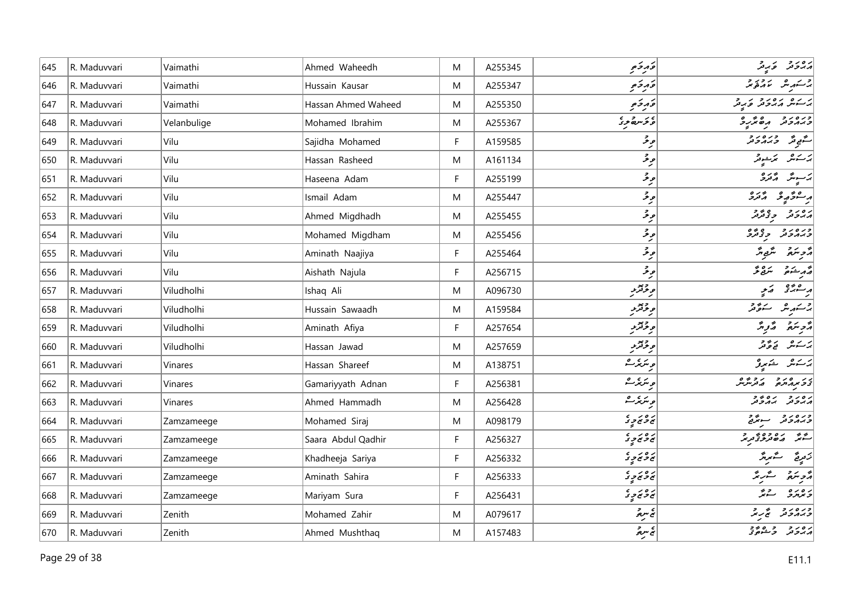| 645 | R. Maduvvari | Vaimathi    | Ahmed Waheedh       | M         | A255345 | غەدىئە                            | أرور و در د                                            |
|-----|--------------|-------------|---------------------|-----------|---------|-----------------------------------|--------------------------------------------------------|
| 646 | R. Maduvvari | Vaimathi    | Hussain Kausar      | M         | A255347 | أء مرځ مو                         | ج ڪهر مٿر سام هو سر                                    |
| 647 | R. Maduvvari | Vaimathi    | Hassan Ahmed Waheed | M         | A255350 | لحرمرخرمو                         | د ره دره در و در و<br>درخش مدوور و د                   |
| 648 | R. Maduvvari | Velanbulige | Mohamed Ibrahim     | M         | A255367 | ې ئەسھ <sup>ى</sup> ئ             | כמחכת חסתיכ                                            |
| 649 | R. Maduvvari | Vilu        | Sajidha Mohamed     | F         | A159585 | حرقحه                             | أستمي تزره رو                                          |
| 650 | R. Maduvvari | Vilu        | Hassan Rasheed      | M         | A161134 | عرقر                              |                                                        |
| 651 | R. Maduvvari | Vilu        | Haseena Adam        | F         | A255199 | حريحه                             | ئەسىت مەمرە                                            |
| 652 | R. Maduvvari | Vilu        | Ismail Adam         | M         | A255447 | حرثر                              | بر شرقه و محمده                                        |
| 653 | R. Maduvvari | Vilu        | Ahmed Migdhadh      | ${\sf M}$ | A255455 | حرثر                              | ره رو در در<br>مدونر ودنگه                             |
| 654 | R. Maduvvari | Vilu        | Mohamed Migdham     | M         | A255456 | عريحه                             | כנסנכ פיט<br>כגובנג פינב                               |
| 655 | R. Maduvvari | Vilu        | Aminath Naajiya     | F         | A255464 | عرفحه                             | أزويتكم يتمهر                                          |
| 656 | R. Maduvvari | Vilu        | Aishath Najula      | F         | A256715 | حرقحه                             | وكرك والمتحافظ                                         |
| 657 | R. Maduvvari | Viludholhi  | Ishaq Ali           | M         | A096730 | وتزقرو                            | $\frac{1}{2}$                                          |
| 658 | R. Maduvvari | Viludholhi  | Hussain Sawaadh     | ${\sf M}$ | A159584 | وتخترر                            | د سکه شده استاده در محمد به در استاده کرد.<br>پرسکه سر |
| 659 | R. Maduvvari | Viludholhi  | Aminath Afiya       | F         | A257654 | وتحقرو                            |                                                        |
| 660 | R. Maduvvari | Viludholhi  | Hassan Jawad        | M         | A257659 | و څونتر ر                         | برسكس يخافه                                            |
| 661 | R. Maduvvari | Vinares     | Hassan Shareef      | M         | A138751 | <sub>حو</sub> سَر پرَ مـْ         | پرستمبر مقامرو                                         |
| 662 | R. Maduvvari | Vinares     | Gamariyyath Adnan   | F         | A256381 | <sub>حو</sub> سَر پر م            | גן פניק גבשים.<br>צביקו <i>ג</i> ותם הבנייניינ         |
| 663 | R. Maduvvari | Vinares     | Ahmed Hammadh       | M         | A256428 | <sub>حو</sub> سَر پر م            | גפני גם ביב                                            |
| 664 | R. Maduvvari | Zamzameege  | Mohamed Siraj       | ${\sf M}$ | A098179 | ئەۋىئە جەتمە                      | وره در ور در و<br>وبردونر سوپرتع                       |
| 665 | R. Maduvvari | Zamzameege  | Saara Abdul Qadhir  | F         | A256327 | ئەۋىئە جەنجە                      | شمش رە دەپر د                                          |
| 666 | R. Maduvvari | Zamzameege  | Khadheeja Sariya    | F         | A256332 | ر ه ر<br>نخ د نځ چ <sub>و</sub> د | كَتَمِيعٌ السُّمْبِيرُّ                                |
| 667 | R. Maduvvari | Zamzameege  | Aminath Sahira      | F         | A256333 |                                   | أروسكو<br>شەرىتىر                                      |
| 668 | R. Maduvvari | Zamzameege  | Mariyam Sura        | F         | A256431 | ر ە ر<br>ئى 3 تۈ تۈ تۈ            | دەرە دەپر                                              |
| 669 | R. Maduvvari | Zenith      | Mohamed Zahir       | M         | A079617 | م سرچ<br> <br>ح                   |                                                        |
| 670 | R. Maduvvari | Zenith      | Ahmed Mushthaq      | ${\sf M}$ | A157483 | ع سرچ<br>                         | رەرد دەپر                                              |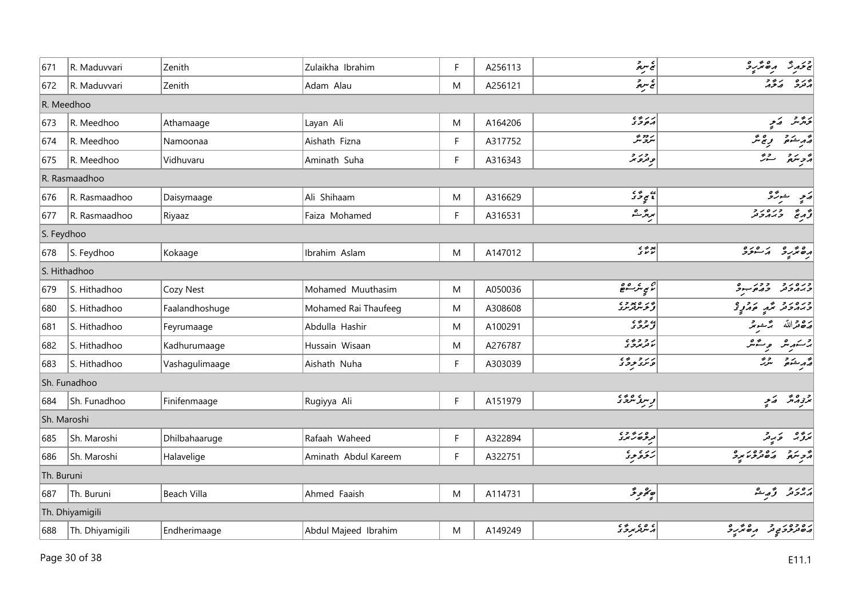| 671         | R. Maduvvari    | Zenith             | Zulaikha Ibrahim     | F         | A256113 | ې<br>نم سرچ                                     |                                                                                                                                                                                        |
|-------------|-----------------|--------------------|----------------------|-----------|---------|-------------------------------------------------|----------------------------------------------------------------------------------------------------------------------------------------------------------------------------------------|
| 672         | R. Maduvvari    | Zenith             | Adam Alau            | ${\sf M}$ | A256121 | ې سرچ                                           | وره دود<br>مرکز مرکز                                                                                                                                                                   |
| R. Meedhoo  |                 |                    |                      |           |         |                                                 |                                                                                                                                                                                        |
| 673         | R. Meedhoo      | Athamaage          | Layan Ali            | ${\sf M}$ | A164206 | بر بر بر بر<br>برخ تر <sub>ک</sub>              | ويژيز مکم                                                                                                                                                                              |
| 674         | R. Meedhoo      | Namoonaa           | Aishath Fizna        | F         | A317752 | بر دو پر<br>سرچ سر                              |                                                                                                                                                                                        |
| 675         | R. Meedhoo      | Vidhuvaru          | Aminath Suha         | F         | A316343 | و ر د<br>و ترو بر                               |                                                                                                                                                                                        |
|             | R. Rasmaadhoo   |                    |                      |           |         |                                                 |                                                                                                                                                                                        |
| 676         | R. Rasmaadhoo   | Daisymaage         | Ali Shihaam          | ${\sf M}$ | A316629 | پر سور پر ج<br>  پاسم سور سی                    | $\begin{array}{cc} 2\overset{\sigma}{\sim} & \overset{\sigma}{\sim} & \overset{\sigma}{\sim} & \overset{\sigma}{\sim} & \overset{\sigma}{\sim} & \overset{\sigma}{\sim} & \end{array}$ |
| 677         | R. Rasmaadhoo   | Riyaaz             | Faiza Mohamed        | F         | A316531 | بردشه                                           |                                                                                                                                                                                        |
| S. Feydhoo  |                 |                    |                      |           |         |                                                 |                                                                                                                                                                                        |
| 678         | S. Feydhoo      | Kokaage            | Ibrahim Aslam        | ${\sf M}$ | A147012 | بروء                                            | رە ئەر ئەسىرد                                                                                                                                                                          |
|             | S. Hithadhoo    |                    |                      |           |         |                                                 |                                                                                                                                                                                        |
| 679         | S. Hithadhoo    | Cozy Nest          | Mohamed Muuthasim    | ${\sf M}$ | A050036 | نئا سپاسكر شق                                   | כנסנכ כבנהם<br>כממכת כמים ייכ                                                                                                                                                          |
| 680         | S. Hithadhoo    | Faalandhoshuge     | Mohamed Rai Thaufeeg | M         | A308608 | ء ر ەيد د ،<br>توفرىترىرى                       | ورەرو ئۇم ئەدرە                                                                                                                                                                        |
| 681         | S. Hithadhoo    | Feyrumaage         | Abdulla Hashir       | ${\sf M}$ | A100291 | ړ، و د ،<br>تو برو د                            | مەھىراللە ئەخىر                                                                                                                                                                        |
| 682         | S. Hithadhoo    | Kadhurumaage       | Hussain Wisaan       | ${\sf M}$ | A276787 | ر و و د د<br>ما توبوری                          | يزخنه شهر وستهر                                                                                                                                                                        |
| 683         | S. Hithadhoo    | Vashaqulimaage     | Aishath Nuha         | F         | A303039 | ر ر و په په<br><i>ونر</i> ۍ موڅ ت               | مەم شەم ئىس                                                                                                                                                                            |
|             | Sh. Funadhoo    |                    |                      |           |         |                                                 |                                                                                                                                                                                        |
| 684         | Sh. Funadhoo    | Finifenmaage       | Rugiyya Ali          | F         | A151979 | اربيد هيو                                       | بروم كالمحمو                                                                                                                                                                           |
| Sh. Maroshi |                 |                    |                      |           |         |                                                 |                                                                                                                                                                                        |
| 685         | Sh. Maroshi     | Dhilbahaaruge      | Rafaah Waheed        | F         | A322894 | و عرض شرح و <sup>ج</sup><br>مرغ <i>زه ش</i> هری | روه درد<br>بروژ وړتر                                                                                                                                                                   |
| 686         | Sh. Maroshi     | Halavelige         | Aminath Abdul Kareem | F         | A322751 | ترىخ غرىج                                       | و دو ده ده ده ده و                                                                                                                                                                     |
| Th. Buruni  |                 |                    |                      |           |         |                                                 |                                                                                                                                                                                        |
| 687         | Th. Buruni      | <b>Beach Villa</b> | Ahmed Faaish         | ${\sf M}$ | A114731 | په نؤ و څه                                      | رەرد ۋەب                                                                                                                                                                               |
|             | Th. Dhiyamigili |                    |                      |           |         |                                                 |                                                                                                                                                                                        |
| 688         | Th. Dhiyamigili | Endherimaage       | Abdul Majeed Ibrahim | M         | A149249 | ې ه په په په<br>د سربر پر تر ک                  | رە دەر دەر ھەردە<br>مەھىر دىجە ئىمە مەم                                                                                                                                                |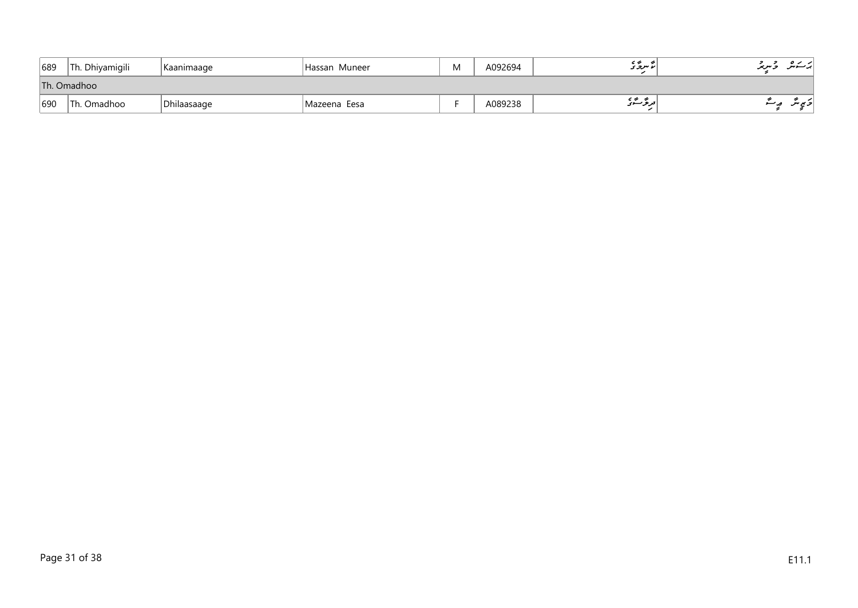| 689 | Dhiyamiqili<br>Th | Kaanimaage  | Hassan Muneer | M | A092694 | $\epsilon$ s<br>-<br>ما سوچ ی | $\circ$ $\prime$<br>برسوس<br>ر سربر |
|-----|-------------------|-------------|---------------|---|---------|-------------------------------|-------------------------------------|
|     | Th. Omadhoo       |             |               |   |         |                               |                                     |
| 690 | Omadhoo<br>Тh     | Dhilaasaage | Mazeena Eesa  |   | A089238 | ىر ئۇرىشىمى                   | ا و بی س<br>ے                       |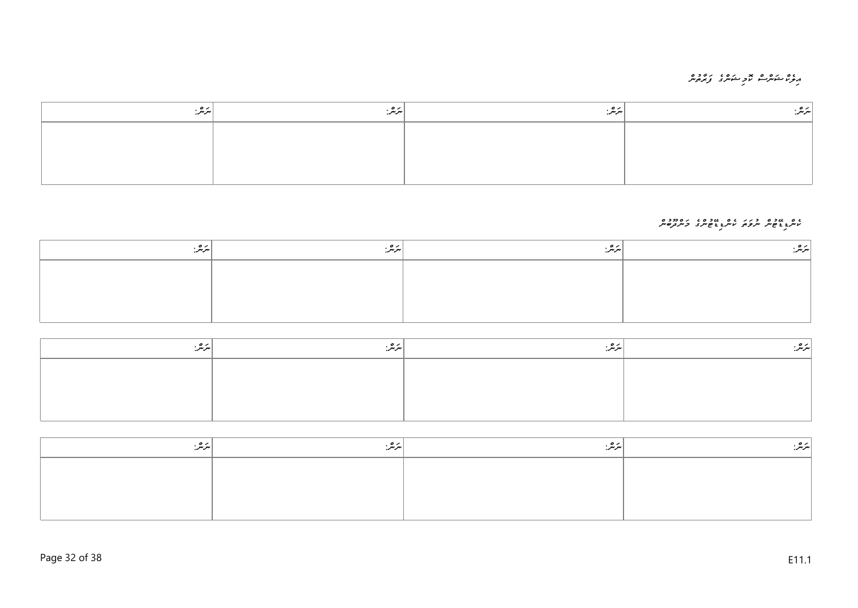## *w7qAn8m? sCw7mRo>u; wEw7mRw;sBo<*

| ' مرمر | 'يئرىثر: |
|--------|----------|
|        |          |
|        |          |
|        |          |

## *w7q9r@w7m> sCw7qHtFoFw7s; mAm=q7 w7qHtFoFw7s;*

| ىر تە | $\mathcal{O} \times$<br>$\sim$ | $\sim$<br>. . | لترنثر |
|-------|--------------------------------|---------------|--------|
|       |                                |               |        |
|       |                                |               |        |
|       |                                |               |        |

| انترنثر: | $^{\circ}$ | يبرهر | $^{\circ}$<br>سرسر |
|----------|------------|-------|--------------------|
|          |            |       |                    |
|          |            |       |                    |
|          |            |       |                    |

| ' ئىرتىر: | سر سر |  |
|-----------|-------|--|
|           |       |  |
|           |       |  |
|           |       |  |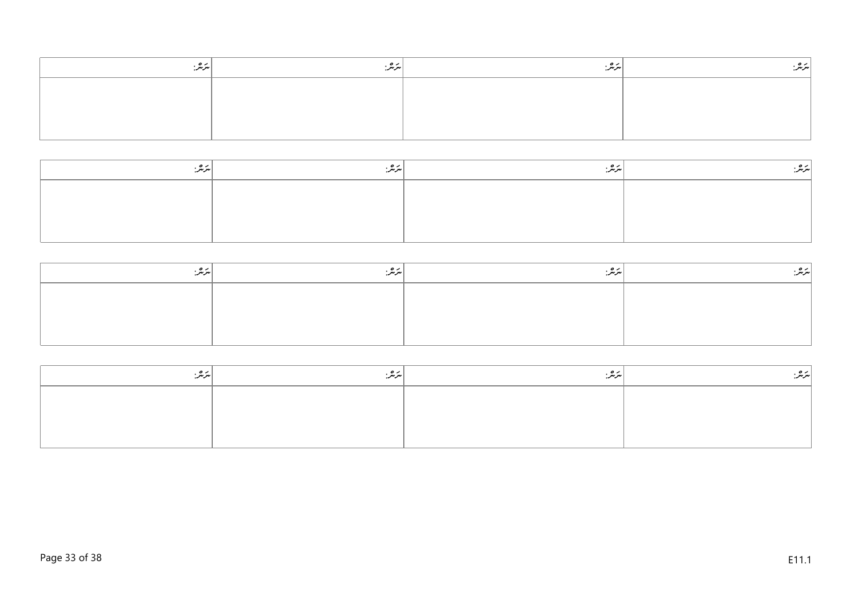| يزهر | $^{\circ}$ | ىئرىتر: |  |
|------|------------|---------|--|
|      |            |         |  |
|      |            |         |  |
|      |            |         |  |

| متريثر به | 。<br>'سرسر'۔ | يتزيترا | سرسر |
|-----------|--------------|---------|------|
|           |              |         |      |
|           |              |         |      |
|           |              |         |      |

| ىئرىتر. | $\sim$ | ا بر هه. | لىرىش |
|---------|--------|----------|-------|
|         |        |          |       |
|         |        |          |       |
|         |        |          |       |

| 。<br>مرس. | $\overline{\phantom{a}}$<br>مر سر | يتريثر |
|-----------|-----------------------------------|--------|
|           |                                   |        |
|           |                                   |        |
|           |                                   |        |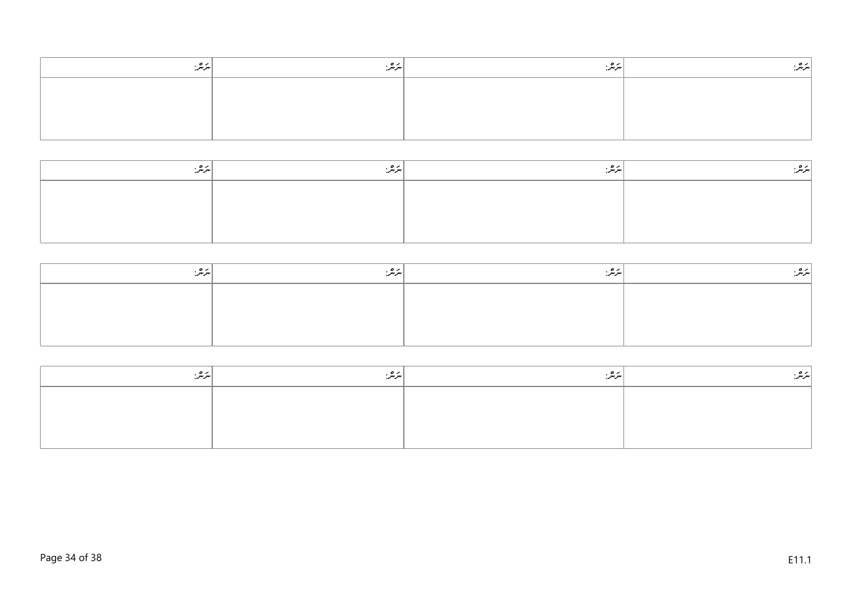| ير هو . | $\overline{\phantom{a}}$ | يرمر | اير هنه. |
|---------|--------------------------|------|----------|
|         |                          |      |          |
|         |                          |      |          |
|         |                          |      |          |

| ىر ھ | $\circ$ $\sim$<br>ا سرسر. | $\circ$ $\sim$<br>' سرسر . | o <i>~</i><br>سرسر. |
|------|---------------------------|----------------------------|---------------------|
|      |                           |                            |                     |
|      |                           |                            |                     |
|      |                           |                            |                     |

| 'تترنثر: | . .<br>يسمونس. |  |
|----------|----------------|--|
|          |                |  |
|          |                |  |
|          |                |  |

|  | . ه |
|--|-----|
|  |     |
|  |     |
|  |     |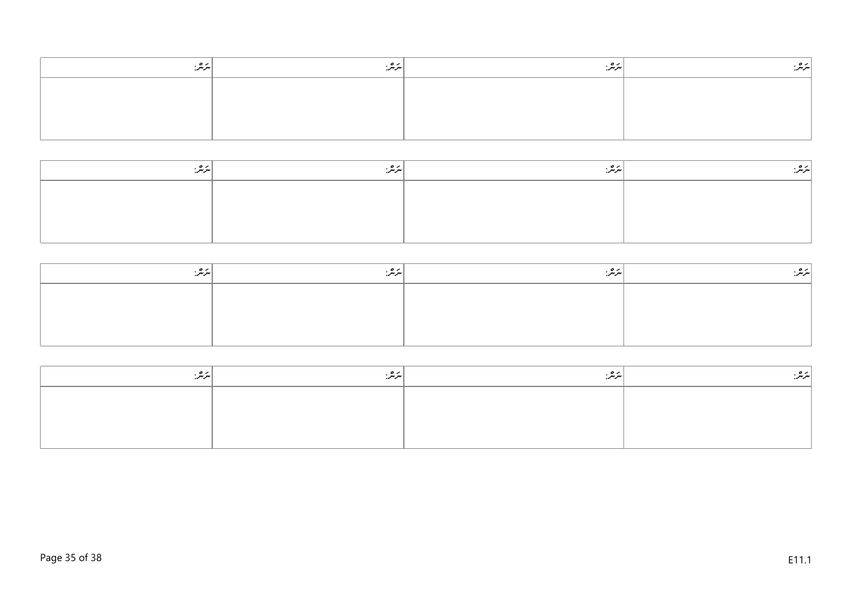| ير هو . | $\overline{\phantom{a}}$ | يرمر | اير هنه. |
|---------|--------------------------|------|----------|
|         |                          |      |          |
|         |                          |      |          |
|         |                          |      |          |

| ىر تىر: | $\circ$ $\sim$<br>" سرسر . | يبرحه | o . |
|---------|----------------------------|-------|-----|
|         |                            |       |     |
|         |                            |       |     |
|         |                            |       |     |

| 'تترنثر: | . .<br>يسمونس. |  |
|----------|----------------|--|
|          |                |  |
|          |                |  |
|          |                |  |

|  | . ه |
|--|-----|
|  |     |
|  |     |
|  |     |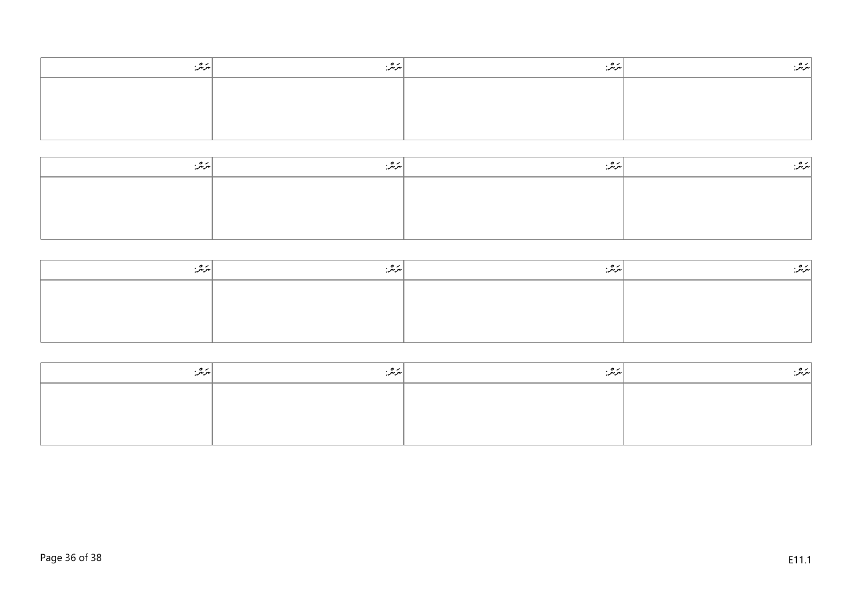| $\cdot$ | ο. | $\frac{\circ}{\cdot}$ | $\sim$<br>سرسر |
|---------|----|-----------------------|----------------|
|         |    |                       |                |
|         |    |                       |                |
|         |    |                       |                |

| ايرعر: | ر ه<br>. . |  |
|--------|------------|--|
|        |            |  |
|        |            |  |
|        |            |  |

| بر ه | 。 | $\sim$<br>َ سومس. |  |
|------|---|-------------------|--|
|      |   |                   |  |
|      |   |                   |  |
|      |   |                   |  |

| 。<br>. س | ىرىىر |  |
|----------|-------|--|
|          |       |  |
|          |       |  |
|          |       |  |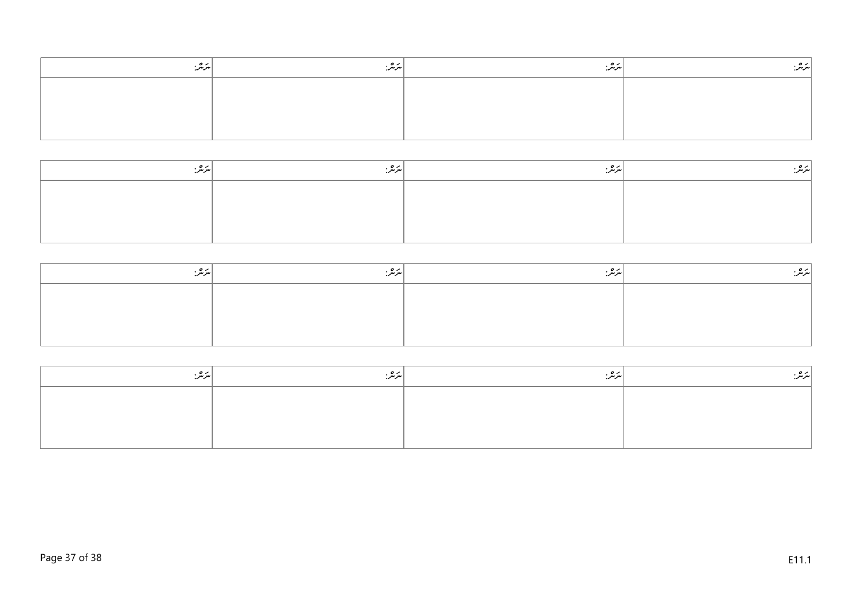| ير هو . | $\overline{\phantom{a}}$ | يرمر | لتزمثن |
|---------|--------------------------|------|--------|
|         |                          |      |        |
|         |                          |      |        |
|         |                          |      |        |

| ىر تىر: | $\circ$ $\sim$<br>" سرسر . | يبرحه | o . |
|---------|----------------------------|-------|-----|
|         |                            |       |     |
|         |                            |       |     |
|         |                            |       |     |

| نتزيتر به | 。 | 。<br>سرسر. | o <i>~</i> |
|-----------|---|------------|------------|
|           |   |            |            |
|           |   |            |            |
|           |   |            |            |

|  | . ه |
|--|-----|
|  |     |
|  |     |
|  |     |